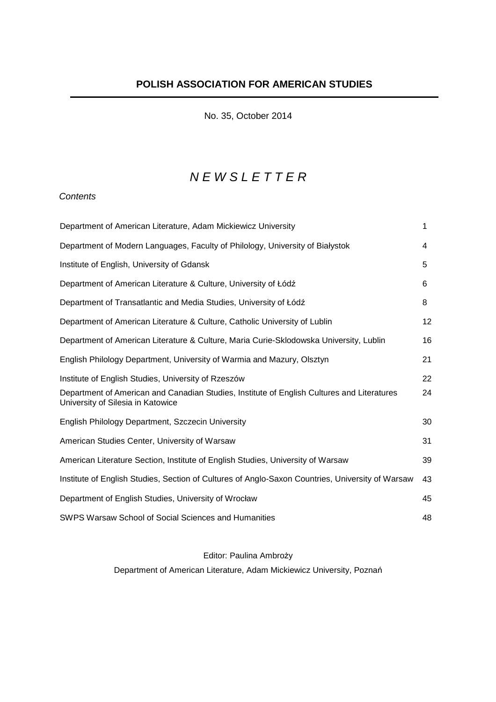No. 35, October 2014

# N E W S L E T T E R

## **Contents**

| Department of American Literature, Adam Mickiewicz University                                                                   | 1  |
|---------------------------------------------------------------------------------------------------------------------------------|----|
| Department of Modern Languages, Faculty of Philology, University of Białystok                                                   | 4  |
| Institute of English, University of Gdansk                                                                                      | 5  |
| Department of American Literature & Culture, University of Łódź                                                                 | 6  |
| Department of Transatlantic and Media Studies, University of Łódź                                                               | 8  |
| Department of American Literature & Culture, Catholic University of Lublin                                                      | 12 |
| Department of American Literature & Culture, Maria Curie-Sklodowska University, Lublin                                          | 16 |
| English Philology Department, University of Warmia and Mazury, Olsztyn                                                          | 21 |
| Institute of English Studies, University of Rzeszów                                                                             | 22 |
| Department of American and Canadian Studies, Institute of English Cultures and Literatures<br>University of Silesia in Katowice | 24 |
| English Philology Department, Szczecin University                                                                               | 30 |
| American Studies Center, University of Warsaw                                                                                   | 31 |
| American Literature Section, Institute of English Studies, University of Warsaw                                                 | 39 |
| Institute of English Studies, Section of Cultures of Anglo-Saxon Countries, University of Warsaw                                | 43 |
| Department of English Studies, University of Wrocław                                                                            | 45 |
| SWPS Warsaw School of Social Sciences and Humanities                                                                            | 48 |

## Editor: Paulina Ambroży

Department of American Literature, Adam Mickiewicz University, Poznań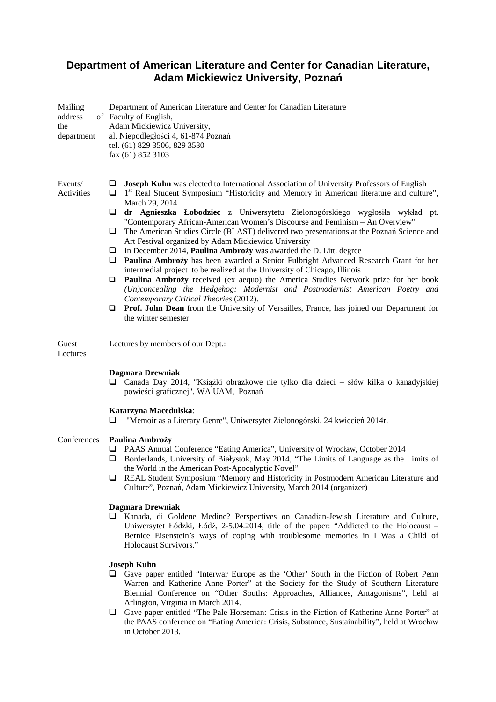## **Department of American Literature and Center for Canadian Literature, Adam Mickiewicz University, Poznań**

| Mailing<br>address<br>the<br>department |                                       | Department of American Literature and Center for Canadian Literature<br>of Faculty of English,<br>Adam Mickiewicz University,<br>al. Niepodległości 4, 61-874 Poznań<br>tel. (61) 829 3506, 829 3530<br>fax (61) 852 3103                                                                                                                                                                                                                                                                                                                                                                                                                                                                                                                                                                                                                                                                                                                                                                                                                                                                                         |
|-----------------------------------------|---------------------------------------|-------------------------------------------------------------------------------------------------------------------------------------------------------------------------------------------------------------------------------------------------------------------------------------------------------------------------------------------------------------------------------------------------------------------------------------------------------------------------------------------------------------------------------------------------------------------------------------------------------------------------------------------------------------------------------------------------------------------------------------------------------------------------------------------------------------------------------------------------------------------------------------------------------------------------------------------------------------------------------------------------------------------------------------------------------------------------------------------------------------------|
| Events/<br>Activities                   | u<br>❏<br>u<br>u<br>⊔<br>u<br>O<br>Q. | Joseph Kuhn was elected to International Association of University Professors of English<br>1 <sup>st</sup> Real Student Symposium "Historicity and Memory in American literature and culture",<br>March 29, 2014<br>dr Agnieszka Łobodziec z Uniwersytetu Zielonogórskiego wygłosiła wykład pt.<br>"Contemporary African-American Women's Discourse and Feminism - An Overview"<br>The American Studies Circle (BLAST) delivered two presentations at the Poznań Science and<br>Art Festival organized by Adam Mickiewicz University<br>In December 2014, Paulina Ambroży was awarded the D. Litt. degree<br>Paulina Ambroży has been awarded a Senior Fulbright Advanced Research Grant for her<br>intermedial project to be realized at the University of Chicago, Illinois<br>Paulina Ambroży received (ex aequo) the America Studies Network prize for her book<br>(Un)concealing the Hedgehog: Modernist and Postmodernist American Poetry and<br>Contemporary Critical Theories (2012).<br>Prof. John Dean from the University of Versailles, France, has joined our Department for<br>the winter semester |
| Guest<br>Lectures                       |                                       | Lectures by members of our Dept.:<br><b>Dagmara Drewniak</b><br>□ Canada Day 2014, "Książki obrazkowe nie tylko dla dzieci – słów kilka o kanadyjskiej                                                                                                                                                                                                                                                                                                                                                                                                                                                                                                                                                                                                                                                                                                                                                                                                                                                                                                                                                            |
|                                         | ⊔                                     | powieści graficznej", WA UAM, Poznań<br>Katarzyna Macedulska:<br>"Memoir as a Literary Genre", Uniwersytet Zielonogórski, 24 kwiecień 2014r.                                                                                                                                                                                                                                                                                                                                                                                                                                                                                                                                                                                                                                                                                                                                                                                                                                                                                                                                                                      |
| Conferences                             | ⊔<br>u<br>$\Box$                      | Paulina Ambroży<br>PAAS Annual Conference "Eating America", University of Wrocław, October 2014<br>Borderlands, University of Białystok, May 2014, "The Limits of Language as the Limits of<br>the World in the American Post-Apocalyptic Novel"<br>REAL Student Symposium "Memory and Historicity in Postmodern American Literature and<br>Culture", Poznań, Adam Mickiewicz University, March 2014 (organizer)                                                                                                                                                                                                                                                                                                                                                                                                                                                                                                                                                                                                                                                                                                  |
|                                         |                                       | <b>Dagmara Drewniak</b><br><b>Q</b> Kanada, di Goldene Medine? Perspectives on Canadian-Jewish Literature and Culture,<br>Uniwersytet Łódzki, Łódź, 2-5.04.2014, title of the paper: "Addicted to the Holocaust –<br>Bernice Eisenstein's ways of coping with troublesome memories in I Was a Child of<br>Holocaust Survivors."                                                                                                                                                                                                                                                                                                                                                                                                                                                                                                                                                                                                                                                                                                                                                                                   |
|                                         | u.                                    | <b>Joseph Kuhn</b><br>Gave paper entitled "Interwar Europe as the 'Other' South in the Fiction of Robert Penn<br>Warren and Katherine Anne Porter" at the Society for the Study of Southern Literature<br>Biennial Conference on "Other Souths: Approaches, Alliances, Antagonisms", held at<br>Arlington, Virginia in March 2014.                                                                                                                                                                                                                                                                                                                                                                                                                                                                                                                                                                                                                                                                                                                                                                                |
|                                         |                                       | $\Box$ Gave paper entitled "The Pale Horseman: Crisis in the Fiction of Katherine Anne Porter" at                                                                                                                                                                                                                                                                                                                                                                                                                                                                                                                                                                                                                                                                                                                                                                                                                                                                                                                                                                                                                 |

 Gave paper entitled "The Pale Horseman: Crisis in the Fiction of Katherine Anne Porter" at the PAAS conference on "Eating America: Crisis, Substance, Sustainability", held at Wrocław in October 2013.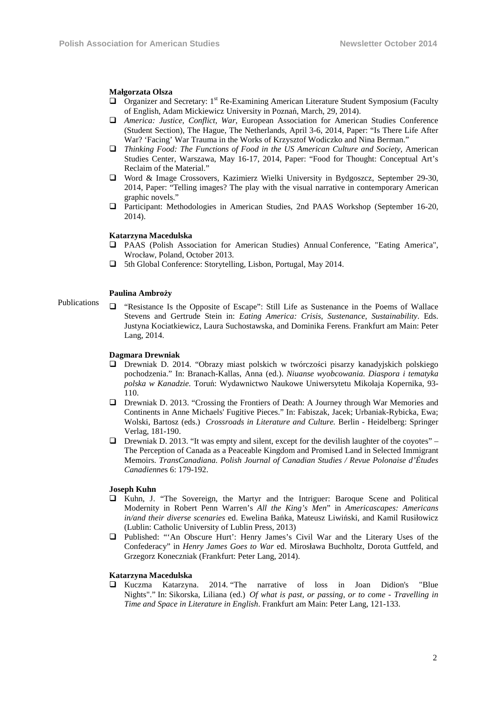#### **Małgorzata Olsza**

- $\Box$  Organizer and Secretary: 1<sup>st</sup> Re-Examining American Literature Student Symposium (Faculty of English, Adam Mickiewicz University in Poznań, March, 29, 2014).
- *America: Justice, Conflict, War*, European Association for American Studies Conference (Student Section), The Hague, The Netherlands, April 3-6, 2014, Paper: "Is There Life After War? 'Facing' War Trauma in the Works of Krzysztof Wodiczko and Nina Berman."
- *Thinking Food: The Functions of Food in the US American Culture and Society*, American Studies Center, Warszawa, May 16-17, 2014, Paper: "Food for Thought: Conceptual Art's Reclaim of the Material."
- Word & Image Crossovers, Kazimierz Wielki University in Bydgoszcz, September 29-30, 2014, Paper: "Telling images? The play with the visual narrative in contemporary American graphic novels."
- Participant: Methodologies in American Studies, 2nd PAAS Workshop (September 16-20, 2014).

#### **Katarzyna Macedulska**

- PAAS (Polish Association for American Studies) Annual Conference, "Eating America", Wrocław, Poland, October 2013.
- 5th Global Conference: Storytelling, Lisbon, Portugal, May 2014.

#### **Paulina Ambroży**

Publications "Resistance Is the Opposite of Escape": Still Life as Sustenance in the Poems of Wallace Stevens and Gertrude Stein in: *Eating America: Crisis, Sustenance*, *Sustainability*. Eds. Justyna Kociatkiewicz, Laura Suchostawska, and Dominika Ferens. Frankfurt am Main: Peter Lang, 2014.

#### **Dagmara Drewniak**

- Drewniak D. 2014. "Obrazy miast polskich w twórczości pisarzy kanadyjskich polskiego pochodzenia." In: Branach-Kallas, Anna (ed.). *Niuanse wyobcowania. Diaspora i tematyka polska w Kanadzie.* Toruń: Wydawnictwo Naukowe Uniwersytetu Mikołaja Kopernika, 93- 110.
- Drewniak D. 2013. "Crossing the Frontiers of Death: A Journey through War Memories and Continents in Anne Michaels' Fugitive Pieces." In: Fabiszak, Jacek; Urbaniak-Rybicka, Ewa; Wolski, Bartosz (eds.) *Crossroads in Literature and Culture.* Berlin - Heidelberg: Springer Verlag, 181-190.
- $\Box$  Drewniak D. 2013. "It was empty and silent, except for the devilish laughter of the coyotes" The Perception of Canada as a Peaceable Kingdom and Promised Land in Selected Immigrant Memoirs. *TransCanadiana. Polish Journal of Canadian Studies / Revue Polonaise d'Études Canadienne*s 6: 179-192.

#### **Joseph Kuhn**

- $\Box$  Kuhn, J. "The Sovereign, the Martyr and the Intriguer: Baroque Scene and Political Modernity in Robert Penn Warren's *All the King's Men*" in *Americascapes: Americans in/and their diverse scenaries* ed. Ewelina Bańka, Mateusz Liwiński, and Kamil Rusiłowicz (Lublin: Catholic University of Lublin Press, 2013)
- Published: "'An Obscure Hurt': Henry James's Civil War and the Literary Uses of the Confederacy" in *Henry James Goes to War* ed. Mirosława Buchholtz, Dorota Guttfeld, and Grzegorz Koneczniak (Frankfurt: Peter Lang, 2014).

#### **Katarzyna Macedulska**

 Kuczma Katarzyna. 2014. "The narrative of loss in Joan Didion's "Blue Nights"." In: Sikorska, Liliana (ed.) *Of what is past, or passing, or to come - Travelling in Time and Space in Literature in English*. Frankfurt am Main: Peter Lang, 121-133.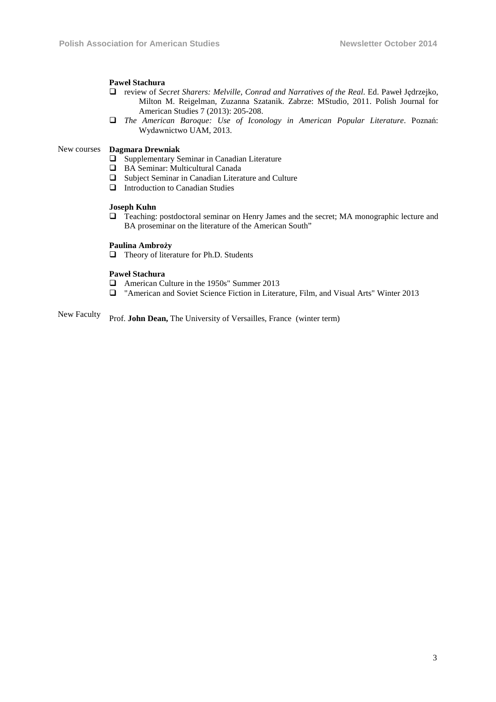### **Paweł Stachura**

- review of *Secret Sharers: Melville, Conrad and Narratives of the Real*. Ed. Paweł Jędrzejko, Milton M. Reigelman, Zuzanna Szatanik. Zabrze: MStudio, 2011. Polish Journal for American Studies 7 (2013): 205-208.
- *The American Baroque: Use of Iconology in American Popular Literature*. Poznań: Wydawnictwo UAM, 2013.

#### New courses **Dagmara Drewniak**

- $\square$  Supplementary Seminar in Canadian Literature
- BA Seminar: Multicultural Canada
- $\Box$  Subject Seminar in Canadian Literature and Culture
- Introduction to Canadian Studies

#### **Joseph Kuhn**

 Teaching: postdoctoral seminar on Henry James and the secret; MA monographic lecture and BA proseminar on the literature of the American South"

#### **Paulina Ambroży**

□ Theory of literature for Ph.D. Students

#### **Paweł Stachura**

- American Culture in the 1950s" Summer 2013
- "American and Soviet Science Fiction in Literature, Film, and Visual Arts" Winter 2013

New Faculty Prof. **John Dean,** The University of Versailles, France (winter term)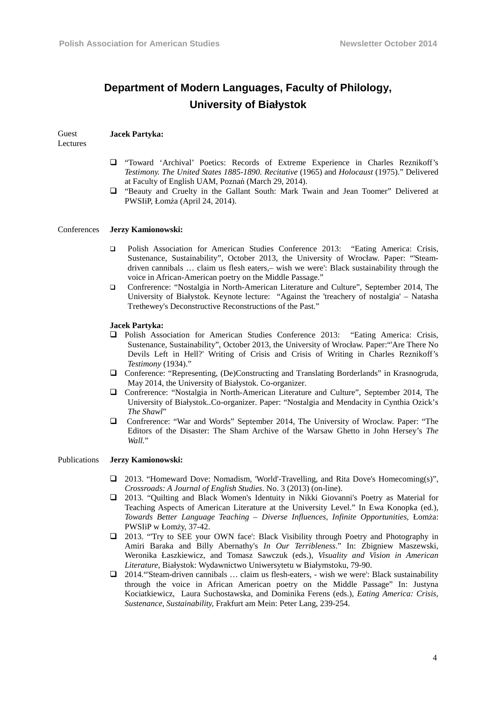# **Department of Modern Languages, Faculty of Philology, University of Białystok**

#### Guest **Jacek Partyka:**

**Lectures** 

- "Toward 'Archival' Poetics: Records of Extreme Experience in Charles Reznikoff's *Testimony. The United States 1885-1890. Recitative* (1965) and *Holocaust* (1975)." Delivered at Faculty of English UAM, Poznań (March 29, 2014).
- "Beauty and Cruelty in the Gallant South: Mark Twain and Jean Toomer" Delivered at PWSIiP, Łomża (April 24, 2014).

#### Conferences **Jerzy Kamionowski:**

- Polish Association for American Studies Conference 2013: "Eating America: Crisis, Sustenance, Sustainability", October 2013, the University of Wrocław. Paper: "'Steamdriven cannibals … claim us flesh eaters,– wish we were': Black sustainability through the voice in African-American poetry on the Middle Passage."
- Confrerence: "Nostalgia in North-American Literature and Culture", September 2014, The University of Białystok. Keynote lecture: "Against the 'treachery of nostalgia' – Natasha Trethewey's Deconstructive Reconstructions of the Past."

#### **Jacek Partyka:**

- Polish Association for American Studies Conference 2013: "Eating America: Crisis, Sustenance, Sustainability", October 2013, the University of Wrocław. Paper:"'Are There No Devils Left in Hell?' Writing of Crisis and Crisis of Writing in Charles Reznikoff's *Testimony* (1934)."
- Conference: "Representing, (De)Constructing and Translating Borderlands" in Krasnogruda, May 2014, the University of Białystok. Co-organizer.
- Confrerence: "Nostalgia in North-American Literature and Culture", September 2014, The University of Białystok..Co-organizer. Paper: "Nostalgia and Mendacity in Cynthia Ozick's *The Shawl*"
- Confrerence: "War and Words" September 2014, The University of Wroclaw. Paper: "The Editors of the Disaster: The Sham Archive of the Warsaw Ghetto in John Hersey's *The Wall.*"

#### Publications **Jerzy Kamionowski:**

- 2013. "Homeward Dove: Nomadism, 'World'-Travelling, and Rita Dove's Homecoming(s)", *Crossroads: A Journal of English Studies*. No. 3 (2013) (on-line).
- 2013. "Quilting and Black Women's Identuity in Nikki Giovanni's Poetry as Material for Teaching Aspects of American Literature at the University Level." In Ewa Konopka (ed.), *Towards Better Language Teaching – Diverse Influences, Infinite Opportunities*, Łomża: PWSIiP w Łomży, 37-42.
- 2013. "'Try to SEE your OWN face': Black Visibility through Poetry and Photography in Amiri Baraka and Billy Abernathy's *In Our Terribleness*." In: Zbigniew Maszewski, Weronika Łaszkiewicz, and Tomasz Sawczuk (eds.), *Visuality and Vision in American Literature*, Białystok: Wydawnictwo Uniwersytetu w Białymstoku, 79-90.
- 2014."'Steam-driven cannibals … claim us flesh-eaters, wish we were': Black sustainability through the voice in African American poetry on the Middle Passage" In: Justyna Kociatkiewicz, Laura Suchostawska, and Dominika Ferens (eds.), *Eating America: Crisis, Sustenance, Sustainability,* Frakfurt am Mein: Peter Lang, 239-254.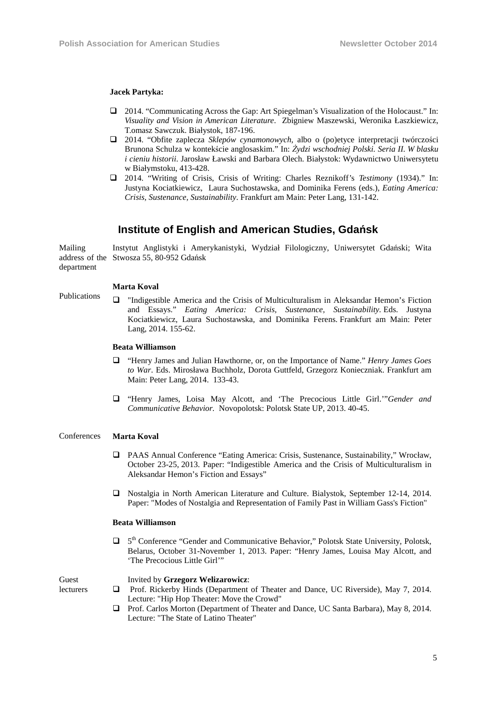#### **Jacek Partyka:**

- 2014. "Communicating Across the Gap: Art Spiegelman's Visualization of the Holocaust." In: *Visuality and Vision in American Literature*. Zbigniew Maszewski, Weronika Łaszkiewicz, T.omasz Sawczuk. Białystok, 187-196.
- 2014. "Obfite zaplecza *Sklepów cynamonowych*, albo o (po)etyce interpretacji twórczości Brunona Schulza w kontekście anglosaskim." In: *Żydzi wschodniej Polski. Seria II. W blasku i cieniu historii*. Jarosław Ławski and Barbara Olech. Białystok: Wydawnictwo Uniwersytetu w Białymstoku, 413-428.
- 2014. "Writing of Crisis, Crisis of Writing: Charles Reznikoff's *Testimony* (1934)." In: Justyna Kociatkiewicz, Laura Suchostawska, and Dominika Ferens (eds.), *Eating America: Crisis, Sustenance, Sustainability*. Frankfurt am Main: Peter Lang, 131-142.

### **Institute of English and American Studies, Gdańsk**

Mailing address of the Stwosza 55, 80-952 Gdańsk department Instytut Anglistyki i Amerykanistyki, Wydział Filologiczny, Uniwersytet Gdański; Wita

#### **Marta Koval**

Publications

 "Indigestible America and the Crisis of Multiculturalism in Aleksandar Hemon's Fiction and Essays." *Eating America: Crisis, Sustenance, Sustainability.* Eds. Justyna Kociatkiewicz, Laura Suchostawska, and Dominika Ferens. Frankfurt am Main: Peter Lang, 2014. 155-62.

#### **Beata Williamson**

- "Henry James and Julian Hawthorne, or, on the Importance of Name." *Henry James Goes to War*. Eds. Mirosława Buchholz, Dorota Guttfeld, Grzegorz Konieczniak. Frankfurt am Main: Peter Lang, 2014. 133-43.
- "Henry James, Loisa May Alcott, and 'The Precocious Little Girl.'"*Gender and Communicative Behavior.* Novopolotsk: Polotsk State UP, 2013. 40-45.

#### Conferences **Marta Koval**

- PAAS Annual Conference "Eating America: Crisis, Sustenance, Sustainability," Wrocław, October 23-25, 2013. Paper: "Indigestible America and the Crisis of Multiculturalism in Aleksandar Hemon's Fiction and Essays"
- Nostalgia in North American Literature and Culture. Bialystok, September 12-14, 2014. Paper: "Modes of Nostalgia and Representation of Family Past in William Gass's Fiction"

### **Beata Williamson**

□ 5<sup>th</sup> Conference "Gender and Communicative Behavior," Polotsk State University, Polotsk, Belarus, October 31-November 1, 2013. Paper: "Henry James, Louisa May Alcott, and 'The Precocious Little Girl'"

#### Guest lecturers

- Invited by **Grzegorz Welizarowicz**:
- Prof. Rickerby Hinds (Department of Theater and Dance, UC Riverside), May 7, 2014. Lecture: "Hip Hop Theater: Move the Crowd"
- Prof. Carlos Morton (Department of Theater and Dance, UC Santa Barbara), May 8, 2014. Lecture: "The State of Latino Theater"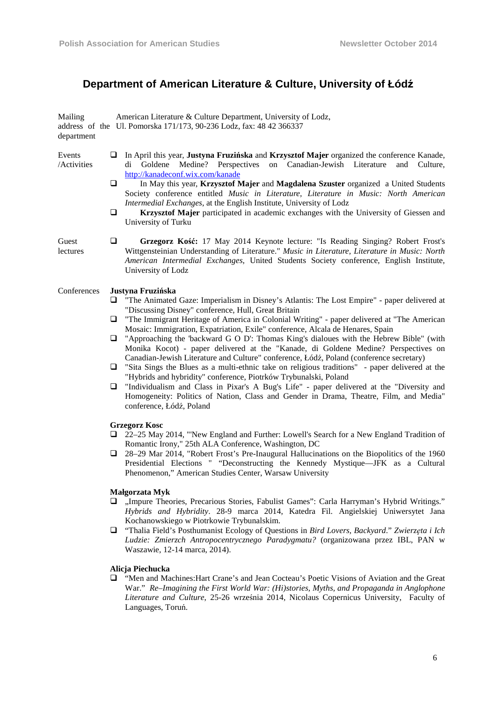# **Department of American Literature & Culture, University of Łódź**

| Mailing<br>department       | American Literature & Culture Department, University of Lodz,<br>address of the Ul. Pomorska 171/173, 90-236 Lodz, fax: 48 42 366337                                                                                                                                                                                                                                                                                                                                                                                                                                                                                                                                                                                                                                                                                                                                                                                                                                                                                                                   |
|-----------------------------|--------------------------------------------------------------------------------------------------------------------------------------------------------------------------------------------------------------------------------------------------------------------------------------------------------------------------------------------------------------------------------------------------------------------------------------------------------------------------------------------------------------------------------------------------------------------------------------------------------------------------------------------------------------------------------------------------------------------------------------------------------------------------------------------------------------------------------------------------------------------------------------------------------------------------------------------------------------------------------------------------------------------------------------------------------|
| Events<br><b>Activities</b> | In April this year, Justyna Fruzińska and Krzysztof Majer organized the conference Kanade,<br>u.<br>di Goldene Medine? Perspectives<br>on Canadian-Jewish Literature<br>and Culture,<br>http://kanadeconf.wix.com/kanade<br>$\Box$<br>In May this year, Krzysztof Majer and Magdalena Szuster organized a United Students<br>Society conference entitled Music in Literature, Literature in Music: North American<br>Intermedial Exchanges, at the English Institute, University of Lodz<br>$\Box$<br>Krzysztof Majer participated in academic exchanges with the University of Giessen and<br>University of Turku                                                                                                                                                                                                                                                                                                                                                                                                                                     |
| Guest<br>lectures           | $\Box$<br>Grzegorz Kość: 17 May 2014 Keynote lecture: "Is Reading Singing? Robert Frost's<br>Wittgensteinian Understanding of Literature." Music in Literature, Literature in Music: North<br>American Intermedial Exchanges, United Students Society conference, English Institute,<br>University of Lodz                                                                                                                                                                                                                                                                                                                                                                                                                                                                                                                                                                                                                                                                                                                                             |
| Conferences                 | Justyna Fruzińska<br>"The Animated Gaze: Imperialism in Disney's Atlantis: The Lost Empire" - paper delivered at<br>Q.<br>"Discussing Disney" conference, Hull, Great Britain<br>"The Immigrant Heritage of America in Colonial Writing" - paper delivered at "The American<br>⊔<br>Mosaic: Immigration, Expatriation, Exile" conference, Alcala de Henares, Spain<br>"Approaching the 'backward G O D': Thomas King's dialoues with the Hebrew Bible" (with<br>u.<br>Monika Kocot) - paper delivered at the "Kanade, di Goldene Medine? Perspectives on<br>Canadian-Jewish Literature and Culture" conference, Łódź, Poland (conference secretary)<br>"Sita Sings the Blues as a multi-ethnic take on religious traditions" - paper delivered at the<br>❏.<br>"Hybrids and hybridity" conference, Piotrków Trybunalski, Poland<br>"Individualism and Class in Pixar's A Bug's Life" - paper delivered at the "Diversity and<br>Q<br>Homogeneity: Politics of Nation, Class and Gender in Drama, Theatre, Film, and Media"<br>conference, Łódź, Poland |
|                             | <b>Grzegorz Kosc</b><br>$\Box$ 22–25 May 2014, "New England and Further: Lowell's Search for a New England Tradition of<br>Romantic Irony," 25th ALA Conference, Washington, DC<br>$\Box$ 28–29 Mar 2014, "Robert Frost's Pre-Inaugural Hallucinations on the Biopolitics of the 1960<br>Presidential Elections " "Deconstructing the Kennedy Mystique—JFK as a Cultural<br>Phenomenon," American Studies Center, Warsaw University                                                                                                                                                                                                                                                                                                                                                                                                                                                                                                                                                                                                                    |
|                             | Małgorzata Myk                                                                                                                                                                                                                                                                                                                                                                                                                                                                                                                                                                                                                                                                                                                                                                                                                                                                                                                                                                                                                                         |

- "Impure Theories, Precarious Stories, Fabulist Games": Carla Harryman's Hybrid Writings." *Hybrids and Hybridity*. 28-9 marca 2014, Katedra Fil. Angielskiej Uniwersytet Jana Kochanowskiego w Piotrkowie Trybunalskim.
- "Thalia Field's Posthumanist Ecology of Questions in *Bird Lovers, Backyard*." *Zwierzęta i Ich Ludzie: Zmierzch Antropocentrycznego Paradygmatu?* (organizowana przez IBL, PAN w Waszawie, 12-14 marca, 2014).

### **Alicja Piechucka**

 "Men and Machines:Hart Crane's and Jean Cocteau's Poetic Visions of Aviation and the Great War." *Re–Imagining the First World War: (Hi)stories, Myths, and Propaganda in Anglophone Literature and Culture*, 25-26 września 2014, Nicolaus Copernicus University, Faculty of Languages, Toruń.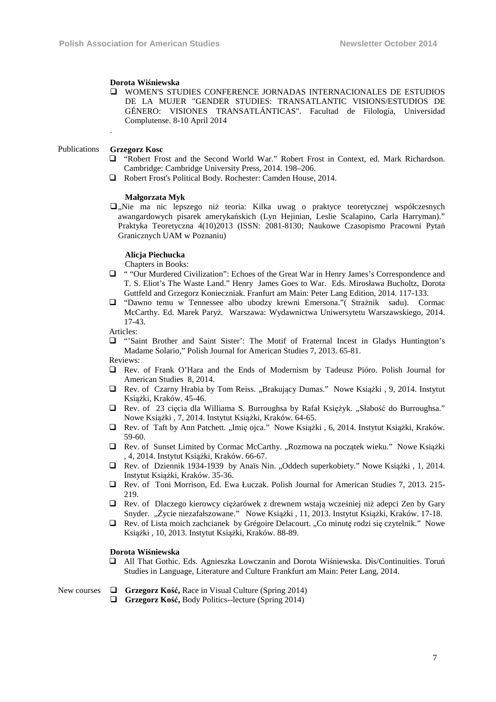#### **Dorota Wiśniewska**

 WOMEN'S STUDIES CONFERENCE JORNADAS INTERNACIONALES DE ESTUDIOS DE LA MUJER "GENDER STUDIES: TRANSATLANTIC VISIONS/ESTUDIOS DE GÉNERO: VISIONES TRANSATLÁNTICAS". Facultad de Filología, Universidad Complutense. 8-10 April 2014

#### Publications **Grzegorz Kosc**

.

- "Robert Frost and the Second World War." Robert Frost in Context, ed. Mark Richardson. Cambridge: Cambridge University Press, 2014. 198–206.
- Robert Frost's Political Body. Rochester: Camden House, 2014.

### **Małgorzata Myk**

 $\Box$ , Nie ma nic lepszego niż teoria: Kilka uwag o praktyce teoretycznej współczesnych awangardowych pisarek amerykańskich (Lyn Hejinian, Leslie Scalapino, Carla Harryman)." Praktyka Teoretyczna 4(10)2013 (ISSN: 2081-8130; Naukowe Czasopismo Pracowni Pytań Granicznych UAM w Poznaniu)

#### **Alicja Piechucka**

Chapters in Books:

- " "Our Murdered Civilization": Echoes of the Great War in Henry James's Correspondence and T. S. Eliot's The Waste Land." Henry James Goes to War. Eds. Mirosława Bucholtz, Dorota Guttfeld and Grzegorz Konieczniak. Franfurt am Main: Peter Lang Edition, 2014. 117-133.
- "Dawno temu w Tennessee albo ubodzy krewni Emersona."( Strażnik sadu). Cormac McCarthy. Ed. Marek Paryż. Warszawa: Wydawnictwa Uniwersytetu Warszawskiego, 2014. 17-43.

Articles:

 "'Saint Brother and Saint Sister': The Motif of Fraternal Incest in Gladys Huntington's Madame Solario," Polish Journal for American Studies 7, 2013. 65-81.

Reviews:

- Rev. of Frank O'Hara and the Ends of Modernism by Tadeusz Pióro. Polish Journal for American Studies 8, 2014.
- $\Box$  Rev. of Czarny Hrabia by Tom Reiss. "Brakujący Dumas." Nowe Książki , 9, 2014. Instytut Książki, Kraków. 45-46.
- Rev. of 23 cięcia dla Williama S. Burroughsa by Rafał Księżyk. "Słabość do Burroughsa." Nowe Książki , 7, 2014. Instytut Książki, Kraków. 64-65.
- □ Rev. of Taft by Ann Patchett. "Imię ojca." Nowe Książki , 6, 2014. Instytut Książki, Kraków. 59-60.
- $\Box$  Rev. of Sunset Limited by Cormac McCarthy. "Rozmowa na początek wieku." Nowe Książki , 4, 2014. Instytut Książki, Kraków. 66-67.
- Rev. of Dziennik 1934-1939 by Anaïs Nin. "Oddech superkobiety." Nowe Książki , 1, 2014. Instytut Książki, Kraków. 35-36.
- Rev. of Toni Morrison, Ed. Ewa Łuczak. Polish Journal for American Studies 7, 2013. 215- 219.
- Rev. of Dlaczego kierowcy ciężarówek z drewnem wstają wcześniej niż adepci Zen by Gary Snyder. "Życie niezafałszowane." Nowe Książki , 11, 2013. Instytut Książki, Kraków. 17-18.
- $\Box$  Rev. of Lista moich zachcianek by Grégoire Delacourt. "Co minutę rodzi się czytelnik." Nowe Książki , 10, 2013. Instytut Książki, Kraków. 88-89.

#### **Dorota Wiśniewska**

 All That Gothic. Eds. Agnieszka Lowczanin and Dorota Wiśniewska. Dis/Continuities. Toruń Studies in Language, Literature and Culture Frankfurt am Main: Peter Lang, 2014.

#### New courses **Grzegorz Kość,** Race in Visual Culture (Spring 2014)

**Grzegorz Kość,** Body Politics--lecture (Spring 2014)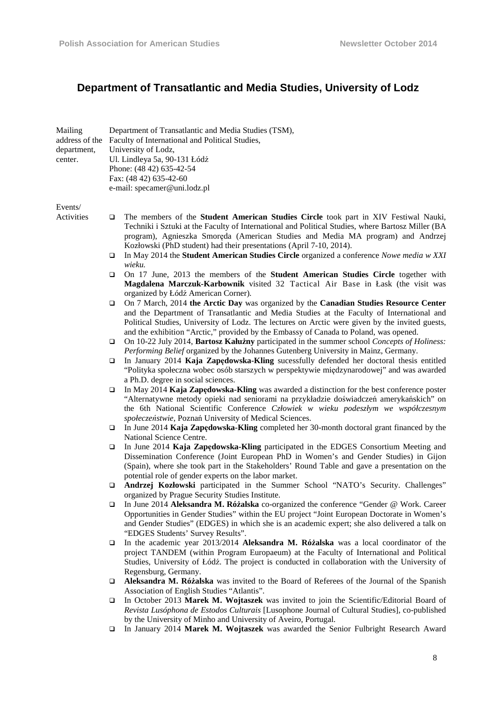# **Department of Transatlantic and Media Studies, University of Lodz**

| Mailing<br>address of the<br>department,<br>center. |             | Department of Transatlantic and Media Studies (TSM),<br>Faculty of International and Political Studies,<br>University of Lodz,<br>Ul. Lindleya 5a, 90-131 Łódź<br>Phone: (48 42) 635-42-54<br>Fax: (48 42) 635-42-60<br>e-mail: specamer@uni.lodz.pl                                                                                                                                                                                                                          |
|-----------------------------------------------------|-------------|-------------------------------------------------------------------------------------------------------------------------------------------------------------------------------------------------------------------------------------------------------------------------------------------------------------------------------------------------------------------------------------------------------------------------------------------------------------------------------|
|                                                     |             |                                                                                                                                                                                                                                                                                                                                                                                                                                                                               |
| Events/<br>Activities                               | □<br>□      | The members of the <b>Student American Studies Circle</b> took part in XIV Festiwal Nauki,<br>Techniki i Sztuki at the Faculty of International and Political Studies, where Bartosz Miller (BA<br>program), Agnieszka Smoręda (American Studies and Media MA program) and Andrzej<br>Kozłowski (PhD student) had their presentations (April 7-10, 2014).<br>In May 2014 the Student American Studies Circle organized a conference Nowe media w XXI                          |
|                                                     |             | wieku.                                                                                                                                                                                                                                                                                                                                                                                                                                                                        |
|                                                     | ▫           | On 17 June, 2013 the members of the <b>Student American Studies Circle</b> together with<br>Magdalena Marczuk-Karbownik visited 32 Tactical Air Base in Łask (the visit was<br>organized by Łódź American Corner).                                                                                                                                                                                                                                                            |
|                                                     | □<br>□      | On 7 March, 2014 the Arctic Day was organized by the Canadian Studies Resource Center<br>and the Department of Transatlantic and Media Studies at the Faculty of International and<br>Political Studies, University of Lodz. The lectures on Arctic were given by the invited guests,<br>and the exhibition "Arctic," provided by the Embassy of Canada to Poland, was opened.<br>On 10-22 July 2014, Bartosz Kałużny participated in the summer school Concepts of Holiness: |
|                                                     |             | Performing Belief organized by the Johannes Gutenberg University in Mainz, Germany.                                                                                                                                                                                                                                                                                                                                                                                           |
|                                                     | ▫           | In January 2014 Kaja Zapędowska-Kling sucessfully defended her doctoral thesis entitled<br>"Polityka społeczna wobec osób starszych w perspektywie międzynarodowej" and was awarded<br>a Ph.D. degree in social sciences.                                                                                                                                                                                                                                                     |
|                                                     | ▫           | In May 2014 Kaja Zapedowska-Kling was awarded a distinction for the best conference poster<br>"Alternatywne metody opieki nad seniorami na przykładzie doświadczeń amerykańskich" on<br>the 6th National Scientific Conference Człowiek w wieku podeszłym we współczesnym<br>społeczeństwie, Poznań University of Medical Sciences.                                                                                                                                           |
|                                                     | □           | In June 2014 Kaja Zapędowska-Kling completed her 30-month doctoral grant financed by the<br>National Science Centre.                                                                                                                                                                                                                                                                                                                                                          |
|                                                     | □           | In June 2014 Kaja Zapedowska-Kling participated in the EDGES Consortium Meeting and<br>Dissemination Conference (Joint European PhD in Women's and Gender Studies) in Gijon<br>(Spain), where she took part in the Stakeholders' Round Table and gave a presentation on the<br>potential role of gender experts on the labor market.                                                                                                                                          |
|                                                     | □           | Andrzej Kozłowski participated in the Summer School "NATO's Security. Challenges"<br>organized by Prague Security Studies Institute.                                                                                                                                                                                                                                                                                                                                          |
|                                                     | ❏           | In June 2014 Aleksandra M. Różalska co-organized the conference "Gender @ Work. Career<br>Opportunities in Gender Studies" within the EU project "Joint European Doctorate in Women's<br>and Gender Studies" (EDGES) in which she is an academic expert; she also delivered a talk on<br>"EDGES Students' Survey Results".                                                                                                                                                    |
|                                                     | □           | In the academic year 2013/2014 Aleksandra M. Różalska was a local coordinator of the<br>project TANDEM (within Program Europaeum) at the Faculty of International and Political<br>Studies, University of Łódź. The project is conducted in collaboration with the University of<br>Regensburg, Germany.                                                                                                                                                                      |
|                                                     | □           | Aleksandra M. Różalska was invited to the Board of Referees of the Journal of the Spanish                                                                                                                                                                                                                                                                                                                                                                                     |
|                                                     |             | Association of English Studies "Atlantis".                                                                                                                                                                                                                                                                                                                                                                                                                                    |
|                                                     | $\Box$<br>□ | In October 2013 Marek M. Wojtaszek was invited to join the Scientific/Editorial Board of<br>Revista Lusóphona de Estodos Culturais [Lusophone Journal of Cultural Studies], co-published<br>by the University of Minho and University of Aveiro, Portugal.<br>In January 2014 Marek M. Wojtaszek was awarded the Senior Fulbright Research Award                                                                                                                              |
|                                                     |             |                                                                                                                                                                                                                                                                                                                                                                                                                                                                               |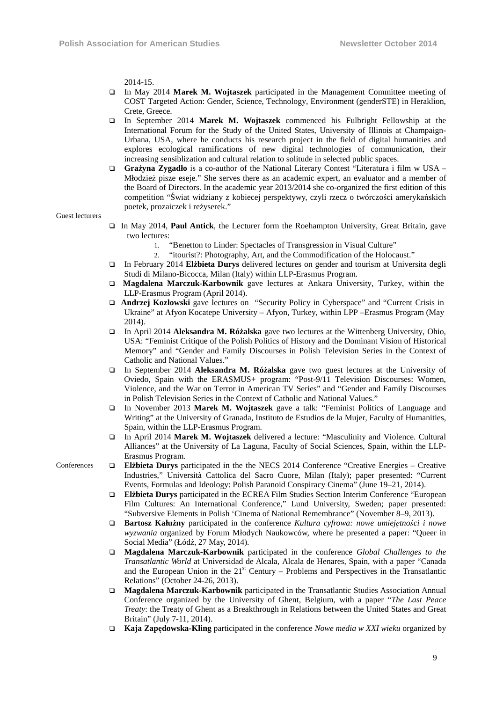2014-15.

- In May 2014 **Marek M. Wojtaszek** participated in the Management Committee meeting of COST Targeted Action: Gender, Science, Technology, Environment (genderSTE) in Heraklion, Crete, Greece.
- In September 2014 **Marek M. Wojtaszek** commenced his Fulbright Fellowship at the International Forum for the Study of the United States, University of Illinois at Champaign-Urbana, USA, where he conducts his research project in the field of digital humanities and explores ecological ramifications of new digital technologies of communication, their increasing sensiblization and cultural relation to solitude in selected public spaces.
- Grażyna Zygadło is a co-author of the National Literary Contest "Literatura i film w USA Młodzież pisze eseje." She serves there as an academic expert, an evaluator and a member of the Board of Directors. In the academic year 2013/2014 she co-organized the first edition of this competition "Świat widziany z kobiecej perspektywy, czyli rzecz o twórczości amerykańskich poetek, prozaiczek i reżyserek."

Guest lecturers

- In May 2014, **Paul Antick**, the Lecturer form the Roehampton University, Great Britain, gave two lectures:
	- 1. "Benetton to Linder: Spectacles of Transgression in Visual Culture"
	- 2. "itourist?: Photography, Art, and the Commodification of the Holocaust."
- In February 2014 **Elżbieta Durys** delivered lectures on gender and tourism at Universita degli Studi di Milano-Bicocca, Milan (Italy) within LLP-Erasmus Program.
- **Magdalena Marczuk-Karbownik** gave lectures at Ankara University, Turkey, within the LLP-Erasmus Program (April 2014).
- **Andrzej Kozłowski** gave lectures on "Security Policy in Cyberspace" and "Current Crisis in Ukraine" at Afyon Kocatepe University – Afyon, Turkey, within LPP –Erasmus Program (May 2014).
- In April 2014 **Aleksandra M. Różalska** gave two lectures at the Wittenberg University, Ohio, USA: "Feminist Critique of the Polish Politics of History and the Dominant Vision of Historical Memory" and "Gender and Family Discourses in Polish Television Series in the Context of Catholic and National Values."
- In September 2014 **Aleksandra M. Różalska** gave two guest lectures at the University of Oviedo, Spain with the ERASMUS+ program: "Post-9/11 Television Discourses: Women, Violence, and the War on Terror in American TV Series" and "Gender and Family Discourses in Polish Television Series in the Context of Catholic and National Values."
- In November 2013 **Marek M. Wojtaszek** gave a talk: "Feminist Politics of Language and Writing" at the University of Granada, Instituto de Estudios de la Mujer, Faculty of Humanities, Spain, within the LLP-Erasmus Program.
- In April 2014 **Marek M. Wojtaszek** delivered a lecture: "Masculinity and Violence. Cultural Alliances" at the University of La Laguna, Faculty of Social Sciences, Spain, within the LLP-Erasmus Program.
- Conferences **Elżbieta Durys** participated in the the NECS 2014 Conference "Creative Energies Creative Industries," Università Cattolica del Sacro Cuore, Milan (Italy); paper presented: "Current Events, Formulas and Ideology: Polish Paranoid Conspiracy Cinema" (June 19–21, 2014).
	- **Elżbieta Durys** participated in the ECREA Film Studies Section Interim Conference "European Film Cultures: An International Conference," Lund University, Sweden; paper presented: "Subversive Elements in Polish 'Cinema of National Remembrance" (November 8–9, 2013).
	- **Bartosz Kałużny** participated in the conference *Kultura cyfrowa: nowe umiejętności i nowe wyzwania* organized by Forum Młodych Naukowców, where he presented a paper: "Queer in Social Media" (Łódź, 27 May, 2014).
	- **Magdalena Marczuk-Karbownik** participated in the conference *Global Challenges to the Transatlantic World* at Universidad de Alcala, Alcala de Henares, Spain, with a paper "Canada and the European Union in the  $21<sup>st</sup>$  Century – Problems and Perspectives in the Transatlantic Relations" (October 24-26, 2013).
	- **Magdalena Marczuk-Karbownik** participated in the Transatlantic Studies Association Annual Conference organized by the University of Ghent, Belgium, with a paper "*The Last Peace Treaty*: the Treaty of Ghent as a Breakthrough in Relations between the United States and Great Britain" (July 7-11, 2014).
	- **Kaja Zapędowska-Kling** participated in the conference *Nowe media w XXI wieku* organized by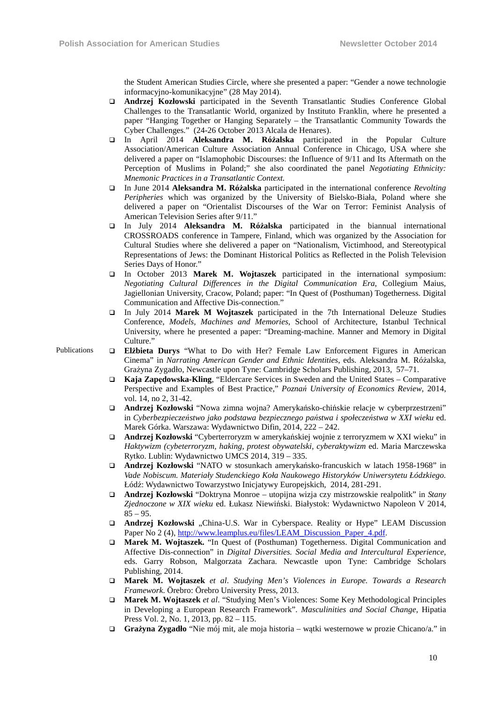the Student American Studies Circle, where she presented a paper: "Gender a nowe technologie informacyjno-komunikacyjne" (28 May 2014).

- **Andrzej Kozłowski** participated in the Seventh Transatlantic Studies Conference Global Challenges to the Transatlantic World, organized by Instituto Franklin, where he presented a paper "Hanging Together or Hanging Separately – the Transatlantic Community Towards the Cyber Challenges." (24-26 October 2013 Alcala de Henares).
- In April 2014 **Aleksandra M. Różalska** participated in the Popular Culture Association/American Culture Association Annual Conference in Chicago, USA where she delivered a paper on "Islamophobic Discourses: the Influence of 9/11 and Its Aftermath on the Perception of Muslims in Poland;" she also coordinated the panel *Negotiating Ethnicity: Mnemonic Practices in a Transatlantic Context.*
- In June 2014 **Aleksandra M. Różalska** participated in the international conference *Revolting Peripheries* which was organized by the University of Bielsko-Biała, Poland where she delivered a paper on "Orientalist Discourses of the War on Terror: Feminist Analysis of American Television Series after 9/11."
- In July 2014 **Aleksandra M. Różalska** participated in the biannual international CROSSROADS conference in Tampere, Finland, which was organized by the Association for Cultural Studies where she delivered a paper on "Nationalism, Victimhood, and Stereotypical Representations of Jews: the Dominant Historical Politics as Reflected in the Polish Television Series Days of Honor."
- In October 2013 **Marek M. Wojtaszek** participated in the international symposium: *Negotiating Cultural Differences in the Digital Communication Era*, Collegium Maius, Jagiellonian University, Cracow, Poland; paper: "In Quest of (Posthuman) Togetherness. Digital Communication and Affective Dis-connection."
- In July 2014 **Marek M Wojtaszek** participated in the 7th International Deleuze Studies Conference, *Models, Machines and Memories*, School of Architecture, Istanbul Technical University, where he presented a paper: "Dreaming-machine. Manner and Memory in Digital Culture."
- Publications **Elżbieta Durys** "What to Do with Her? Female Law Enforcement Figures in American Cinema" in *Narrating American Gender and Ethnic Identities*, eds. Aleksandra M. Różalska, Grażyna Zygadło, Newcastle upon Tyne: Cambridge Scholars Publishing, 2013, 57–71.
	- **Kaja Zapędowska-Kling**, "Eldercare Services in Sweden and the United States Comparative Perspective and Examples of Best Practice," *Poznań University of Economics Review*, 2014, vol. 14, no 2, 31-42.
	- **Andrzej Kozłowski** "Nowa zimna wojna? Amerykańsko-chińskie relacje w cyberprzestrzeni" in *Cyberbezpieczeństwo jako podstawa bezpiecznego państwa i społeczeństwa w XXI wieku* ed. Marek Górka. Warszawa: Wydawnictwo Difin, 2014, 222 – 242.
	- **Andrzej Kozłowski** "Cyberterroryzm w amerykańskiej wojnie z terroryzmem w XXI wieku" in *Haktywizm (cybeterroryzm, haking, protest obywatelski, cyberaktywizm* ed. Maria Marczewska Rytko. Lublin: Wydawnictwo UMCS 2014, 319 – 335.
	- **Andrzej Kozłowski** "NATO w stosunkach amerykańsko-francuskich w latach 1958-1968" in *Vade Nobiscum. Materiały Studenckiego Koła Naukowego Historyków Uniwersytetu Łódzkiego.*  Łódź: Wydawnictwo Towarzystwo Inicjatywy Europejskich, 2014, 281-291.
	- **Andrzej Kozłowski** "Doktryna Monroe utopijna wizja czy mistrzowskie realpolitk" in *Stany Zjednoczone w XIX wieku* ed. Łukasz Niewiński. Białystok: Wydawnictwo Napoleon V 2014,  $85 - 95.$
	- **Andrzej Kozłowski** "China-U.S. War in Cyberspace. Reality or Hype" LEAM Discussion Paper No 2 (4), http://www.leamplus.eu/files/LEAM\_Discussion\_Paper\_4.pdf.
	- **Marek M. Wojtaszek.** "In Quest of (Posthuman) Togetherness. Digital Communication and Affective Dis-connection" in *Digital Diversities. Social Media and Intercultural Experience*, eds. Garry Robson, Malgorzata Zachara. Newcastle upon Tyne: Cambridge Scholars Publishing, 2014.
	- **Marek M. Wojtaszek** *et al*. *Studying Men's Violences in Europe. Towards a Research Framework*. Örebro: Örebro University Press, 2013.
	- **Marek M. Wojtaszek** *et al*. "Studying Men's Violences: Some Key Methodological Principles in Developing a European Research Framework". *Masculinities and Social Change*, Hipatia Press Vol. 2, No. 1, 2013, pp. 82 – 115.
	- **Grażyna Zygadło** "Nie mój mit, ale moja historia wątki westernowe w prozie Chicano/a." in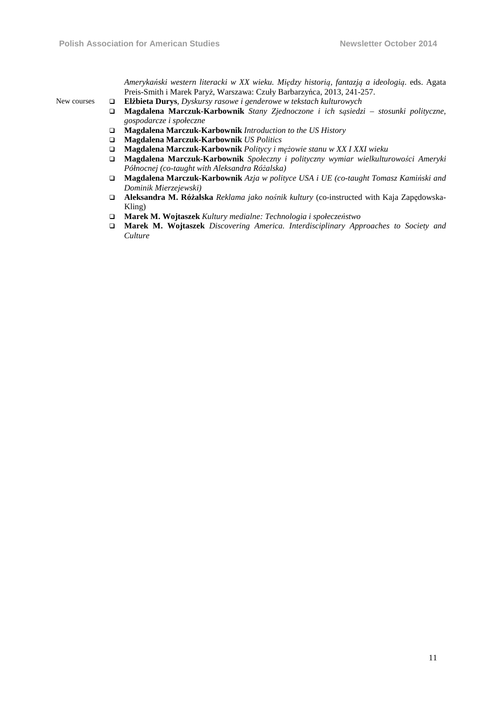*Amerykański western literacki w XX wieku. Między historią, fantazją a ideologią*. eds. Agata Preis-Smith i Marek Paryż, Warszawa: Czuły Barbarzyńca, 2013, 241-257.

- New courses **Elżbieta Durys**, *Dyskursy rasowe i genderowe w tekstach kulturowych* 
	- **Magdalena Marczuk-Karbownik** *Stany Zjednoczone i ich sąsiedzi stosunki polityczne, gospodarcze i społeczne*
	- **Magdalena Marczuk-Karbownik** *Introduction to the US History*
	- **Magdalena Marczuk-Karbownik** *US Politics*
	- **Magdalena Marczuk-Karbownik** *Politycy i mężowie stanu w XX I XXI wieku*
	- **Magdalena Marczuk-Karbownik** *Społeczny i polityczny wymiar wielkulturowości Ameryki Północnej (co-taught with Aleksandra Różalska)*
	- **Magdalena Marczuk-Karbownik** *Azja w polityce USA i UE (co-taught Tomasz Kamiński and Dominik Mierzejewski)*
	- **Aleksandra M. Różalska** *Reklama jako nośnik kultury* (co-instructed with Kaja Zapędowska-Kling)
	- **Marek M. Wojtaszek** *Kultury medialne: Technologia i społeczeństwo*
	- **Marek M. Wojtaszek** *Discovering America. Interdisciplinary Approaches to Society and Culture*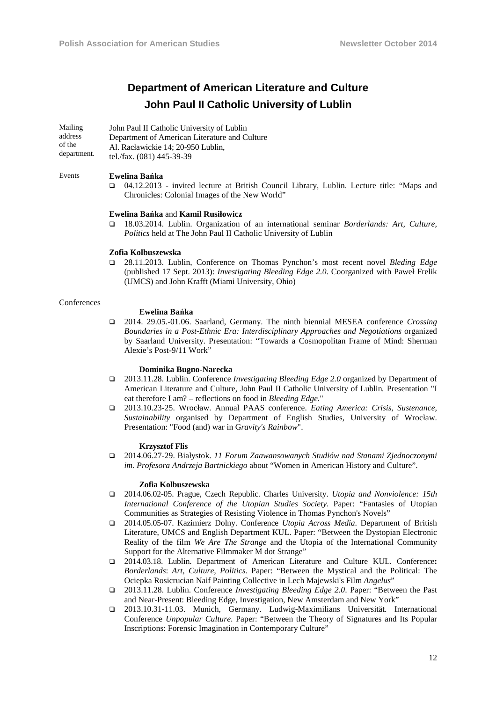# **Department of American Literature and Culture John Paul II Catholic University of Lublin**

Mailing address of the department. John Paul II Catholic University of Lublin Department of American Literature and Culture Al. Racławickie 14; 20-950 Lublin, tel./fax. (081) 445-39-39

#### Events **Ewelina Bańka**

 04.12.2013 - invited lecture at British Council Library, Lublin. Lecture title: "Maps and Chronicles: Colonial Images of the New World"

#### **Ewelina Bańka** and **Kamil Rusiłowicz**

 18.03.2014. Lublin. Organization of an international seminar *Borderlands: Art, Culture, Politics* held at The John Paul II Catholic University of Lublin

#### **Zofia Kolbuszewska**

 28.11.2013. Lublin, Conference on Thomas Pynchon's most recent novel *Bleding Edge*  (published 17 Sept. 2013): *Investigating Bleeding Edge 2.0*. Coorganized with Paweł Frelik (UMCS) and John Krafft (Miami University, Ohio)

#### **Conferences**

#### **Ewelina Bańka**

 2014. 29.05.-01.06. Saarland, Germany. The ninth biennial MESEA conference *Crossing Boundaries in a Post-Ethnic Era: Interdisciplinary Approaches and Negotiations* organized by Saarland University. Presentation: "Towards a Cosmopolitan Frame of Mind: Sherman Alexie's Post-9/11 Work"

#### **Dominika Bugno-Narecka**

- 2013.11.28. Lublin. Conference *Investigating Bleeding Edge 2.0* organized by Department of American Literature and Culture, John Paul II Catholic University of Lublin*.* Presentation "I eat therefore I am? – reflections on food in *Bleeding Edge.*"
- 2013.10.23-25. Wrocław. Annual PAAS conference. *Eating America: Crisis, Sustenance, Sustainability* organised by Department of English Studies, University of Wrocław. Presentation: "Food (and) war in G*ravity's Rainbow*".

#### **Krzysztof Flis**

 2014.06.27-29. Białystok. *11 Forum Zaawansowanych Studiów nad Stanami Zjednoczonymi im. Profesora Andrzeja Bartnickiego* about "Women in American History and Culture".

#### **Zofia Kolbuszewska**

- 2014.06.02-05. Prague, Czech Republic. Charles University. *Utopia and Nonviolence: 15th International Conference of the Utopian Studies Society*. Paper: "Fantasies of Utopian Communities as Strategies of Resisting Violence in Thomas Pynchon's Novels"
- 2014.05.05-07. Kazimierz Dolny. Conference *Utopia Across Media*. Department of British Literature, UMCS and English Department KUL. Paper: "Between the Dystopian Electronic Reality of the film *We Are The Strange* and the Utopia of the International Community Support for the Alternative Filmmaker M dot Strange"
- 2014.03.18. Lublin. Department of American Literature and Culture KUL. Conference**:**  *Borderlands*: *Art, Culture, Politics.* Paper: "Between the Mystical and the Political: The Ociepka Rosicrucian Naif Painting Collective in Lech Majewski's Film *Angelus*"
- 2013.11.28. Lublin. Conference *Investigating Bleeding Edge 2.0*. Paper: "Between the Past and Near-Present: Bleeding Edge, Investigation, New Amsterdam and New York"
- 2013.10.31-11.03. Munich, Germany. Ludwig-Maximilians Universität. International Conference *Unpopular Culture*. Paper: "Between the Theory of Signatures and Its Popular Inscriptions: Forensic Imagination in Contemporary Culture"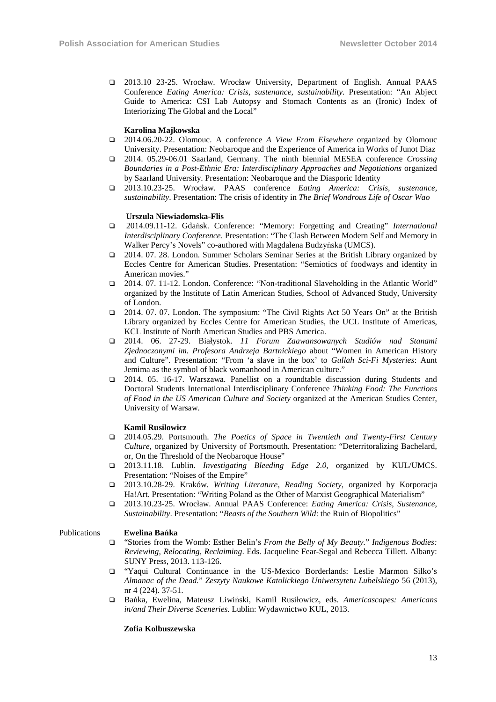2013.10 23-25. Wrocław. Wrocław University, Department of English. Annual PAAS Conference *Eating America: Crisis, sustenance, sustainability*. Presentation: "An Abject Guide to America: CSI Lab Autopsy and Stomach Contents as an (Ironic) Index of Interiorizing The Global and the Local"

#### **Karolina Majkowska**

- 2014.06.20-22. Olomouc. A conference *A View From Elsewhere* organized by Olomouc University. Presentation: Neobaroque and the Experience of America in Works of Junot Diaz
- 2014. 05.29-06.01 Saarland, Germany. The ninth biennial MESEA conference *Crossing Boundaries in a Post-Ethnic Era: Interdisciplinary Approaches and Negotiations* organized by Saarland University. Presentation: Neobaroque and the Diasporic Identity
- 2013.10.23-25. Wrocław. PAAS conference *Eating America: Crisis, sustenance, sustainability*. Presentation: The crisis of identity in *The Brief Wondrous Life of Oscar Wao*

#### **Urszula Niewiadomska-Flis**

- 2014.09.11-12. Gdańsk. Conference: "Memory: Forgetting and Creating" *International Interdisciplinary Conference*. Presentation: "The Clash Between Modern Self and Memory in Walker Percy's Novels" co-authored with Magdalena Budzyńska (UMCS).
- 2014. 07. 28. London. Summer Scholars Seminar Series at the British Library organized by Eccles Centre for American Studies. Presentation: "Semiotics of foodways and identity in American movies."
- 2014. 07. 11-12. London. Conference: "Non-traditional Slaveholding in the Atlantic World" organized by the Institute of Latin American Studies, School of Advanced Study, University of London.
- 2014. 07. 07. London. The symposium: "The Civil Rights Act 50 Years On" at the British Library organized by Eccles Centre for American Studies, the UCL Institute of Americas, KCL Institute of North American Studies and PBS America.
- 2014. 06. 27-29. Białystok. *11 Forum Zaawansowanych Studiów nad Stanami Zjednoczonymi im. Profesora Andrzeja Bartnickiego* about "Women in American History and Culture". Presentation: "From 'a slave in the box' to *Gullah Sci-Fi Mysteries*: Aunt Jemima as the symbol of black womanhood in American culture."
- 2014. 05. 16-17. Warszawa. Panellist on a roundtable discussion during Students and Doctoral Students International Interdisciplinary Conference *Thinking Food: The Functions of Food in the US American Culture and Society* organized at the American Studies Center, University of Warsaw.

#### **Kamil Rusiłowicz**

- 2014.05.29. Portsmouth. *The Poetics of Space in Twentieth and Twenty-First Century Culture,* organized by University of Portsmouth. Presentation: "Deterritoralizing Bachelard, or, On the Threshold of the Neobaroque House"
- 2013.11.18. Lublin. *Investigating Bleeding Edge 2.0,* organized by KUL/UMCS. Presentation: "Noises of the Empire"
- 2013.10.28-29. Kraków. *Writing Literature, Reading Society*, organized by Korporacja Ha!Art. Presentation: "Writing Poland as the Other of Marxist Geographical Materialism"
- 2013.10.23-25. Wrocław. Annual PAAS Conference: *Eating America: Crisis, Sustenance, Sustainability*. Presentation: "*Beasts of the Southern Wild*: the Ruin of Biopolitics"

#### Publications **Ewelina Bańka**

- "Stories from the Womb: Esther Belin's *From the Belly of My Beauty.*" *Indigenous Bodies: Reviewing, Relocating, Reclaiming*. Eds. Jacqueline Fear-Segal and Rebecca Tillett. Albany: SUNY Press, 2013. 113-126.
- "Yaqui Cultural Continuance in the US-Mexico Borderlands: Leslie Marmon Silko's *Almanac of the Dead.*" *Zeszyty Naukowe Katolickiego Uniwersytetu Lubelskiego* 56 (2013), nr 4 (224). 37-51.
- Bańka, Ewelina, Mateusz Liwiński, Kamil Rusiłowicz, eds. *Americascapes: Americans in/and Their Diverse Sceneries.* Lublin: Wydawnictwo KUL, 2013.

#### **Zofia Kolbuszewska**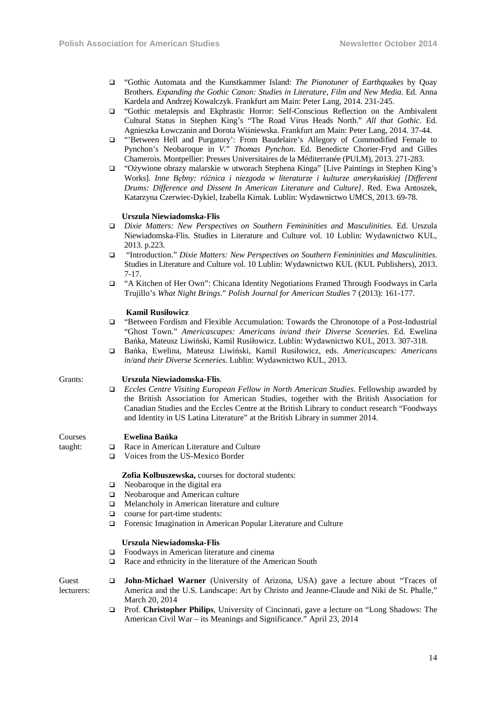- "Gothic Automata and the Kunstkammer Island: *The Pianotuner of Earthquakes* by Quay Brothers. *Expanding the Gothic Canon: Studies in Literature, Film and New Media*. Ed. Anna Kardela and Andrzej Kowalczyk. Frankfurt am Main: Peter Lang, 2014. 231-245.
- "Gothic metalepsis and Ekphrastic Horror: Self-Conscious Reflection on the Ambivalent Cultural Status in Stephen King's "The Road Virus Heads North." *All that Gothic*. Ed. Agnieszka Łowczanin and Dorota Wiśniewska. Frankfurt am Main: Peter Lang, 2014. 37-44.
- "'Between Hell and Purgatory': From Baudelaire's Allegory of Commodified Female to Pynchon's Neobaroque in *V.*" *Thomas Pynchon*. Ed. Benedicte Chorier-Fryd and Gilles Chamerois. Montpellier: Presses Universitaires de la Méditerranée (PULM), 2013. 271-283.
- "Ożywione obrazy malarskie w utworach Stephena Kinga" [Live Paintings in Stephen King's Works]. *Inne Bębny: różnica i niezgoda w literaturze i kulturze amerykańskiej [Different Drums: Difference and Dissent In American Literature and Culture]*. Red. Ewa Antoszek, Katarzyna Czerwiec-Dykiel, Izabella Kimak. Lublin: Wydawnictwo UMCS, 2013. 69-78.

#### **Urszula Niewiadomska-Flis**

- *Dixie Matters: New Perspectives on Southern Femininities and Masculinities*. Ed. Urszula Niewiadomska-Flis. Studies in Literature and Culture vol. 10 Lublin: Wydawnictwo KUL, 2013. p.223.
- "Introduction." *Dixie Matters: New Perspectives on Southern Femininities and Masculinities*. Studies in Literature and Culture vol. 10 Lublin: Wydawnictwo KUL (KUL Publishers), 2013. 7-17.
- "A Kitchen of Her Own": Chicana Identity Negotiations Framed Through Foodways in Carla Trujillo's *What Night Brings*." *Polish Journal for American Studies* 7 (2013): 161-177.

#### **Kamil Rusiłowicz**

- "Between Fordism and Flexible Accumulation: Towards the Chronotope of a Post-Industrial "Ghost Town." *Americascapes: Americans in/and their Diverse Sceneries*. Ed. Ewelina Bańka, Mateusz Liwiński, Kamil Rusiłowicz. Lublin: Wydawnictwo KUL, 2013. 307-318.
- Bańka, Ewelina, Mateusz Liwiński, Kamil Rusiłowicz, eds. *Americascapes: Americans in/and their Diverse Sceneries*. Lublin: Wydawnictwo KUL, 2013.

#### Grants: **Urszula Niewiadomska-Flis**.

 *Eccles Centre Visiting European Fellow in North American Studies*. Fellowship awarded by the British Association for American Studies, together with the British Association for Canadian Studies and the Eccles Centre at the British Library to conduct research "Foodways and Identity in US Latina Literature" at the British Library in summer 2014.

#### Courses  **Ewelina Bańka**

taught:

Race in American Literature and Culture Voices from the US-Mexico Border

### **Zofia Kolbuszewska,** courses for doctoral students:

- $\Box$  Neobaroque in the digital era
- Neobaroque and American culture
- Melancholy in American literature and culture
- course for part-time students:
- Forensic Imagination in American Popular Literature and Culture

#### **Urszula Niewiadomska-Flis**

- Foodways in American literature and cinema
- □ Race and ethnicity in the literature of the American South

| Guest      | <b>John-Michael Warner</b> (University of Arizona, USA) gave a lecture about "Traces of   |
|------------|-------------------------------------------------------------------------------------------|
| lecturers: | America and the U.S. Landscape: Art by Christo and Jeanne-Claude and Niki de St. Phalle," |
|            | March 20, 2014                                                                            |

 Prof. **Christopher Philips**, University of Cincinnati, gave a lecture on "Long Shadows: The American Civil War – its Meanings and Significance." April 23, 2014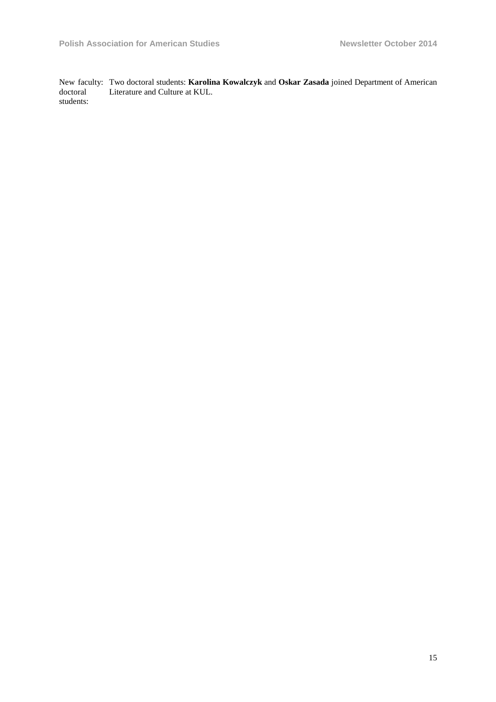New faculty: doctoral students: Two doctoral students: **Karolina Kowalczyk** and **Oskar Zasada** joined Department of American Literature and Culture at KUL.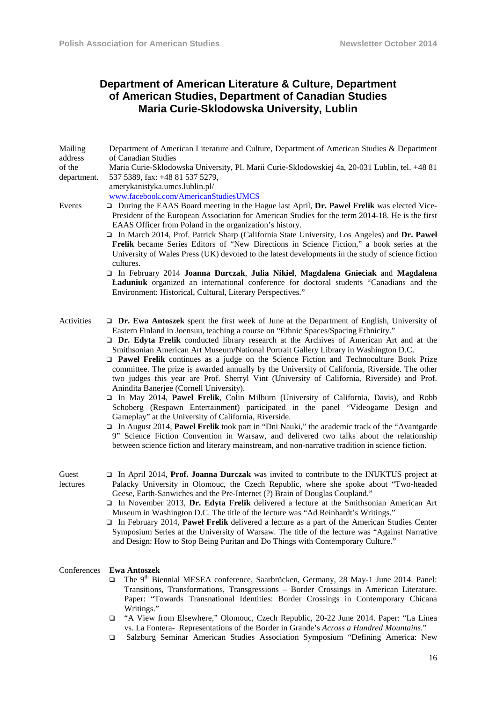# **Department of American Literature & Culture, Department of American Studies, Department of Canadian Studies Maria Curie-Sklodowska University, Lublin**

| Mailing<br>address    | Department of American Literature and Culture, Department of American Studies & Department<br>of Canadian Studies                                                                                                                                                                                                                                                                                                                                                                                                                                                                                                                                                                                                                                                                                                                                                                                                                                                                                                                                                                                                                                                                                                                                                          |
|-----------------------|----------------------------------------------------------------------------------------------------------------------------------------------------------------------------------------------------------------------------------------------------------------------------------------------------------------------------------------------------------------------------------------------------------------------------------------------------------------------------------------------------------------------------------------------------------------------------------------------------------------------------------------------------------------------------------------------------------------------------------------------------------------------------------------------------------------------------------------------------------------------------------------------------------------------------------------------------------------------------------------------------------------------------------------------------------------------------------------------------------------------------------------------------------------------------------------------------------------------------------------------------------------------------|
| of the<br>department. | Maria Curie-Sklodowska University, Pl. Marii Curie-Sklodowskiej 4a, 20-031 Lublin, tel. +48 81<br>537 5389, fax: +48 81 537 5279,<br>amerykanistyka.umcs.lublin.pl/<br>www.facebook.com/AmericanStudiesUMCS                                                                                                                                                                                                                                                                                                                                                                                                                                                                                                                                                                                                                                                                                                                                                                                                                                                                                                                                                                                                                                                                |
| Events                | During the EAAS Board meeting in the Hague last April, Dr. Pawel Frelik was elected Vice-<br>President of the European Association for American Studies for the term 2014-18. He is the first<br>EAAS Officer from Poland in the organization's history.<br>$\Box$ In March 2014, Prof. Patrick Sharp (California State University, Los Angeles) and Dr. Paweł<br>Frelik became Series Editors of "New Directions in Science Fiction," a book series at the<br>University of Wales Press (UK) devoted to the latest developments in the study of science fiction<br>cultures.<br>In February 2014 Joanna Durczak, Julia Nikiel, Magdalena Gnieciak and Magdalena<br>Laduniuk organized an international conference for doctoral students "Canadians and the<br>Environment: Historical, Cultural, Literary Perspectives."                                                                                                                                                                                                                                                                                                                                                                                                                                                  |
| Activities            | $\Box$ Dr. Ewa Antoszek spent the first week of June at the Department of English, University of<br>Eastern Finland in Joensuu, teaching a course on "Ethnic Spaces/Spacing Ethnicity."<br>$\Box$ Dr. Edyta Frelik conducted library research at the Archives of American Art and at the<br>Smithsonian American Art Museum/National Portrait Gallery Library in Washington D.C.<br><b>D</b> Pawel Frelik continues as a judge on the Science Fiction and Technoculture Book Prize<br>committee. The prize is awarded annually by the University of California, Riverside. The other<br>two judges this year are Prof. Sherryl Vint (University of California, Riverside) and Prof.<br>Anindita Banerjee (Cornell University).<br>In May 2014, Paweł Frelik, Colin Milburn (University of California, Davis), and Robb<br>Schoberg (Respawn Entertainment) participated in the panel "Videogame Design and<br>Gameplay" at the University of California, Riverside.<br>$\Box$ In August 2014, Paweł Frelik took part in "Dni Nauki," the academic track of the "Avantgarde"<br>9" Science Fiction Convention in Warsaw, and delivered two talks about the relationship<br>between science fiction and literary mainstream, and non-narrative tradition in science fiction. |
| Guest<br>lectures     | $\Box$ In April 2014, <b>Prof. Joanna Durczak</b> was invited to contribute to the INUKTUS project at<br>Palacky University in Olomouc, the Czech Republic, where she spoke about "Two-headed"<br>Geese, Earth-Sanwiches and the Pre-Internet (?) Brain of Douglas Coupland."<br>$\Box$ In November 2013, Dr. Edyta Frelik delivered a lecture at the Smithsonian American Art<br>Museum in Washington D.C. The title of the lecture was "Ad Reinhardt's Writings."<br>$\Box$ In February 2014, Pawel Frelik delivered a lecture as a part of the American Studies Center<br>Symposium Series at the University of Warsaw. The title of the lecture was "Against Narrative"<br>and Design: How to Stop Being Puritan and Do Things with Contemporary Culture."                                                                                                                                                                                                                                                                                                                                                                                                                                                                                                             |
| Conferences           | <b>Ewa Antoszek</b><br>The 9 <sup>th</sup> Biennial MESEA conference, Saarbrücken, Germany, 28 May-1 June 2014. Panel:<br>$\Box$<br>Transitions, Transformations, Transgressions - Border Crossings in American Literature.<br>Paper: "Towards Transnational Identities: Border Crossings in Contemporary Chicana<br>Writings."                                                                                                                                                                                                                                                                                                                                                                                                                                                                                                                                                                                                                                                                                                                                                                                                                                                                                                                                            |

- "A View from Elsewhere," Olomouc, Czech Republic, 20-22 June 2014. Paper: "La Línea vs. La Fontera- Representations of the Border in Grande's *Across a Hundred Mountains*."
- Salzburg Seminar American Studies Association Symposium "Defining America: New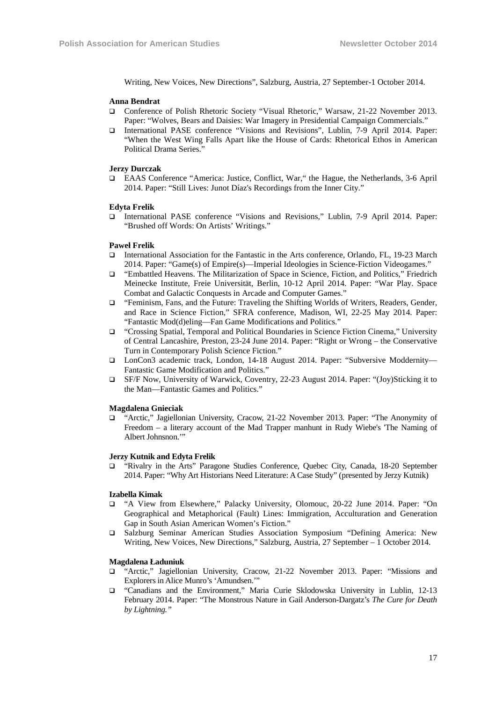Writing, New Voices, New Directions", Salzburg, Austria, 27 September-1 October 2014.

#### **Anna Bendrat**

- Conference of Polish Rhetoric Society "Visual Rhetoric," Warsaw, 21-22 November 2013. Paper: "Wolves, Bears and Daisies: War Imagery in Presidential Campaign Commercials."
- International PASE conference "Visions and Revisions", Lublin, 7-9 April 2014. Paper: "When the West Wing Falls Apart like the House of Cards: Rhetorical Ethos in American Political Drama Series."

#### **Jerzy Durczak**

 EAAS Conference "America: Justice, Conflict, War," the Hague, the Netherlands, 3-6 April 2014. Paper: "Still Lives: Junot Díaz's Recordings from the Inner City."

#### **Edyta Frelik**

 International PASE conference "Visions and Revisions," Lublin, 7-9 April 2014. Paper: "Brushed off Words: On Artists' Writings."

#### **Paweł Frelik**

- International Association for the Fantastic in the Arts conference, Orlando, FL, 19-23 March 2014. Paper: "Game(s) of Empire(s)—Imperial Ideologies in Science-Fiction Videogames."
- "Embattled Heavens. The Militarization of Space in Science, Fiction, and Politics," Friedrich Meinecke Institute, Freie Universität, Berlin, 10-12 April 2014. Paper: "War Play. Space Combat and Galactic Conquests in Arcade and Computer Games."
- "Feminism, Fans, and the Future: Traveling the Shifting Worlds of Writers, Readers, Gender, and Race in Science Fiction," SFRA conference, Madison, WI, 22-25 May 2014. Paper: "Fantastic Mod(d)eling—Fan Game Modifications and Politics."
- "Crossing Spatial, Temporal and Political Boundaries in Science Fiction Cinema," University of Central Lancashire, Preston, 23-24 June 2014. Paper: "Right or Wrong – the Conservative Turn in Contemporary Polish Science Fiction."
- LonCon3 academic track, London, 14-18 August 2014. Paper: "Subversive Moddernity— Fantastic Game Modification and Politics."
- SF/F Now, University of Warwick, Coventry, 22-23 August 2014. Paper: "(Joy)Sticking it to the Man—Fantastic Games and Politics."

#### **Magdalena Gnieciak**

 "Arctic," Jagiellonian University, Cracow, 21-22 November 2013. Paper: "The Anonymity of Freedom – a literary account of the Mad Trapper manhunt in Rudy Wiebe's 'The Naming of Albert Johnsnon.'"

#### **Jerzy Kutnik and Edyta Frelik**

 "Rivalry in the Arts" Paragone Studies Conference, Quebec City, Canada, 18-20 September 2014. Paper: "Why Art Historians Need Literature: A Case Study" (presented by Jerzy Kutnik)

#### **Izabella Kimak**

- "A View from Elsewhere," Palacky University, Olomouc, 20-22 June 2014. Paper: "On Geographical and Metaphorical (Fault) Lines: Immigration, Acculturation and Generation Gap in South Asian American Women's Fiction."
- Salzburg Seminar American Studies Association Symposium "Defining America: New Writing, New Voices, New Directions," Salzburg, Austria, 27 September – 1 October 2014.

#### **Magdalena Ładuniuk**

- "Arctic," Jagiellonian University, Cracow, 21-22 November 2013. Paper: "Missions and Explorers in Alice Munro's 'Amundsen.'"
- "Canadians and the Environment," Maria Curie Sklodowska University in Lublin, 12-13 February 2014. Paper: "The Monstrous Nature in Gail Anderson-Dargatz's *The Cure for Death by Lightning."*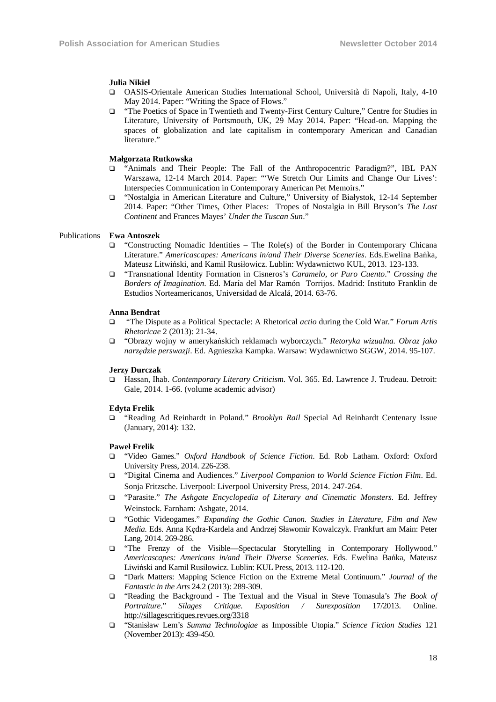#### **Julia Nikiel**

- OASIS-Orientale American Studies International School, Università di Napoli, Italy, 4-10 May 2014. Paper: "Writing the Space of Flows."
- "The Poetics of Space in Twentieth and Twenty-First Century Culture," Centre for Studies in Literature, University of Portsmouth, UK, 29 May 2014. Paper: "Head-on. Mapping the spaces of globalization and late capitalism in contemporary American and Canadian literature.'

#### **Małgorzata Rutkowska**

- "Animals and Their People: The Fall of the Anthropocentric Paradigm?", IBL PAN Warszawa, 12-14 March 2014. Paper: "'We Stretch Our Limits and Change Our Lives': Interspecies Communication in Contemporary American Pet Memoirs."
- "Nostalgia in American Literature and Culture," University of Białystok, 12-14 September 2014. Paper: "Other Times, Other Places: Tropes of Nostalgia in Bill Bryson's *The Lost Continent* and Frances Mayes' *Under the Tuscan Sun*."

#### Publications **Ewa Antoszek**

- $\Box$  "Constructing Nomadic Identities The Role(s) of the Border in Contemporary Chicana Literature." *Americascapes: Americans in/and Their Diverse Sceneries*. Eds.Ewelina Bańka, Mateusz Litwiński, and Kamil Rusiłowicz. Lublin: Wydawnictwo KUL, 2013. 123-133.
- "Transnational Identity Formation in Cisneros's *Caramelo, or Puro Cuento*." *Crossing the Borders of Imagination*. Ed. María del Mar Ramón Torrijos. Madrid: Instituto Franklin de Estudios Norteamericanos, Universidad de Alcalá, 2014. 63-76.

#### **Anna Bendrat**

- "The Dispute as a Political Spectacle: A Rhetorical *actio* during the Cold War*.*" *Forum Artis Rhetoricae* 2 (2013): 21-34.
- "Obrazy wojny w amerykańskich reklamach wyborczych." *Retoryka wizualna. Obraz jako narzędzie perswazji*. Ed. Agnieszka Kampka. Warsaw: Wydawnictwo SGGW, 2014. 95-107.

#### **Jerzy Durczak**

 Hassan, Ihab. *Contemporary Literary Criticism.* Vol. 365. Ed. Lawrence J. Trudeau. Detroit: Gale, 2014. 1-66. (volume academic advisor)

#### **Edyta Frelik**

 "Reading Ad Reinhardt in Poland." *Brooklyn Rail* Special Ad Reinhardt Centenary Issue (January, 2014): 132.

#### **Paweł Frelik**

- "Video Games." *Oxford Handbook of Science Fiction*. Ed. Rob Latham. Oxford: Oxford University Press, 2014. 226-238.
- "Digital Cinema and Audiences." *Liverpool Companion to World Science Fiction Film*. Ed. Sonja Fritzsche. Liverpool: Liverpool University Press, 2014. 247-264.
- "Parasite." *The Ashgate Encyclopedia of Literary and Cinematic Monsters*. Ed. Jeffrey Weinstock. Farnham: Ashgate, 2014.
- "Gothic Videogames." *Expanding the Gothic Canon. Studies in Literature, Film and New Media.* Eds. Anna Kędra-Kardela and Andrzej Sławomir Kowalczyk. Frankfurt am Main: Peter Lang, 2014. 269-286.
- "The Frenzy of the Visible—Spectacular Storytelling in Contemporary Hollywood." *Americascapes: Americans in/and Their Diverse Sceneries*. Eds. Ewelina Bańka, Mateusz Liwiński and Kamil Rusiłowicz. Lublin: KUL Press, 2013. 112-120.
- "Dark Matters: Mapping Science Fiction on the Extreme Metal Continuum." *Journal of the Fantastic in the Arts* 24.2 (2013): 289-309.
- "Reading the Background The Textual and the Visual in Steve Tomasula's *The Book of Portraiture*." *Silages Critique. Exposition / Surexposition* 17/2013. Online. http://sillagescritiques.revues.org/3318
- "Stanisław Lem's *Summa Technologiae* as Impossible Utopia." *Science Fiction Studies* 121 (November 2013): 439-450.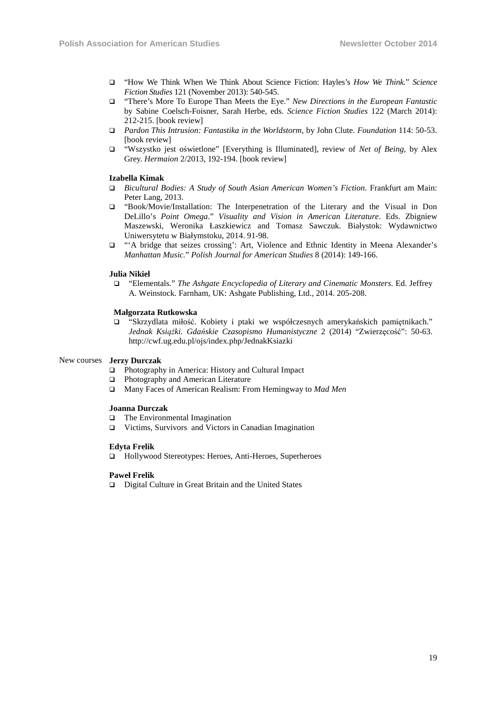- "How We Think When We Think About Science Fiction: Hayles's *How We Think.*" *Science Fiction Studies* 121 (November 2013): 540-545.
- "There's More To Europe Than Meets the Eye." *New Directions in the European Fantastic* by Sabine Coelsch-Foisner, Sarah Herbe, eds. *Science Fiction Studies* 122 (March 2014): 212-215. [book review]
- *Pardon This Intrusion: Fantastika in the Worldstorm*, by John Clute. *Foundation* 114: 50-53. [book review]
- "Wszystko jest oświetlone" [Everything is Illuminated], review of *Net of Being*, by Alex Grey. *Hermaion* 2/2013, 192-194. [book review]

#### **Izabella Kimak**

- *Bicultural Bodies: A Study of South Asian American Women's Fiction*. Frankfurt am Main: Peter Lang, 2013.
- "Book/Movie/Installation: The Interpenetration of the Literary and the Visual in Don DeLillo's *Point Omega*." *Visuality and Vision in American Literature*. Eds. Zbigniew Maszewski, Weronika Łaszkiewicz and Tomasz Sawczuk. Białystok: Wydawnictwo Uniwersytetu w Białymstoku, 2014. 91-98.
- "'A bridge that seizes crossing': Art, Violence and Ethnic Identity in Meena Alexander's *Manhattan Music.*" *Polish Journal for American Studies* 8 (2014): 149-166.

#### **Julia Nikiel**

 "Elementals." *The Ashgate Encyclopedia of Literary and Cinematic Monsters*. Ed. Jeffrey A. Weinstock. Farnham, UK: Ashgate Publishing, Ltd., 2014. 205-208.

#### **Małgorzata Rutkowska**

 "Skrzydlata miłość. Kobiety i ptaki we współczesnych amerykańskich pamiętnikach." *Jednak Książki. Gdańskie Czasopismo Humanistyczne* 2 (2014) "Zwierzęcość": 50-63. http://cwf.ug.edu.pl/ojs/index.php/JednakKsiazki

#### New courses **Jerzy Durczak**

- Photography in America: History and Cultural Impact
- **Photography and American Literature**
- Many Faces of American Realism: From Hemingway to *Mad Men*

#### **Joanna Durczak**

- □ The Environmental Imagination
- Victims, Survivors and Victors in Canadian Imagination

#### **Edyta Frelik**

□ Hollywood Stereotypes: Heroes, Anti-Heroes, Superheroes

#### **Paweł Frelik**

Digital Culture in Great Britain and the United States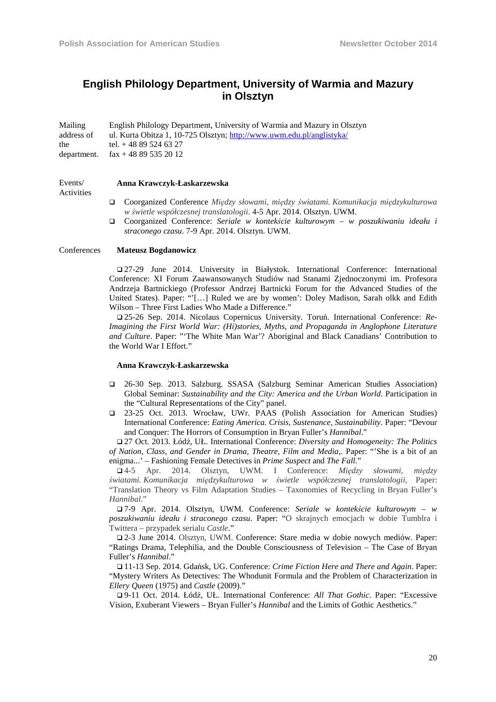# **English Philology Department, University of Warmia and Mazury in Olsztyn**

| Mailing     | English Philology Department, University of Warmia and Mazury in Olsztyn |
|-------------|--------------------------------------------------------------------------|
| address of  | ul. Kurta Obitza 1, 10-725 Olsztyn; http://www.uwm.edu.pl/anglistyka/    |
| the         | tel. $+48895246327$                                                      |
| department. | $\text{fax} + 48895352012$                                               |

#### **Anna Krawczyk-Łaskarzewska**

Events/ Activities

- Coorganized Conference *Między słowami, między światami. Komunikacja międzykulturowa w świetle współczesnej translatologii*. 4-5 Apr. 2014. Olsztyn. UWM.
- Coorganized Conference: *Seriale w kontekście kulturowym w poszukiwaniu ideału i straconego czasu*. 7-9 Apr. 2014. Olsztyn. UWM.

### Conferences **Mateusz Bogdanowicz**

 27-29 June 2014. University in Białystok. International Conference: International Conference: XI Forum Zaawansowanych Studiów nad Stanami Zjednoczonymi im. Profesora Andrzeja Bartnickiego (Professor Andrzej Bartnicki Forum for the Advanced Studies of the United States). Paper: "'[…] Ruled we are by women': Doley Madison, Sarah olkk and Edith Wilson – Three First Ladies Who Made a Difference."

 25-26 Sep. 2014. Nicolaus Copernicus University. Toruń. International Conference: *Re-Imagining the First World War: (Hi)stories, Myths, and Propaganda in Anglophone Literature and Culture*. Paper: "'The White Man War'? Aboriginal and Black Canadians' Contribution to the World War I Effort."

#### **Anna Krawczyk-Łaskarzewska**

- 26-30 Sep. 2013. Salzburg. SSASA (Salzburg Seminar American Studies Association) Global Seminar: *Sustainability and the City: America and the Urban World*. Participation in the "Cultural Representations of the City" panel.
- 23-25 Oct. 2013. Wrocław, UWr. PAAS (Polish Association for American Studies) International Conference: *Eating America. Crisis, Sustenance, Sustainability*. Paper: "Devour and Conquer: The Horrors of Consumption in Bryan Fuller's *Hannibal*."

 27 Oct. 2013. Łódź, UŁ. International Conference: *Diversity and Homogeneity: The Politics of Nation, Class, and Gender in Drama, Theatre, Film and Media*,. Paper: "'She is a bit of an enigma...' – Fashioning Female Detectives in *Prime Suspect* and *The Fall.*"

 4-5 Apr. 2014. Olsztyn, UWM. I Conference: *Między słowami, między światami. Komunikacja międzykulturowa w świetle współczesnej translatologii*, Paper: "Translation Theory vs Film Adaptation Studies – Taxonomies of Recycling in Bryan Fuller's *Hannibal*."

 7-9 Apr. 2014. Olsztyn, UWM. Conference: *Seriale w kontekście kulturowym – w poszukiwaniu ideału i straconego czasu*. Paper: "O skrajnych emocjach w dobie Tumblra i Twittera – przypadek serialu *Castle*."

 2-3 June 2014. Olsztyn, UWM. Conference: Stare media w dobie nowych mediów. Paper: "Ratings Drama, Telephilia, and the Double Consciousness of Television – The Case of Bryan Fuller's *Hannibal*."

 11-13 Sep. 2014. Gdańsk, UG. Conference: *Crime Fiction Here and There and Again*. Paper: "Mystery Writers As Detectives: The Whodunit Formula and the Problem of Characterization in *Ellery Queen* (1975) and *Castle* (2009)."

 9-11 Oct. 2014. Łódź, UŁ. International Conference: *All That Gothic*. Paper: "Excessive Vision, Exuberant Viewers – Bryan Fuller's *Hannibal* and the Limits of Gothic Aesthetics."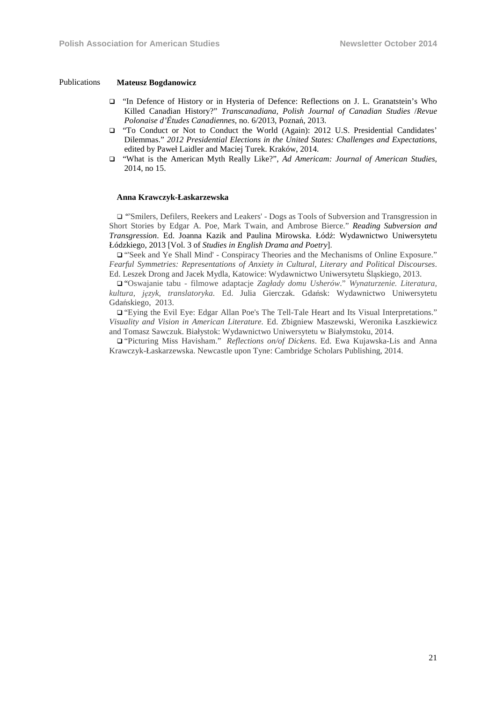#### Publications **Mateusz Bogdanowicz**

- "In Defence of History or in Hysteria of Defence: Reflections on J. L. Granatstein's Who Killed Canadian History?" *Transcanadiana, Polish Journal of Canadian Studies* /*Revue Polonaise d'Études Canadiennes*, no. 6/2013, Poznań, 2013.
- "To Conduct or Not to Conduct the World (Again): 2012 U.S. Presidential Candidates' Dilemmas." *2012 Presidential Elections in the United States: Challenges and Expectations*, edited by Paweł Laidler and Maciej Turek. Kraków, 2014.
- "What is the American Myth Really Like?", *Ad Americam: Journal of American Studies*, 2014, no 15.

#### **Anna Krawczyk-Łaskarzewska**

 "'Smilers, Defilers, Reekers and Leakers' - Dogs as Tools of Subversion and Transgression in Short Stories by Edgar A. Poe, Mark Twain, and Ambrose Bierce." *Reading Subversion and Transgression*. Ed. Joanna Kazik and Paulina Mirowska. Łódź: Wydawnictwo Uniwersytetu Łódzkiego, 2013 [Vol. 3 of *Studies in English Drama and Poetry*].

 "'Seek and Ye Shall Mind' - Conspiracy Theories and the Mechanisms of Online Exposure." *Fearful Symmetries: Representations of Anxiety in Cultural, Literary and Political Discourses*. Ed. Leszek Drong and Jacek Mydla, Katowice: Wydawnictwo Uniwersytetu Śląskiego, 2013.

 "Oswajanie tabu - filmowe adaptacje *Zagłady domu Usherów*." *Wynaturzenie. Literatura, kultura, język, translatoryka.* Ed. Julia Gierczak. Gdańsk: Wydawnictwo Uniwersytetu Gdańskiego, 2013.

 "Eying the Evil Eye: Edgar Allan Poe's The Tell-Tale Heart and Its Visual Interpretations." *Visuality and Vision in American Literature.* Ed. Zbigniew Maszewski, Weronika Łaszkiewicz and Tomasz Sawczuk. Białystok: Wydawnictwo Uniwersytetu w Białymstoku, 2014.

 "Picturing Miss Havisham." *Reflections on/of Dickens*. Ed. Ewa Kujawska-Lis and Anna Krawczyk-Łaskarzewska. Newcastle upon Tyne: Cambridge Scholars Publishing, 2014.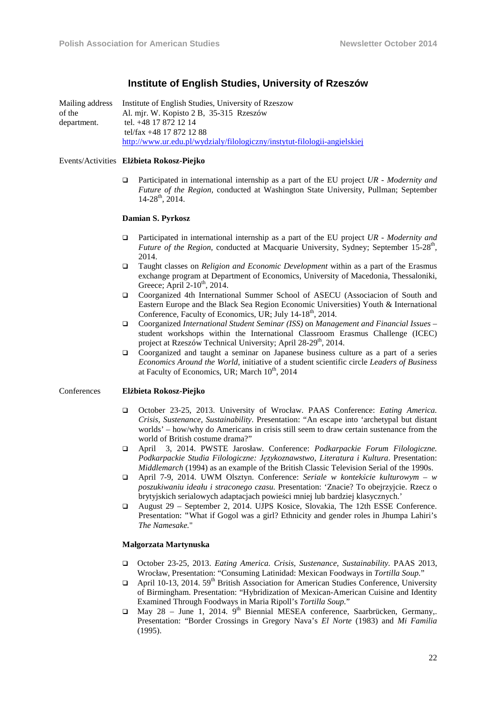### **Institute of English Studies, University of Rzeszów**

Mailing address of the department. Institute of English Studies, University of Rzeszow Al. mjr. W. Kopisto 2 B, 35-315 Rzeszów tel. +48 17 872 12 14 tel/fax +48 17 872 12 88 http://www.ur.edu.pl/wydzialy/filologiczny/instytut-filologii-angielskiej

#### Events/Activities **Elżbieta Rokosz-Piejko**

 Participated in international internship as a part of the EU project *UR - Modernity and Future of the Region,* conducted at Washington State University, Pullman; September 14-28<sup>th</sup>, 2014.

#### **Damian S. Pyrkosz**

- Participated in international internship as a part of the EU project *UR Modernity and Future of the Region, conducted at Macquarie University, Sydney; September 15-28<sup>th</sup>,* 2014.
- Taught classes on *Religion and Economic Development* within as a part of the Erasmus exchange program at Department of Economics, University of Macedonia, Thessaloniki, Greece; April  $2-10^{th}$ ,  $2014$ .
- Coorganized 4th International Summer School of ASECU (Associacion of South and Eastern Europe and the Black Sea Region Economic Universities) Youth & International Conference, Faculty of Economics, UR; July 14-18<sup>th</sup>, 2014.
- Coorganized *International Student Seminar (ISS)* on *Management and Financial Issues* student workshops within the International Classroom Erasmus Challenge (ICEC) project at Rzeszów Technical University; April 28-29<sup>th</sup>, 2014.
- Coorganized and taught a seminar on Japanese business culture as a part of a series *Economics Around the World*, initiative of a student scientific circle *Leaders of Business* at Faculty of Economics, UR; March  $10^{th}$ , 2014

#### Conferences **Elżbieta Rokosz-Piejko**

- October 23-25, 2013. University of Wrocław. PAAS Conference: *Eating America. Crisis, Sustenance, Sustainability*. Presentation: "An escape into 'archetypal but distant worlds' – how/why do Americans in crisis still seem to draw certain sustenance from the world of British costume drama?"
- April 3, 2014. PWSTE Jarosław. Conference: *Podkarpackie Forum Filologiczne. Podkarpackie Studia Filologiczne: Językoznawstwo, Literatura i Kultura*. Presentation: *Middlemarch* (1994) as an example of the British Classic Television Serial of the 1990s.
- April 7-9, 2014. UWM Olsztyn. Conference: *Seriale w kontekście kulturowym w poszukiwaniu ideału i straconego czasu.* Presentation: 'Znacie? To obejrzyjcie. Rzecz o brytyjskich serialowych adaptacjach powieści mniej lub bardziej klasycznych.'
- August 29 September 2, 2014. UJPS Kosice, Slovakia, The 12th ESSE Conference. Presentation: **"**What if Gogol was a girl? Ethnicity and gender roles in Jhumpa Lahiri's *The Namesake.*"

#### **Małgorzata Martynuska**

- October 23-25, 2013. *Eating America. Crisis, Sustenance, Sustainability.* PAAS 2013, Wrocław, Presentation: "Consuming Latinidad: Mexican Foodways in *Tortilla Soup.*"
- $\Box$  April 10-13, 2014. 59<sup>th</sup> British Association for American Studies Conference, University of Birmingham. Presentation: "Hybridization of Mexican-American Cuisine and Identity Examined Through Foodways in Maria Ripoll's *Tortilla Soup.*"
- $\Box$  May 28 June 1, 2014. 9<sup>th</sup> Biennial MESEA conference, Saarbrücken, Germany,. Presentation: "Border Crossings in Gregory Nava's *El Norte* (1983) and *Mi Familia* (1995).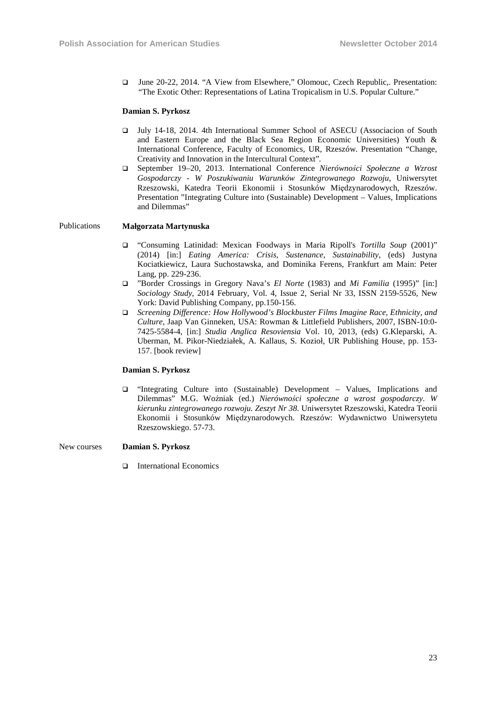June 20-22, 2014. "A View from Elsewhere," Olomouc, Czech Republic,. Presentation: "The Exotic Other: Representations of Latina Tropicalism in U.S. Popular Culture."

#### **Damian S. Pyrkosz**

- July 14-18, 2014. 4th International Summer School of ASECU (Associacion of South and Eastern Europe and the Black Sea Region Economic Universities) Youth & International Conference, Faculty of Economics, UR, Rzeszów. Presentation "Change, Creativity and Innovation in the Intercultural Context"*.*
- September 19–20, 2013. International Conference *Nierówności Społeczne a Wzrost Gospodarczy - W Poszukiwaniu Warunków Zintegrowanego Rozwoju*, Uniwersytet Rzeszowski, Katedra Teorii Ekonomii i Stosunków Międzynarodowych, Rzeszów. Presentation "Integrating Culture into (Sustainable) Development – Values, Implications and Dilemmas"

#### Publications **Małgorzata Martynuska**

- "Consuming Latinidad: Mexican Foodways in Maria Ripoll's *Tortilla Soup* (2001)" (2014) [in:] *Eating America: Crisis, Sustenance*, *Sustainability*, (eds) Justyna Kociatkiewicz, Laura Suchostawska, and Dominika Ferens, Frankfurt am Main: Peter Lang, pp. 229-236.
- "Border Crossings in Gregory Nava's *El Norte* (1983) and *Mi Familia* (1995)" [in:] *Sociology Study*, 2014 February, Vol. 4, Issue 2, Serial Nr 33, ISSN 2159-5526, New York: David Publishing Company, pp.150-156.
- *Screening Difference: How Hollywood's Blockbuster Films Imagine Race, Ethnicity, and Culture*, Jaap Van Ginneken, USA: Rowman & Littlefield Publishers, 2007, ISBN-10:0- 7425-5584-4, [in:] *Studia Anglica Resoviensia* Vol. 10, 2013, (eds) G.Kleparski, A. Uberman, M. Pikor-Niedziałek, A. Kallaus, S. Kozioł, UR Publishing House, pp. 153- 157. [book review]

### **Damian S. Pyrkosz**

 "Integrating Culture into (Sustainable) Development – Values, Implications and Dilemmas" M.G. Woźniak (ed.) *Nierówności społeczne a wzrost gospodarczy. W kierunku zintegrowanego rozwoju. Zeszyt Nr 38.* Uniwersytet Rzeszowski, Katedra Teorii Ekonomii i Stosunków Międzynarodowych. Rzeszów: Wydawnictwo Uniwersytetu Rzeszowskiego. 57-73.

#### New courses **Damian S. Pyrkosz**

International Economics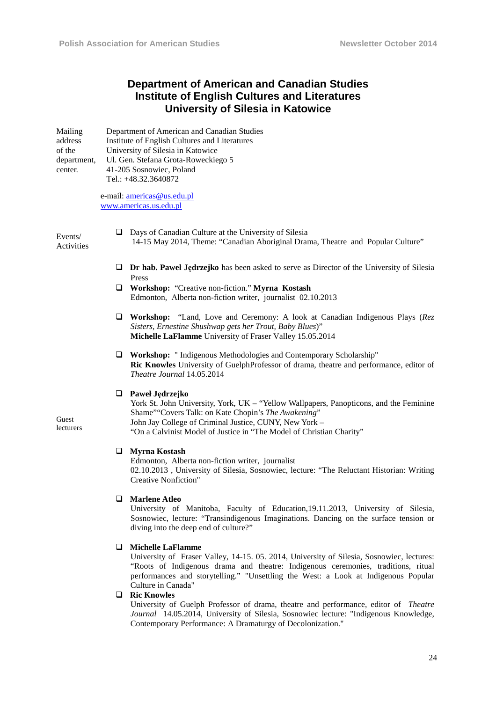# **Department of American and Canadian Studies Institute of English Cultures and Literatures University of Silesia in Katowice**

Mailing address of the department, center. Department of American and Canadian Studies Institute of English Cultures and Literatures University of Silesia in Katowice Ul. Gen. Stefana Grota-Roweckiego 5 41-205 Sosnowiec, Poland Tel.: +48.32.3640872

> e-mail: americas@us.edu.pl www.americas.us.edu.pl

Events/ Activities

Guest lecturers

- Days of Canadian Culture at the University of Silesia 14-15 May 2014, Theme: "Canadian Aboriginal Drama, Theatre and Popular Culture"
- **Dr hab. Paweł Jędrzejko** has been asked to serve as Director of the University of Silesia Press
- **Workshop:** "Creative non-fiction." **Myrna Kostash**  Edmonton, Alberta non-fiction writer, journalist 02.10.2013
- **Workshop:** "Land, Love and Ceremony: A look at Canadian Indigenous Plays (*Rez Sisters, Ernestine Shushwap gets her Trout, Baby Blues*)" **Michelle LaFlamme** University of Fraser Valley 15.05.2014
- **Workshop:** " Indigenous Methodologies and Contemporary Scholarship" **Ric Knowles** University of GuelphProfessor of drama, theatre and performance, editor of *Theatre Journal* 14.05.2014

### **Paweł Jędrzejko**

York St. John University, York, UK – "Yellow Wallpapers, Panopticons, and the Feminine Shame""Covers Talk: on Kate Chopin's *The Awakening*" John Jay College of Criminal Justice, CUNY, New York – "On a Calvinist Model of Justice in "The Model of Christian Charity"

#### **Myrna Kostash**

Edmonton, Alberta non-fiction writer, journalist 02.10.2013 , University of Silesia, Sosnowiec, lecture: "The Reluctant Historian: Writing Creative Nonfiction"

#### **Marlene Atleo**

University of Manitoba, Faculty of Education,19.11.2013, University of Silesia, Sosnowiec, lecture: "Transindigenous Imaginations. Dancing on the surface tension or diving into the deep end of culture?"

#### **Michelle LaFlamme**

University of Fraser Valley, 14-15. 05. 2014, University of Silesia, Sosnowiec, lectures: "Roots of Indigenous drama and theatre: Indigenous ceremonies, traditions, ritual performances and storytelling." "Unsettling the West: a Look at Indigenous Popular Culture in Canada"

#### **Ric Knowles**

University of Guelph Professor of drama, theatre and performance, editor of *Theatre Journal* 14.05.2014, University of Silesia, Sosnowiec lecture: "Indigenous Knowledge, Contemporary Performance: A Dramaturgy of Decolonization."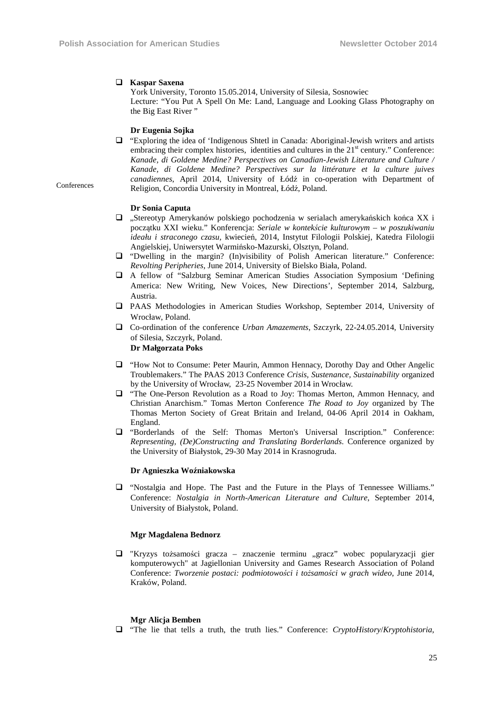#### **Kaspar Saxena**

York University, Toronto 15.05.2014, University of Silesia, Sosnowiec Lecture: "You Put A Spell On Me: Land, Language and Looking Glass Photography on the Big East River "

#### **Dr Eugenia Sojka**

 "Exploring the idea of 'Indigenous Shtetl in Canada: Aboriginal-Jewish writers and artists embracing their complex histories, identities and cultures in the 21<sup>st</sup> century." Conference: *Kanade, di Goldene Medine? Perspectives on Canadian-Jewish Literature and Culture / Kanade, di Goldene Medine? Perspectives sur la littérature et la culture juives canadiennes*, April 2014, University of Łódź in co-operation with Department of Religion, Concordia University in Montreal, Łódź, Poland.

**Conferences** 

#### **Dr Sonia Caputa**

- $\Box$  . Stereotyp Amerykanów polskiego pochodzenia w serialach amerykańskich końca XX i początku XXI wieku." Konferencja: *Seriale w kontekście kulturowym – w poszukiwaniu ideału i straconego czasu,* kwiecień, 2014, Instytut Filologii Polskiej, Katedra Filologii Angielskiej, Uniwersytet Warmińsko-Mazurski*,* Olsztyn, Poland.
- "Dwelling in the margin? (In)visibility of Polish American literature." Conference: *Revolting Peripheries*, June 2014, University of Bielsko Biała, Poland.
- A fellow of "Salzburg Seminar American Studies Association Symposium 'Defining America: New Writing, New Voices, New Directions', September 2014, Salzburg, Austria.
- PAAS Methodologies in American Studies Workshop, September 2014, University of Wrocław, Poland.
- Co-ordination of the conference *Urban Amazements*, Szczyrk, 22-24.05.2014, University of Silesia, Szczyrk, Poland.

**Dr Małgorzata Poks** 

- "How Not to Consume: Peter Maurin, Ammon Hennacy, Dorothy Day and Other Angelic Troublemakers." The PAAS 2013 Conference *Crisis, Sustenance, Sustainability* organized by the University of Wrocław, 23-25 November 2014 in Wrocław.
- "The One-Person Revolution as a Road to Joy: Thomas Merton, Ammon Hennacy, and Christian Anarchism." Tomas Merton Conference *The Road to Joy* organized by The Thomas Merton Society of Great Britain and Ireland, 04-06 April 2014 in Oakham, England.
- "Borderlands of the Self: Thomas Merton's Universal Inscription." Conference: *Representing, (De)Constructing and Translating Borderlands*. Conference organized by the University of Białystok, 29-30 May 2014 in Krasnogruda.

#### **Dr Agnieszka Woźniakowska**

 "Nostalgia and Hope. The Past and the Future in the Plays of Tennessee Williams." Conference: *Nostalgia in North-American Literature and Culture*, September 2014, University of Białystok, Poland.

#### **Mgr Magdalena Bednorz**

 $\Box$  "Kryzys tożsamości gracza – znaczenie terminu "gracz" wobec popularyzacji gier komputerowych" at Jagiellonian University and Games Research Association of Poland Conference: *Tworzenie postaci: podmiotowości i tożsamości w grach wideo*, June 2014, Kraków, Poland.

#### **Mgr Alicja Bemben**

"The lie that tells a truth, the truth lies." Conference: *CryptoHistory*/*Kryptohistoria*,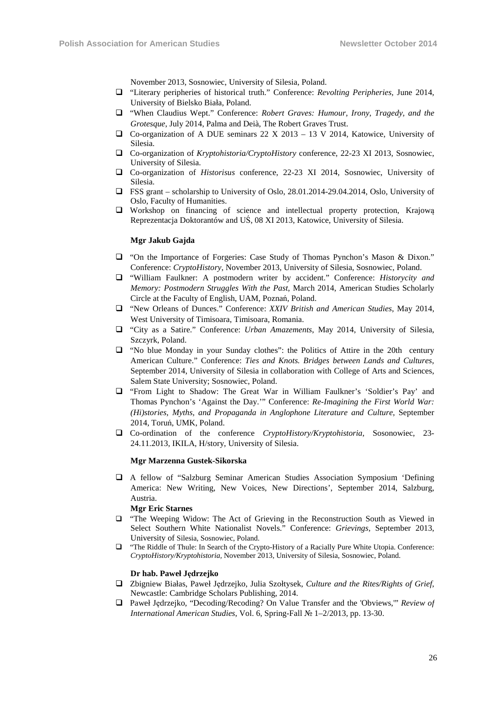November 2013, Sosnowiec, University of Silesia, Poland.

- "Literary peripheries of historical truth." Conference: *Revolting Peripheries,* June 2014, University of Bielsko Biała, Poland.
- "When Claudius Wept." Conference: *Robert Graves: Humour, Irony, Tragedy, and the Grotesque*, July 2014, Palma and Deià, The Robert Graves Trust.
- $\Box$  Co-organization of A DUE seminars 22 X 2013 13 V 2014, Katowice, University of Silesia.
- Co-organization of *Kryptohistoria/CryptoHistory* conference, 22-23 XI 2013, Sosnowiec, University of Silesia.
- Co-organization of *Historisus* conference, 22-23 XI 2014, Sosnowiec, University of Silesia.
- FSS grant scholarship to University of Oslo, 28.01.2014-29.04.2014, Oslo, University of Oslo, Faculty of Humanities.
- Workshop on financing of science and intellectual property protection, Krajową Reprezentacja Doktorantów and UŚ, 08 XI 2013, Katowice, University of Silesia.

#### **Mgr Jakub Gajda**

- "On the Importance of Forgeries: Case Study of Thomas Pynchon's Mason & Dixon." Conference: *CryptoHistory*, November 2013, University of Silesia, Sosnowiec, Poland.
- "William Faulkner: A postmodern writer by accident." Conference: *Historycity and Memory: Postmodern Struggles With the Past*, March 2014, American Studies Scholarly Circle at the Faculty of English, UAM, Poznań, Poland.
- "New Orleans of Dunces." Conference: *XXIV British and American Studies*, May 2014, West University of Timisoara, Timisoara, Romania.
- "City as a Satire." Conference: *Urban Amazements*, May 2014, University of Silesia, Szczyrk, Poland.
- "No blue Monday in your Sunday clothes": the Politics of Attire in the 20th century American Culture." Conference: *Ties and Knots. Bridges between Lands and Cultures*, September 2014, University of Silesia in collaboration with College of Arts and Sciences, Salem State University; Sosnowiec, Poland.
- "From Light to Shadow: The Great War in William Faulkner's 'Soldier's Pay' and Thomas Pynchon's 'Against the Day.'" Conference: *Re-Imagining the First World War: (Hi)stories, Myths, and Propaganda in Anglophone Literature and Culture*, September 2014, Toruń, UMK, Poland.
- Co-ordination of the conference *CryptoHistory/Kryptohistoria*, Sosonowiec, 23- 24.11.2013, IKILA, H/story, University of Silesia.

#### **Mgr Marzenna Gustek-Sikorska**

 A fellow of "Salzburg Seminar American Studies Association Symposium 'Defining America: New Writing, New Voices, New Directions', September 2014, Salzburg, Austria.

#### **Mgr Eric Starnes**

- "The Weeping Widow: The Act of Grieving in the Reconstruction South as Viewed in Select Southern White Nationalist Novels." Conference: *Grievings,* September 2013, University of Silesia, Sosnowiec, Poland.
- "The Riddle of Thule: In Search of the Crypto-History of a Racially Pure White Utopia. Conference: *CryptoHistory/Kryptohistoria,* November 2013, University of Silesia, Sosnowiec, Poland.

#### **Dr hab. Paweł Jędrzejko**

- Zbigniew Białas, Paweł Jędrzejko, Julia Szołtysek, *Culture and the Rites/Rights of Grief*, Newcastle: Cambridge Scholars Publishing, 2014.
- Paweł Jędrzejko, "Decoding/Recoding? On Value Transfer and the 'Obviews,'" *Review of International American Studies*, Vol. 6, Spring-Fall № 1–2/2013, pp. 13-30.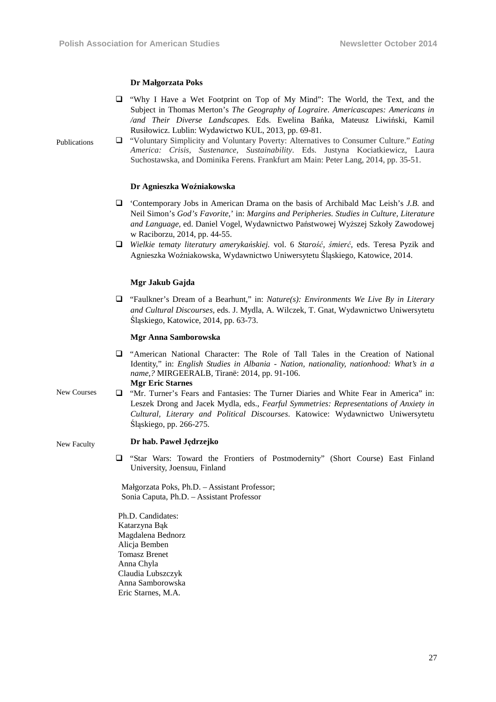#### **Dr Małgorzata Poks**

- "Why I Have a Wet Footprint on Top of My Mind": The World, the Text, and the Subject in Thomas Merton's *The Geography of Lograire*. *Americascapes: Americans in /and Their Diverse Landscapes.* Eds. Ewelina Bańka, Mateusz Liwiński, Kamil Rusiłowicz. Lublin: Wydawictwo KUL, 2013, pp. 69-81.
- Publications "Voluntary Simplicity and Voluntary Poverty: Alternatives to Consumer Culture." *Eating America: Crisis, Sustenance, Sustainability*. Eds. Justyna Kociatkiewicz, Laura Suchostawska, and Dominika Ferens. Frankfurt am Main: Peter Lang, 2014, pp. 35-51.

#### **Dr Agnieszka Woźniakowska**

- 'Contemporary Jobs in American Drama on the basis of Archibald Mac Leish's *J.B.* and Neil Simon's *God's Favorite*,' in: *Margins and Peripheries. Studies in Culture, Literature and Language,* ed. Daniel Vogel, Wydawnictwo Państwowej Wyższej Szkoły Zawodowej w Raciborzu, 2014, pp. 44-55.
- *Wielkie tematy literatury amerykańskiej.* vol. 6 *Starość, śmierć,* eds. Teresa Pyzik and Agnieszka Woźniakowska, Wydawnictwo Uniwersytetu Śląskiego, Katowice, 2014.

#### **Mgr Jakub Gajda**

 "Faulkner's Dream of a Bearhunt," in: *Nature(s): Environments We Live By in Literary and Cultural Discourses,* eds. J. Mydla, A. Wilczek, T. Gnat, Wydawnictwo Uniwersytetu Śląskiego, Katowice, 2014, pp. 63-73.

#### **Mgr Anna Samborowska**

- "American National Character: The Role of Tall Tales in the Creation of National Identity," in: *English Studies in Albania - Nation, nationality, nationhood: What's in a name,?* MIRGEERALB*,* Tiranë: 2014, pp. 91-106. **Mgr Eric Starnes**
- New Courses "Mr. Turner's Fears and Fantasies: The Turner Diaries and White Fear in America" in: Leszek Drong and Jacek Mydla, eds., *Fearful Symmetries: Representations of Anxiety in Cultural, Literary and Political Discourses*. Katowice: Wydawnictwo Uniwersytetu Śląskiego, pp. 266-275.

#### **Dr hab. Paweł Jędrzejko**

New Faculty

 "Star Wars: Toward the Frontiers of Postmodernity" (Short Course) East Finland University, Joensuu, Finland

 Małgorzata Poks, Ph.D. – Assistant Professor; Sonia Caputa, Ph.D. – Assistant Professor

Ph.D. Candidates: Katarzyna Bąk Magdalena Bednorz Alicja Bemben Tomasz Brenet Anna Chyla Claudia Lubszczyk Anna Samborowska Eric Starnes, M.A.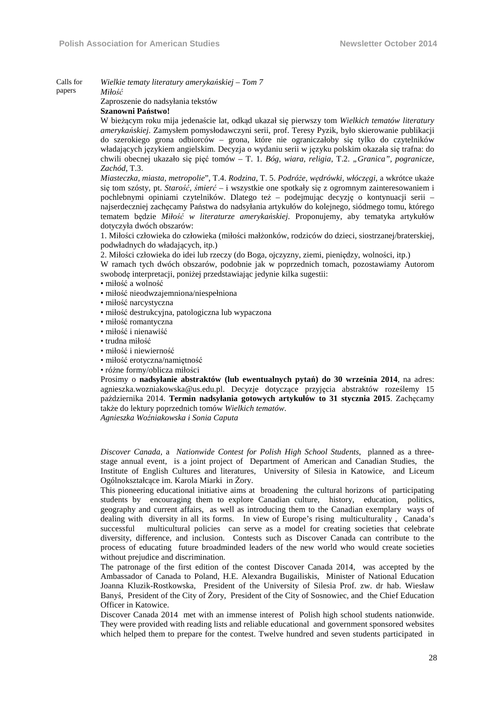Calls for *Wielkie tematy literatury amerykańskiej – Tom 7 Miłość*

papers

Zaproszenie do nadsyłania tekstów **Szanowni Państwo!** 

W bieżącym roku mija jedenaście lat, odkąd ukazał się pierwszy tom *Wielkich tematów literatury amerykańskiej*. Zamysłem pomysłodawczyni serii, prof. Teresy Pyzik, było skierowanie publikacji do szerokiego grona odbiorców – grona, które nie ograniczałoby się tylko do czytelników władających językiem angielskim. Decyzja o wydaniu serii w języku polskim okazała się trafna: do chwili obecnej ukazało się pięć tomów – T. 1. *Bóg, wiara, religia*, T.2. *"Granica", pogranicze, Zachód*, T.3.

*Miasteczka, miasta, metropolie*", T.4. *Rodzina*, T. 5. *Podróże, wędrówki, włóczęgi*, a wkrótce ukaże się tom szósty, pt. *Starość, śmierć* – i wszystkie one spotkały się z ogromnym zainteresowaniem i pochlebnymi opiniami czytelników. Dlatego też – podejmując decyzję o kontynuacji serii – najserdeczniej zachęcamy Państwa do nadsyłania artykułów do kolejnego, siódmego tomu, którego tematem będzie *Miłość w literaturze amerykańskiej*. Proponujemy, aby tematyka artykułów dotyczyła dwóch obszarów:

1. Miłości człowieka do człowieka (miłości małżonków, rodziców do dzieci, siostrzanej/braterskiej, podwładnych do władających, itp.)

2. Miłości człowieka do idei lub rzeczy (do Boga, ojczyzny, ziemi, pieniędzy, wolności, itp.)

W ramach tych dwóch obszarów, podobnie jak w poprzednich tomach, pozostawiamy Autorom swobodę interpretacji, poniżej przedstawiając jedynie kilka sugestii:

- miłość a wolność
- miłość nieodwzajemniona/niespełniona
- miłość narcystyczna
- miłość destrukcyjna, patologiczna lub wypaczona
- miłość romantyczna
- miłość i nienawiść
- trudna miłość
- miłość i niewierność
- miłość erotyczna/namiętność
- różne formy/oblicza miłości

Prosimy o **nadsyłanie abstraktów (lub ewentualnych pytań) do 30 września 2014**, na adres: agnieszka.wozniakowska@us.edu.pl. Decyzje dotyczące przyjęcia abstraktów roześlemy 15 października 2014. **Termin nadsyłania gotowych artykułów to 31 stycznia 2015**. Zachęcamy także do lektury poprzednich tomów *Wielkich tematów*.

*Agnieszka Woźniakowska i Sonia Caputa*

*Discover Canada,* a *Nationwide Contest for Polish High School Students*, planned as a threestage annual event, is a joint project of Department of American and Canadian Studies, the Institute of English Cultures and literatures, University of Silesia in Katowice, and Liceum Ogólnokształcące im. Karola Miarki in Żory.

This pioneering educational initiative aims at broadening the cultural horizons of participating students by encouraging them to explore Canadian culture, history, education, politics, geography and current affairs, as well as introducing them to the Canadian exemplary ways of dealing with diversity in all its forms. In view of Europe's rising multiculturality , Canada's successful multicultural policies can serve as a model for creating societies that celebrate diversity, difference, and inclusion. Contests such as Discover Canada can contribute to the process of educating future broadminded leaders of the new world who would create societies without prejudice and discrimination.

The patronage of the first edition of the contest Discover Canada 2014, was accepted by the Ambassador of Canada to Poland, H.E. Alexandra Bugailiskis, Minister of National Education Joanna Kluzik-Rostkowska, President of the University of Silesia Prof. zw. dr hab. Wiesław Banyś, President of the City of Żory, President of the City of Sosnowiec, and the Chief Education Officer in Katowice.

Discover Canada 2014 met with an immense interest of Polish high school students nationwide. They were provided with reading lists and reliable educational and government sponsored websites which helped them to prepare for the contest. Twelve hundred and seven students participated in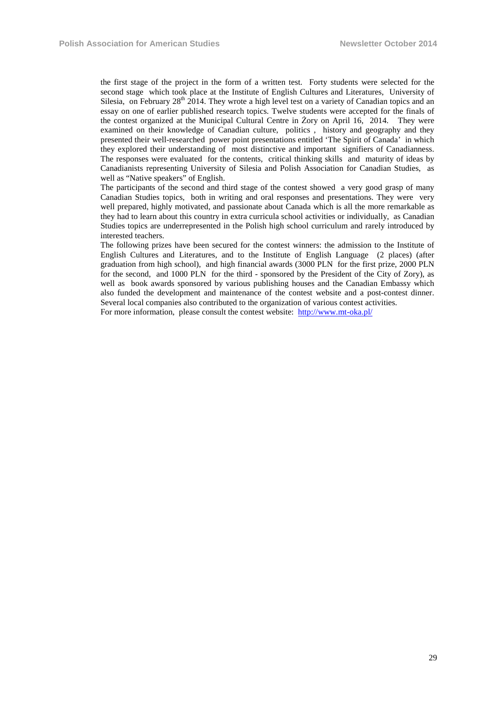the first stage of the project in the form of a written test. Forty students were selected for the second stage which took place at the Institute of English Cultures and Literatures, University of Silesia, on February  $28<sup>th</sup>$  2014. They wrote a high level test on a variety of Canadian topics and an essay on one of earlier published research topics. Twelve students were accepted for the finals of the contest organized at the Municipal Cultural Centre in Żory on April 16, 2014. They were examined on their knowledge of Canadian culture, politics , history and geography and they presented their well-researched power point presentations entitled 'The Spirit of Canada' in which they explored their understanding of most distinctive and important signifiers of Canadianness. The responses were evaluated for the contents, critical thinking skills and maturity of ideas by Canadianists representing University of Silesia and Polish Association for Canadian Studies, as well as "Native speakers" of English.

The participants of the second and third stage of the contest showed a very good grasp of many Canadian Studies topics, both in writing and oral responses and presentations. They were very well prepared, highly motivated, and passionate about Canada which is all the more remarkable as they had to learn about this country in extra curricula school activities or individually, as Canadian Studies topics are underrepresented in the Polish high school curriculum and rarely introduced by interested teachers.

The following prizes have been secured for the contest winners: the admission to the Institute of English Cultures and Literatures, and to the Institute of English Language (2 places) (after graduation from high school), and high financial awards (3000 PLN for the first prize, 2000 PLN for the second, and 1000 PLN for the third - sponsored by the President of the City of Zory), as well as book awards sponsored by various publishing houses and the Canadian Embassy which also funded the development and maintenance of the contest website and a post-contest dinner. Several local companies also contributed to the organization of various contest activities.

For more information, please consult the contest website: http://www.mt-oka.pl/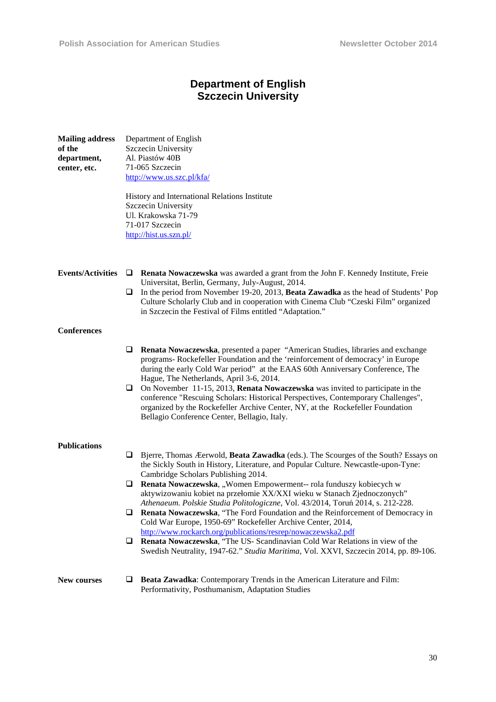Department of English

**Mailing address** 

**of the** 

# **Department of English Szczecin University**

| of the<br>department,<br>center, etc. | Szczecin University<br>Al. Piastów 40B<br>71-065 Szczecin<br>http://www.us.szc.pl/kfa/<br>History and International Relations Institute                                                                                                                                                                                                                                                   |  |  |
|---------------------------------------|-------------------------------------------------------------------------------------------------------------------------------------------------------------------------------------------------------------------------------------------------------------------------------------------------------------------------------------------------------------------------------------------|--|--|
|                                       | Szczecin University<br>Ul. Krakowska 71-79                                                                                                                                                                                                                                                                                                                                                |  |  |
|                                       | 71-017 Szczecin<br>http://hist.us.szn.pl/                                                                                                                                                                                                                                                                                                                                                 |  |  |
| <b>Events/Activities</b>              | Q.<br>Renata Nowaczewska was awarded a grant from the John F. Kennedy Institute, Freie<br>Universitat, Berlin, Germany, July-August, 2014.<br>In the period from November 19-20, 2013, Beata Zawadka as the head of Students' Pop<br>u.<br>Culture Scholarly Club and in cooperation with Cinema Club "Czeski Film" organized<br>in Szczecin the Festival of Films entitled "Adaptation." |  |  |
| <b>Conferences</b>                    |                                                                                                                                                                                                                                                                                                                                                                                           |  |  |
|                                       | Renata Nowaczewska, presented a paper "American Studies, libraries and exchange<br>u<br>programs- Rockefeller Foundation and the 'reinforcement of democracy' in Europe<br>during the early Cold War period" at the EAAS 60th Anniversary Conference, The<br>Hague, The Netherlands, April 3-6, 2014.                                                                                     |  |  |
|                                       | $\Box$ On November 11-15, 2013, <b>Renata Nowaczewska</b> was invited to participate in the<br>conference "Rescuing Scholars: Historical Perspectives, Contemporary Challenges",<br>organized by the Rockefeller Archive Center, NY, at the Rockefeller Foundation<br>Bellagio Conference Center, Bellagio, Italy.                                                                        |  |  |
| Publications                          |                                                                                                                                                                                                                                                                                                                                                                                           |  |  |
|                                       | Bjerre, Thomas Æerwold, Beata Zawadka (eds.). The Scourges of the South? Essays on<br>u.<br>the Sickly South in History, Literature, and Popular Culture. Newcastle-upon-Tyne:<br>Cambridge Scholars Publishing 2014.                                                                                                                                                                     |  |  |
|                                       | Renata Nowaczewska, "Women Empowerment-- rola funduszy kobiecych w<br>aktywizowaniu kobiet na przełomie XX/XXI wieku w Stanach Zjednoczonych"<br>Athenaeum. Polskie Studia Politologiczne, Vol. 43/2014, Toruń 2014, s. 212-228.                                                                                                                                                          |  |  |
|                                       | Renata Nowaczewska, "The Ford Foundation and the Reinforcement of Democracy in<br>u.<br>Cold War Europe, 1950-69" Rockefeller Archive Center, 2014,<br>http://www.rockarch.org/publications/resrep/nowaczewska2.pdf                                                                                                                                                                       |  |  |
|                                       | $\Box$ Renata Nowaczewska, "The US- Scandinavian Cold War Relations in view of the<br>Swedish Neutrality, 1947-62." Studia Maritima, Vol. XXVI, Szczecin 2014, pp. 89-106.                                                                                                                                                                                                                |  |  |
|                                       | $\mathbf{m}$ is a set of $\mathbf{r}$ is the set of $\mathbf{r}$                                                                                                                                                                                                                                                                                                                          |  |  |

#### New courses  $\Box$  Beata Zawadka: Contemporary Trends in the American Literature and Film: Performativity, Posthumanism, Adaptation Studies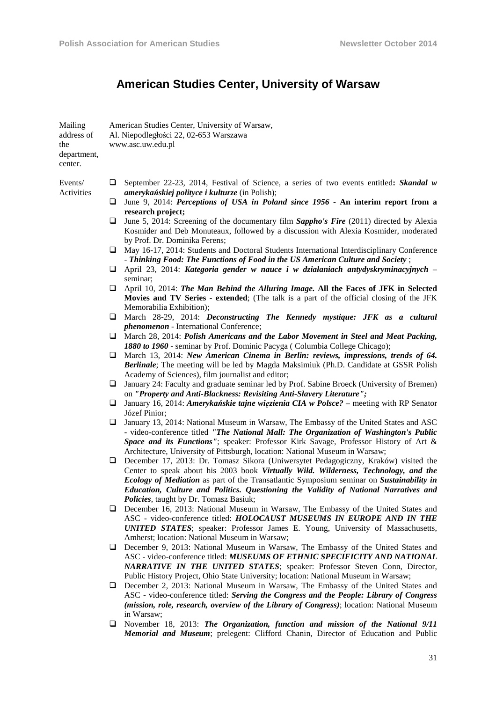# **American Studies Center, University of Warsaw**

| Mailing<br>address of<br>the<br>department,<br>center. |    | American Studies Center, University of Warsaw,<br>Al. Niepodległości 22, 02-653 Warszawa<br>www.asc.uw.edu.pl                                                                                                                                                                                                                                                                                            |
|--------------------------------------------------------|----|----------------------------------------------------------------------------------------------------------------------------------------------------------------------------------------------------------------------------------------------------------------------------------------------------------------------------------------------------------------------------------------------------------|
| Events/                                                | u  | September 22-23, 2014, Festival of Science, a series of two events entitled: Skandal w                                                                                                                                                                                                                                                                                                                   |
| Activities                                             | u  | amerykańskiej polityce i kulturze (in Polish);<br>June 9, 2014: Perceptions of USA in Poland since 1956 - An interim report from a                                                                                                                                                                                                                                                                       |
|                                                        | ❏  | research project;<br>June 5, 2014: Screening of the documentary film Sappho's Fire (2011) directed by Alexia<br>Kosmider and Deb Monuteaux, followed by a discussion with Alexia Kosmider, moderated<br>by Prof. Dr. Dominika Ferens;                                                                                                                                                                    |
|                                                        | u. | May 16-17, 2014: Students and Doctoral Students International Interdisciplinary Conference<br>- Thinking Food: The Functions of Food in the US American Culture and Society;                                                                                                                                                                                                                             |
|                                                        | ⊔  | April 23, 2014: Kategoria gender w nauce i w działaniach antydyskryminacyjnych –<br>seminar;                                                                                                                                                                                                                                                                                                             |
|                                                        | u. | April 10, 2014: The Man Behind the Alluring Image. All the Faces of JFK in Selected<br>Movies and TV Series - extended; (The talk is a part of the official closing of the JFK<br>Memorabilia Exhibition);                                                                                                                                                                                               |
|                                                        | ⊔  | March 28-29, 2014: Deconstructing The Kennedy mystique: JFK as a cultural<br><i>phenomenon</i> - International Conference;                                                                                                                                                                                                                                                                               |
|                                                        |    | $\Box$ March 28, 2014: Polish Americans and the Labor Movement in Steel and Meat Packing,<br>1880 to 1960 - seminar by Prof. Dominic Pacyga (Columbia College Chicago);                                                                                                                                                                                                                                  |
|                                                        |    | $\Box$ March 13, 2014: New American Cinema in Berlin: reviews, impressions, trends of 64.<br><b>Berlinale</b> ; The meeting will be led by Magda Maksimiuk (Ph.D. Candidate at GSSR Polish<br>Academy of Sciences), film journalist and editor;                                                                                                                                                          |
|                                                        | u  | January 24: Faculty and graduate seminar led by Prof. Sabine Broeck (University of Bremen)<br>on "Property and Anti-Blackness: Revisiting Anti-Slavery Literature";                                                                                                                                                                                                                                      |
|                                                        | ⊔  | January 16, 2014: Amerykańskie tajne więzienia CIA w Polsce? – meeting with RP Senator<br>Józef Pinior;                                                                                                                                                                                                                                                                                                  |
|                                                        | u  | January 13, 2014: National Museum in Warsaw, The Embassy of the United States and ASC<br>- video-conference titled "The National Mall: The Organization of Washington's Public<br>Space and its Functions"; speaker: Professor Kirk Savage, Professor History of Art &<br>Architecture, University of Pittsburgh, location: National Museum in Warsaw;                                                   |
|                                                        | ⊔  | December 17, 2013: Dr. Tomasz Sikora (Uniwersytet Pedagogiczny, Kraków) visited the<br>Center to speak about his 2003 book Virtually Wild. Wilderness, Technology, and the<br>Ecology of Mediation as part of the Transatlantic Symposium seminar on Sustainability in<br>Education, Culture and Politics. Questioning the Validity of National Narratives and<br>Policies, taught by Dr. Tomasz Basiuk; |
|                                                        | ⊔  | December 16, 2013: National Museum in Warsaw, The Embassy of the United States and<br>ASC - video-conference titled: HOLOCAUST MUSEUMS IN EUROPE AND IN THE<br>UNITED STATES; speaker: Professor James E. Young, University of Massachusetts,<br>Amherst; location: National Museum in Warsaw;                                                                                                           |
|                                                        | u. | December 9, 2013: National Museum in Warsaw, The Embassy of the United States and<br>ASC - video-conference titled: MUSEUMS OF ETHNIC SPECIFICITY AND NATIONAL<br><b>NARRATIVE IN THE UNITED STATES; speaker: Professor Steven Conn, Director,</b><br>Public History Project, Ohio State University; location: National Museum in Warsaw;                                                                |
|                                                        |    | <b>Q</b> December 2, 2013: National Museum in Warsaw, The Embassy of the United States and<br>ASC - video-conference titled: Serving the Congress and the People: Library of Congress<br>(mission, role, research, overview of the Library of Congress); location: National Museum<br>in Warsaw;                                                                                                         |
|                                                        |    | November 18, 2013; The Organization, function and mission of the National 9/11                                                                                                                                                                                                                                                                                                                           |

 November 18, 2013: *The Organization, function and mission of the National 9/11 Memorial and Museum*; prelegent: Clifford Chanin, Director of Education and Public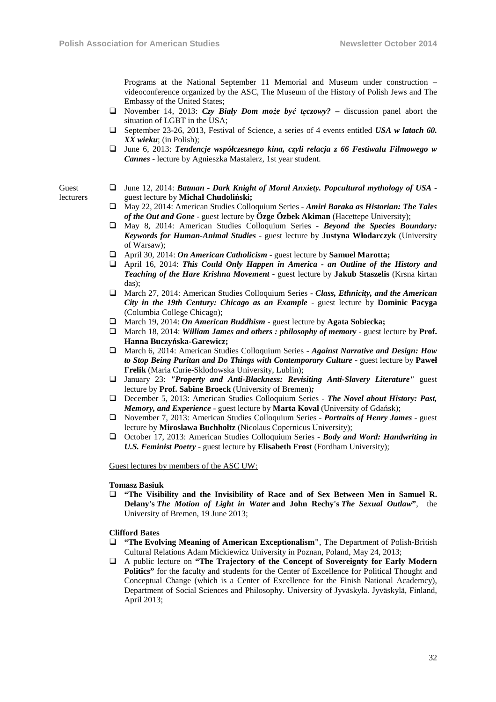Programs at the National September 11 Memorial and Museum under construction – videoconference organized by the ASC, The Museum of the History of Polish Jews and The Embassy of the United States;

- November 14, 2013: *Czy Biały Dom może być tęczowy?*discussion panel abort the situation of LGBT in the USA;
- September 23-26, 2013, Festival of Science, a series of 4 events entitled *USA w latach 60. XX wieku*; (in Polish);
- June 6, 2013: *Tendencje współczesnego kina, czyli relacja z 66 Festiwalu Filmowego w Cannes* - lecture by Agnieszka Mastalerz, 1st year student.

#### Guest lecturers

- June 12, 2014: *Batman Dark Knight of Moral Anxiety. Popcultural mythology of USA* guest lecture by **Michał Chudoliński;**
- May 22, 2014: American Studies Colloquium Series *Amiri Baraka as Historian: The Tales of the Out and Gone* - guest lecture by **Özge Özbek Akiman** (Hacettepe University);
- May 8, 2014: American Studies Colloquium Series *Beyond the Species Boundary: Keywords for Human-Animal Studies* - guest lecture by **Justyna Włodarczyk** (University of Warsaw);
- April 30, 2014: *On American Catholicism* guest lecture by **Samuel Marotta;**
- April 16, 2014: *This Could Only Happen in America an Outline of the History and Teaching of the Hare Krishna Movement* - guest lecture by **Jakub Staszelis** (Krsna kirtan das);
- March 27, 2014: American Studies Colloquium Series *Class, Ethnicity, and the American City in the 19th Century: Chicago as an Example* - guest lecture by **Dominic Pacyga** (Columbia College Chicago);
- March 19, 2014: *On American Buddhism* guest lecture by **Agata Sobiecka;**
- March 18, 2014: *William James and others : philosophy of memory* guest lecture by **Prof. Hanna Buczyńska-Garewicz;**
- March 6, 2014: American Studies Colloquium Series *Against Narrative and Design: How to Stop Being Puritan and Do Things with Contemporary Culture* - guest lecture by **Paweł Frelik** (Maria Curie-Sklodowska University, Lublin);
- January 23: *"Property and Anti-Blackness: Revisiting Anti-Slavery Literature"* guest lecture by **Prof. Sabine Broeck** (University of Bremen)*;*
- December 5, 2013: American Studies Colloquium Series *The Novel about History: Past, Memory, and Experience* - guest lecture by **Marta Koval** (University of Gdańsk);
- November 7, 2013: American Studies Colloquium Series *Portraits of Henry James* guest lecture by **Mirosława Buchholtz** (Nicolaus Copernicus University);
- October 17, 2013: American Studies Colloquium Series *Body and Word: Handwriting in U.S. Feminist Poetry* - guest lecture by **Elisabeth Frost** (Fordham University);

Guest lectures by members of the ASC UW:

#### **Tomasz Basiuk**

 **"The Visibility and the Invisibility of Race and of Sex Between Men in Samuel R. Delany's** *The Motion of Light in Water* **and John Rechy's** *The Sexual Outlaw***"**, the University of Bremen, 19 June 2013;

#### **Clifford Bates**

- **"The Evolving Meaning of American Exceptionalism"**, The Department of Polish-British Cultural Relations Adam Mickiewicz University in Poznan, Poland, May 24, 2013;
- A public lecture on **"The Trajectory of the Concept of Sovereignty for Early Modern Politics"** for the faculty and students for the Center of Excellence for Political Thought and Conceptual Change (which is a Center of Excellence for the Finish National Academcy), Department of Social Sciences and Philosophy. University of Jyväskylä. Jyväskylä, Finland, April 2013;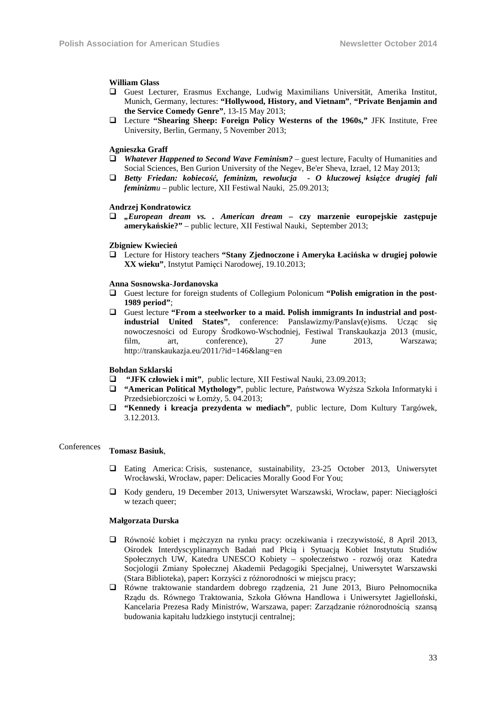#### **William Glass**

- Guest Lecturer, Erasmus Exchange, Ludwig Maximilians Universität, Amerika Institut, Munich, Germany, lectures: **"Hollywood, History, and Vietnam"**, **"Private Benjamin and the Service Comedy Genre"**, 13-15 May 2013;
- Lecture **"Shearing Sheep: Foreign Policy Westerns of the 1960s,"** JFK Institute, Free University, Berlin, Germany, 5 November 2013;

#### **Agnieszka Graff**

- *Whatever Happened to Second Wave Feminism?* guest lecture, Faculty of Humanities and Social Sciences, Ben Gurion University of the Negev, Be'er Sheva, Izrael, 12 May 2013;
- *Betty Friedan: kobiecość, feminizm, rewolucja O kluczowej książce drugiej fali feminizmu* – public lecture, XII Festiwal Nauki, 25.09.2013;

#### **Andrzej Kondratowicz**

 *"European dream vs. . American dream* **– czy marzenie europejskie zastępuje amerykańskie?"** – public lecture, XII Festiwal Nauki, September 2013;

#### **Zbigniew Kwiecień**

 Lecture for History teachers **"Stany Zjednoczone i Ameryka Łacińska w drugiej połowie XX wieku"**, Instytut Pamięci Narodowej, 19.10.2013;

#### **Anna Sosnowska-Jordanovska**

- Guest lecture for foreign students of Collegium Polonicum **"Polish emigration in the post-1989 period"**;
- Guest lecture **"From a steelworker to a maid. Polish immigrants In industrial and postindustrial United States"**, conference: Panslawizmy/Panslav(e)isms. Ucząc się nowoczesności od Europy Środkowo-Wschodniej, Festiwal Transkaukazja 2013 (music, film, art, conference), 27 June 2013, Warszawa; http://transkaukazja.eu/2011/?id=146&lang=en

#### **Bohdan Szklarski**

- **"JFK człowiek i mit"**, public lecture, XII Festiwal Nauki, 23.09.2013;
- **"American Political Mythology"**, public lecture, Państwowa Wyższa Szkoła Informatyki i Przedsiebiorczości w Łomży, 5. 04.2013;
- **"Kennedy i kreacja prezydenta w mediach"**, public lecture, Dom Kultury Targówek, 3.12.2013.

# Conferences **Tomasz Basiuk**,

- Eating America: Crisis, sustenance, sustainability, 23-25 October 2013, Uniwersytet Wrocławski, Wrocław, paper: Delicacies Morally Good For You;
- Kody genderu, 19 December 2013, Uniwersytet Warszawski, Wrocław, paper: Nieciągłości w tezach queer;

#### **Małgorzata Durska**

- Równość kobiet i mężczyzn na rynku pracy: oczekiwania i rzeczywistość, 8 April 2013, Ośrodek Interdyscyplinarnych Badań nad Płcią i Sytuacją Kobiet Instytutu Studiów Społecznych UW, Katedra UNESCO Kobiety – społeczeństwo - rozwój oraz Katedra Socjologii Zmiany Społecznej Akademii Pedagogiki Specjalnej, Uniwersytet Warszawski (Stara Biblioteka), paper**:** Korzyści z różnorodności w miejscu pracy;
- Równe traktowanie standardem dobrego rządzenia, 21 June 2013, Biuro Pełnomocnika Rządu ds. Równego Traktowania, Szkoła Główna Handlowa i Uniwersytet Jagielloński, Kancelaria Prezesa Rady Ministrów, Warszawa, paper: Zarządzanie różnorodnością szansą budowania kapitału ludzkiego instytucji centralnej;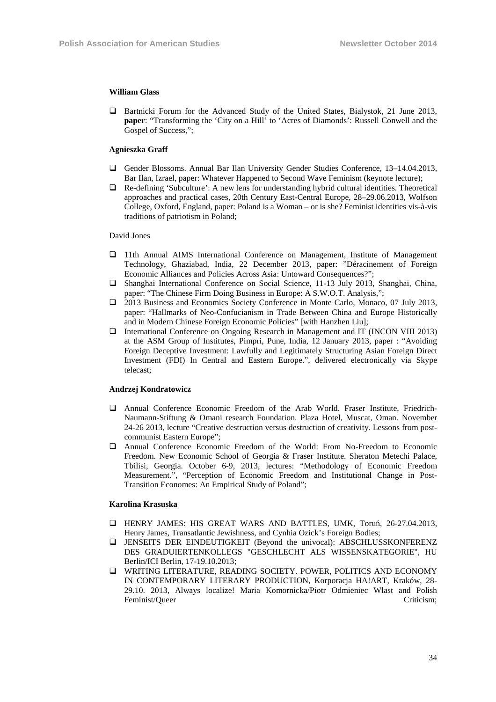#### **William Glass**

 Bartnicki Forum for the Advanced Study of the United States, Bialystok, 21 June 2013, **paper**: "Transforming the 'City on a Hill' to 'Acres of Diamonds': Russell Conwell and the Gospel of Success,";

#### **Agnieszka Graff**

- Gender Blossoms. Annual Bar Ilan University Gender Studies Conference, 13–14.04.2013, Bar Ilan, Izrael, paper: Whatever Happened to Second Wave Feminism (keynote lecture);
- Re-defining 'Subculture': A new lens for understanding hybrid cultural identities. Theoretical approaches and practical cases, 20th Century East-Central Europe, 28–29.06.2013, Wolfson College, Oxford, England, paper: Poland is a Woman – or is she? Feminist identities vis-à-vis traditions of patriotism in Poland;

#### David Jones

- 11th Annual AIMS International Conference on Management, Institute of Management Technology, Ghaziabad, India, 22 December 2013, paper: "Déracinement of Foreign Economic Alliances and Policies Across Asia: Untoward Consequences?";
- Shanghai International Conference on Social Science, 11-13 July 2013, Shanghai, China, paper: "The Chinese Firm Doing Business in Europe: A S.W.O.T. Analysis,";
- 2013 Business and Economics Society Conference in Monte Carlo, Monaco, 07 July 2013, paper: "Hallmarks of Neo-Confucianism in Trade Between China and Europe Historically and in Modern Chinese Foreign Economic Policies" [with Hanzhen Liu];
- International Conference on Ongoing Research in Management and IT (INCON VIII 2013) at the ASM Group of Institutes, Pimpri, Pune, India, 12 January 2013, paper : "Avoiding Foreign Deceptive Investment: Lawfully and Legitimately Structuring Asian Foreign Direct Investment (FDI) In Central and Eastern Europe.", delivered electronically via Skype telecast;

#### **Andrzej Kondratowicz**

- Annual Conference Economic Freedom of the Arab World. Fraser Institute, Friedrich-Naumann-Stiftung & Omani research Foundation. Plaza Hotel, Muscat, Oman. November 24-26 2013, lecture "Creative destruction versus destruction of creativity. Lessons from postcommunist Eastern Europe";
- Annual Conference Economic Freedom of the World: From No-Freedom to Economic Freedom. New Economic School of Georgia & Fraser Institute. Sheraton Metechi Palace, Tbilisi, Georgia. October 6-9, 2013, lectures: "Methodology of Economic Freedom Measurement.", "Perception of Economic Freedom and Institutional Change in Post-Transition Economes: An Empirical Study of Poland";

#### **Karolina Krasuska**

- HENRY JAMES: HIS GREAT WARS AND BATTLES, UMK, Toruń, 26-27.04.2013, Henry James, Transatlantic Jewishness, and Cynhia Ozick's Foreign Bodies;
- JENSEITS DER EINDEUTIGKEIT (Beyond the univocal): ABSCHLUSSKONFERENZ DES GRADUIERTENKOLLEGS "GESCHLECHT ALS WISSENSKATEGORIE", HU Berlin/ICI Berlin, 17-19.10.2013;
- WRITING LITERATURE, READING SOCIETY. POWER, POLITICS AND ECONOMY IN CONTEMPORARY LITERARY PRODUCTION, Korporacja HA!ART, Kraków, 28- 29.10. 2013, Always localize! Maria Komornicka/Piotr Odmieniec Włast and Polish Feminist/Oueer Criticism;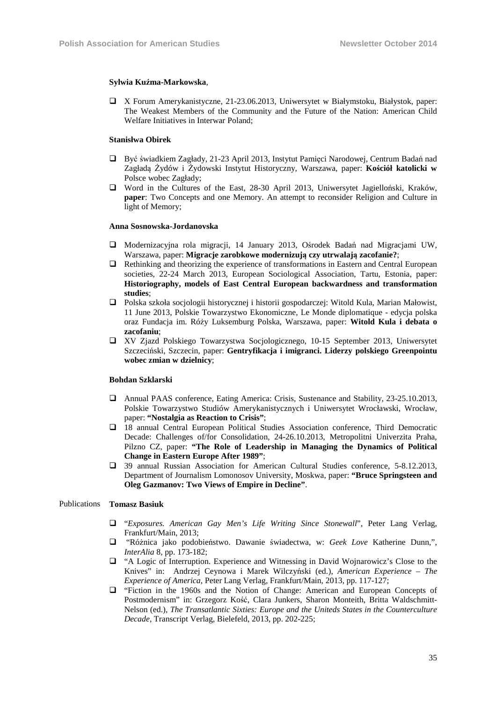#### **Sylwia Kuźma-Markowska**,

 X Forum Amerykanistyczne, 21-23.06.2013, Uniwersytet w Białymstoku, Białystok, paper: The Weakest Members of the Community and the Future of the Nation: American Child Welfare Initiatives in Interwar Poland;

#### **Stanisłwa Obirek**

- Być świadkiem Zagłady, 21-23 April 2013, Instytut Pamięci Narodowej, Centrum Badań nad Zagładą Żydów i Żydowski Instytut Historyczny, Warszawa, paper: **Kościół katolicki w**  Polsce wobec Zagłady;
- Word in the Cultures of the East, 28-30 April 2013, Uniwersytet Jagielloński, Kraków, **paper**: Two Concepts and one Memory. An attempt to reconsider Religion and Culture in light of Memory;

#### **Anna Sosnowska-Jordanovska**

- Modernizacyjna rola migracji, 14 January 2013, Ośrodek Badań nad Migracjami UW, Warszawa, paper: **Migracje zarobkowe modernizują czy utrwalają zacofanie?**;
- $\Box$  Rethinking and theorizing the experience of transformations in Eastern and Central European societies, 22-24 March 2013, European Sociological Association, Tartu, Estonia, paper: **Historiography, models of East Central European backwardness and transformation studies**;
- Polska szkoła socjologii historycznej i historii gospodarczej: Witold Kula, Marian Małowist, 11 June 2013, Polskie Towarzystwo Ekonomiczne, Le Monde diplomatique - edycja polska oraz Fundacja im. Róży Luksemburg Polska, Warszawa, paper: **Witold Kula i debata o zacofaniu**;
- XV Zjazd Polskiego Towarzystwa Socjologicznego, 10-15 September 2013, Uniwersytet Szczeciński, Szczecin, paper: **Gentryfikacja i imigranci. Liderzy polskiego Greenpointu wobec zmian w dzielnicy**;

#### **Bohdan Szklarski**

- Annual PAAS conference, Eating America: Crisis, Sustenance and Stability, 23-25.10.2013, Polskie Towarzystwo Studiów Amerykanistycznych i Uniwersytet Wrocławski, Wrocław, paper: **"Nostalgia as Reaction to Crisis"**;
- 18 annual Central European Political Studies Association conference, Third Democratic Decade: Challenges of/for Consolidation, 24-26.10.2013, Metropolitni Univerzita Praha, Pilzno CZ, paper: **"The Role of Leadership in Managing the Dynamics of Political Change in Eastern Europe After 1989"**;
- 39 annual Russian Association for American Cultural Studies conference, 5-8.12.2013, Department of Journalism Lomonosov University, Moskwa, paper: **"Bruce Springsteen and Oleg Gazmanov: Two Views of Empire in Decline"**.

#### Publications **Tomasz Basiuk**

- "*Exposures. American Gay Men's Life Writing Since Stonewall*", Peter Lang Verlag, Frankfurt/Main, 2013;
- "Różnica jako podobieństwo. Dawanie świadectwa, w: *Geek Love* Katherine Dunn,", *InterAlia* 8, pp. 173-182;
- "A Logic of Interruption. Experience and Witnessing in David Wojnarowicz's Close to the Knives" in: Andrzej Ceynowa i Marek Wilczyński (ed.), *American Experience – The Experience of America*, Peter Lang Verlag, Frankfurt/Main, 2013, pp. 117-127;
- "Fiction in the 1960s and the Notion of Change: American and European Concepts of Postmodernism" in: Grzegorz Kość, Clara Junkers, Sharon Monteith, Britta Waldschmitt-Nelson (ed.), *The Transatlantic Sixties: Europe and the Uniteds States in the Counterculture Decade*, Transcript Verlag, Bielefeld, 2013, pp. 202-225;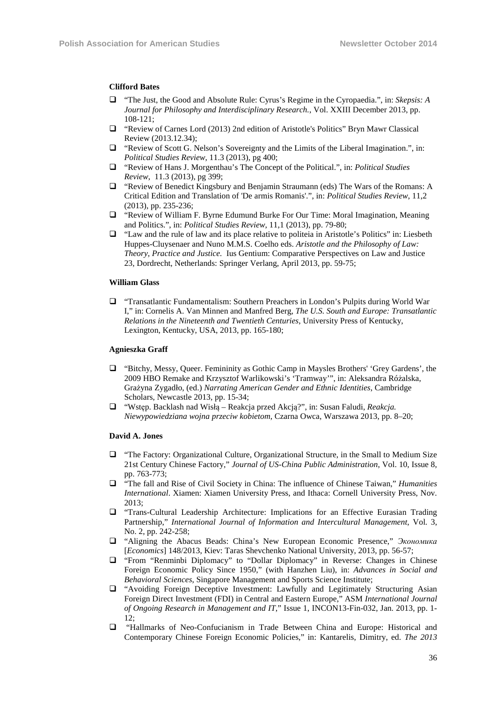#### **Clifford Bates**

- "The Just, the Good and Absolute Rule: Cyrus's Regime in the Cyropaedia.", in: *Skepsis: A Journal for Philosophy and Interdisciplinary Research.*, Vol. XXIII December 2013, pp. 108-121;
- "Review of Carnes Lord (2013) 2nd edition of Aristotle's Politics" Bryn Mawr Classical Review (2013.12.34);
- "Review of Scott G. Nelson's Sovereignty and the Limits of the Liberal Imagination.", in: *Political Studies Review*, 11.3 (2013), pg 400;
- "Review of Hans J. Morgenthau's The Concept of the Political.", in: *Political Studies Review*, 11.3 (2013), pg 399;
- "Review of Benedict Kingsbury and Benjamin Straumann (eds) The Wars of the Romans: A Critical Edition and Translation of 'De armis Romanis'.", in: *Political Studies Review*, 11,2 (2013), pp. 235-236;
- "Review of William F. Byrne Edumund Burke For Our Time: Moral Imagination, Meaning and Politics.", in: *Political Studies Review*, 11,1 (2013), pp. 79-80;
- "Law and the rule of law and its place relative to politeia in Aristotle's Politics" in: Liesbeth Huppes-Cluysenaer and Nuno M.M.S. Coelho eds. *Aristotle and the Philosophy of Law: Theory, Practice and Justice.* Ius Gentium: Comparative Perspectives on Law and Justice 23, Dordrecht, Netherlands: Springer Verlang, April 2013, pp. 59-75;

#### **William Glass**

 "Transatlantic Fundamentalism: Southern Preachers in London's Pulpits during World War I," in: Cornelis A. Van Minnen and Manfred Berg, *The U.S. South and Europe: Transatlantic Relations in the Nineteenth and Twentieth Centuries*, University Press of Kentucky, Lexington, Kentucky, USA, 2013, pp. 165-180;

#### **Agnieszka Graff**

- "Bitchy, Messy, Queer. Femininity as Gothic Camp in Maysles Brothers' 'Grey Gardens', the 2009 HBO Remake and Krzysztof Warlikowski's 'Tramway'", in: Aleksandra Różalska, Grażyna Zygadło, (ed.) *Narrating American Gender and Ethnic Identities*, Cambridge Scholars, Newcastle 2013, pp. 15-34;
- "Wstęp. Backlash nad Wisłą Reakcja przed Akcją?", in: Susan Faludi, *Reakcja. Niewypowiedziana wojna przeciw kobietom*, Czarna Owca, Warszawa 2013, pp. 8–20;

#### **David A. Jones**

- "The Factory: Organizational Culture, Organizational Structure, in the Small to Medium Size 21st Century Chinese Factory," *Journal of US-China Public Administration*, Vol. 10, Issue 8, pp. 763-773;
- "The fall and Rise of Civil Society in China: The influence of Chinese Taiwan," *Humanities International*. Xiamen: Xiamen University Press, and Ithaca: Cornell University Press, Nov. 2013;
- "Trans-Cultural Leadership Architecture: Implications for an Effective Eurasian Trading Partnership," *International Journal of Information and Intercultural Management*, Vol. 3, No. 2, pp. 242-258;
- "Aligning the Abacus Beads: China's New European Economic Presence," *Экономика* [*Economics*] 148/2013, Kiev: Taras Shevchenko National University, 2013, pp. 56-57;
- "From "Renminbi Diplomacy" to "Dollar Diplomacy" in Reverse: Changes in Chinese Foreign Economic Policy Since 1950," (with Hanzhen Liu), in: *Advances in Social and Behavioral Sciences*, Singapore Management and Sports Science Institute;
- "Avoiding Foreign Deceptive Investment: Lawfully and Legitimately Structuring Asian Foreign Direct Investment (FDI) in Central and Eastern Europe," ASM *International Journal of Ongoing Research in Management and IT*," Issue 1, INCON13-Fin-032, Jan. 2013, pp. 1- 12;
- "Hallmarks of Neo-Confucianism in Trade Between China and Europe: Historical and Contemporary Chinese Foreign Economic Policies," in: Kantarelis, Dimitry, ed. *The 2013*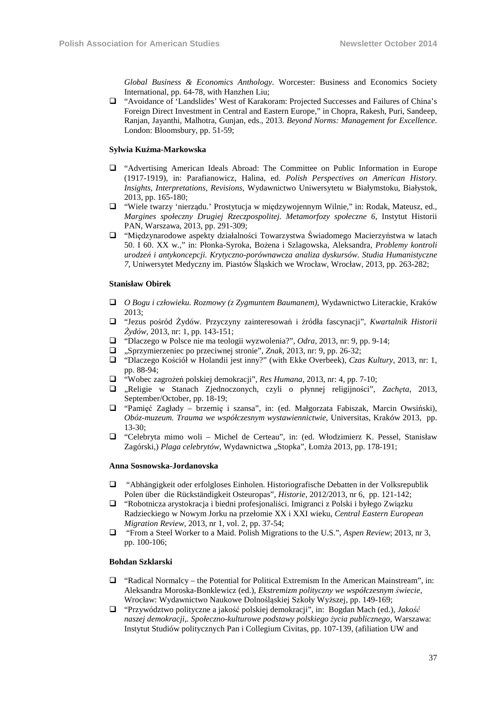*Global Business & Economics Anthology*. Worcester: Business and Economics Society International, pp. 64-78, with Hanzhen Liu;

 "Avoidance of 'Landslides' West of Karakoram: Projected Successes and Failures of China's Foreign Direct Investment in Central and Eastern Europe," in Chopra, Rakesh, Puri, Sandeep, Ranjan, Jayanthi, Malhotra, Gunjan, eds., 2013. *Beyond Norms: Management for Excellence*. London: Bloomsbury, pp. 51-59;

#### **Sylwia Kuźma-Markowska**

- "Advertising American Ideals Abroad: The Committee on Public Information in Europe (1917-1919), in: Parafianowicz, Halina, ed. *Polish Perspectives on American History. Insights, Interpretations, Revisions*, Wydawnictwo Uniwersytetu w Białymstoku, Białystok, 2013, pp. 165-180;
- "Wiele twarzy 'nierządu.' Prostytucja w międzywojennym Wilnie," in: Rodak, Mateusz, ed., *Margines społeczny Drugiej Rzeczpospolitej. Metamorfozy społeczne 6*, Instytut Historii PAN, Warszawa, 2013, pp. 291-309;
- "Międzynarodowe aspekty działalności Towarzystwa Świadomego Macierzyństwa w latach 50. I 60. XX w.," in: Płonka-Syroka, Bożena i Szlagowska, Aleksandra, *Problemy kontroli urodzeń i antykoncepcji. Krytyczno-porównawcza analiza dyskursów. Studia Humanistyczne 7*, Uniwersytet Medyczny im. Piastów Śląskich we Wrocław, Wrocław, 2013, pp. 263-282;

#### **Stanisław Obirek**

- *O Bogu i człowieku. Rozmowy (z Zygmuntem Baumanem)*, Wydawnictwo Literackie, Kraków 2013;
- "Jezus pośród Żydów. Przyczyny zainteresowań i źródła fascynacji", *Kwartalnik Historii Żydów*, 2013, nr: 1, pp. 143-151;
- "Dlaczego w Polsce nie ma teologii wyzwolenia?", *Odra*, 2013, nr: 9, pp. 9-14;
- "Sprzymierzeniec po przeciwnej stronie", *Znak*, 2013, nr: 9, pp. 26-32;
- "Dlaczego Kościół w Holandii jest inny?" (with Ekke Overbeek), *Czas Kultury*, 2013, nr: 1, pp. 88-94;
- "Wobec zagrożeń polskiej demokracji", *Res Humana*, 2013, nr: 4, pp. 7-10;
- "Religie w Stanach Zjednoczonych, czyli o płynnej religijności", *Zachęta*, 2013, September/October, pp. 18-19;
- "Pamięć Zagłady brzemię i szansa", in: (ed. Małgorzata Fabiszak, Marcin Owsiński), *Obóz-muzeum. Trauma we współczesnym wystawiennictwie*, Universitas, Kraków 2013, pp.  $13-30$
- "Celebryta mimo woli Michel de Certeau", in: (ed. Włodzimierz K. Pessel, Stanisław Zagórski,) *Plaga celebrytów*, Wydawnictwa "Stopka", Łomża 2013, pp. 178-191;

#### **Anna Sosnowska-Jordanovska**

- "Abhängigkeit oder erfolgloses Einholen. Historiografische Debatten in der Volksrepublik Polen über die Rückständigkeit Osteuropas", *Historie*, 2012/2013, nr 6, pp. 121-142;
- "Robotnicza arystokracja i biedni profesjonaliści. Imigranci z Polski i byłego Związku Radzieckiego w Nowym Jorku na przełomie XX i XXI wieku, *Central Eastern European Migration Review*, 2013, nr 1, vol. 2, pp. 37-54;
- "From a Steel Worker to a Maid. Polish Migrations to the U.S.", *Aspen Review*; 2013, nr 3, pp. 100-106;

#### **Bohdan Szklarski**

- $\Box$  "Radical Normalcy the Potential for Political Extremism In the American Mainstream", in: Aleksandra Moroska-Bonklewicz (ed.), *Ekstremizm polityczny we współczesnym świecie*, Wrocław: Wydawnictwo Naukowe Dolnośląskiej Szkoły Wyższej, pp. 149-169;
- "Przywództwo polityczne a jakość polskiej demokracji", in: Bogdan Mach (ed.), *Jakość naszej demokracji,. Społeczno-kulturowe podstawy polskiego życia publicznego*, Warszawa: Instytut Studiów politycznych Pan i Collegium Civitas, pp. 107-139, (afiliation UW and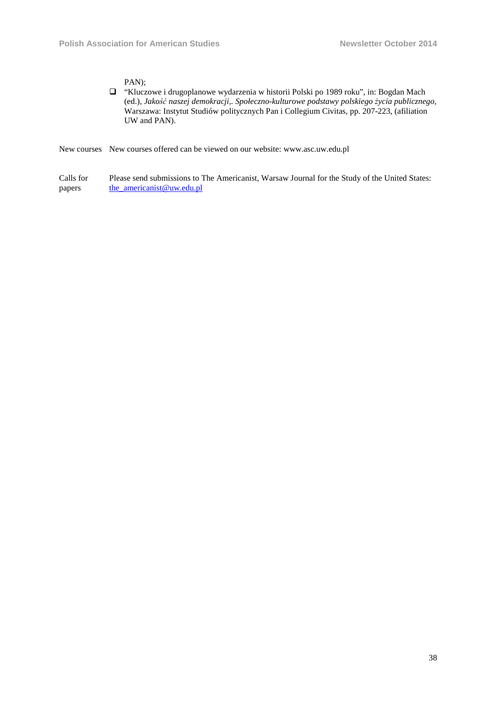PAN);

 "Kluczowe i drugoplanowe wydarzenia w historii Polski po 1989 roku", in: Bogdan Mach (ed.), *Jakość naszej demokracji,. Społeczno-kulturowe podstawy polskiego życia publicznego*, Warszawa: Instytut Studiów politycznych Pan i Collegium Civitas, pp. 207-223, (afiliation UW and PAN).

New courses New courses offered can be viewed on our website: www.asc.uw.edu.pl

Calls for papers Please send submissions to The Americanist, Warsaw Journal for the Study of the United States: the\_americanist@uw.edu.pl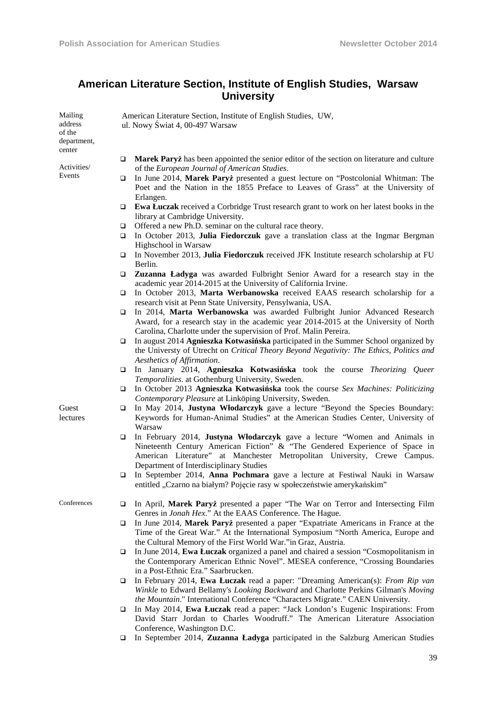# **American Literature Section, Institute of English Studies, Warsaw University**

| Mailing<br>address    |   | American Literature Section, Institute of English Studies, UW,<br>ul. Nowy Świat 4, 00-497 Warsaw                                                                                                                                                                                |
|-----------------------|---|----------------------------------------------------------------------------------------------------------------------------------------------------------------------------------------------------------------------------------------------------------------------------------|
| of the                |   |                                                                                                                                                                                                                                                                                  |
| department,<br>center |   |                                                                                                                                                                                                                                                                                  |
|                       | □ | Marek Paryż has been appointed the senior editor of the section on literature and culture                                                                                                                                                                                        |
| Activities/           |   | of the European Journal of American Studies.                                                                                                                                                                                                                                     |
| Events                | ❏ | In June 2014, Marek Paryż presented a guest lecture on "Postcolonial Whitman: The<br>Poet and the Nation in the 1855 Preface to Leaves of Grass" at the University of                                                                                                            |
|                       |   | Erlangen.                                                                                                                                                                                                                                                                        |
|                       | ❏ | <b>Ewa Łuczak</b> received a Corbridge Trust research grant to work on her latest books in the<br>library at Cambridge University.                                                                                                                                               |
|                       | ❏ | Offered a new Ph.D. seminar on the cultural race theory.                                                                                                                                                                                                                         |
|                       | ❏ | In October 2013, Julia Fiedorczuk gave a translation class at the Ingmar Bergman<br>Highschool in Warsaw                                                                                                                                                                         |
|                       | ❏ | In November 2013, Julia Fiedorczuk received JFK Institute research scholarship at FU<br>Berlin.                                                                                                                                                                                  |
|                       | □ | Zuzanna Ładyga was awarded Fulbright Senior Award for a research stay in the<br>academic year 2014-2015 at the University of California Irvine.                                                                                                                                  |
|                       | ❏ | In October 2013, Marta Werbanowska received EAAS research scholarship for a<br>research visit at Penn State University, Pensylwania, USA.                                                                                                                                        |
|                       | □ | In 2014, Marta Werbanowska was awarded Fulbright Junior Advanced Research                                                                                                                                                                                                        |
|                       |   | Award, for a research stay in the academic year 2014-2015 at the University of North<br>Carolina, Charlotte under the supervision of Prof. Malin Pereira.                                                                                                                        |
|                       | ❏ | In august 2014 Agnieszka Kotwasińska participated in the Summer School organized by<br>the Universty of Utrecht on Critical Theory Beyond Negativity: The Ethics, Politics and<br>Aesthetics of Affirmation.                                                                     |
|                       | ❏ | In January 2014, Agnieszka Kotwasińska took the course Theorizing Queer<br>Temporalities. at Gothenburg University, Sweden.                                                                                                                                                      |
|                       | ❏ | In October 2013 Agnieszka Kotwasińska took the course Sex Machines: Politicizing<br>Contemporary Pleasure at Linköping University, Sweden.                                                                                                                                       |
| Guest<br>lectures     | ❏ | In May 2014, Justyna Włodarczyk gave a lecture "Beyond the Species Boundary:<br>Keywords for Human-Animal Studies" at the American Studies Center, University of<br>Warsaw                                                                                                       |
|                       | ❏ | In February 2014, Justyna Włodarczyk gave a lecture "Women and Animals in<br>Nineteenth Century American Fiction" & "The Gendered Experience of Space in<br>American Literature" at Manchester Metropolitan University, Crewe Campus.<br>Department of Interdisciplinary Studies |
|                       | ❏ | In September 2014, Anna Pochmara gave a lecture at Festiwal Nauki in Warsaw<br>entitled "Czarno na białym? Pojęcie rasy w społeczeństwie amerykańskim"                                                                                                                           |
| Conferences           | ❏ | In April, Marek Paryż presented a paper "The War on Terror and Intersecting Film<br>Genres in <i>Jonah Hex</i> ." At the EAAS Conference. The Hague.                                                                                                                             |
|                       | ❏ | In June 2014, Marek Paryż presented a paper "Expatriate Americans in France at the<br>Time of the Great War." At the International Symposium "North America, Europe and                                                                                                          |
|                       |   | the Cultural Memory of the First World War."in Graz, Austria.                                                                                                                                                                                                                    |
|                       | ❏ | In June 2014, Ewa Łuczak organized a panel and chaired a session "Cosmopolitanism in<br>the Contemporary American Ethnic Novel". MESEA conference, "Crossing Boundaries                                                                                                          |
|                       |   | in a Post-Ethnic Era." Saarbrucken.                                                                                                                                                                                                                                              |
|                       | ❏ | In February 2014, Ewa Łuczak read a paper: "Dreaming American(s): From Rip van<br>Winkle to Edward Bellamy's Looking Backward and Charlotte Perkins Gilman's Moving<br>the Mountain." International Conference "Characters Migrate." CAEN University.                            |
|                       | ❏ | In May 2014, Ewa Luczak read a paper: "Jack London's Eugenic Inspirations: From<br>David Starr Jordan to Charles Woodruff." The American Literature Association<br>Conference, Washington D.C.                                                                                   |

In September 2014, **Zuzanna Ładyga** participated in the Salzburg American Studies

39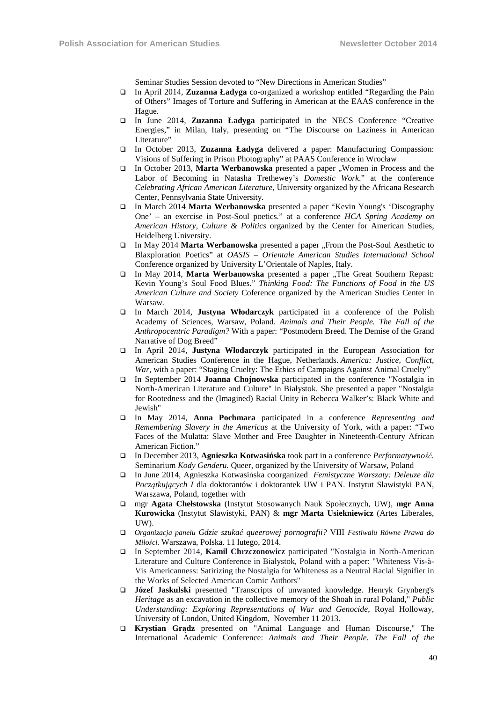Seminar Studies Session devoted to "New Directions in American Studies"

- In April 2014, **Zuzanna Ładyga** co-organized a workshop entitled "Regarding the Pain of Others" Images of Torture and Suffering in American at the EAAS conference in the Hague.
- In June 2014, **Zuzanna Ładyga** participated in the NECS Conference "Creative Energies," in Milan, Italy, presenting on "The Discourse on Laziness in American Literature"
- In October 2013, **Zuzanna Ładyga** delivered a paper: Manufacturing Compassion: Visions of Suffering in Prison Photography" at PAAS Conference in Wrocław
- In October 2013, **Marta Werbanowska** presented a paper , Women in Process and the Labor of Becoming in Natasha Trethewey's *Domestic Work*." at the conference *Celebrating African American Literature*, University organized by the Africana Research Center, Pennsylvania State University*.*
- In March 2014 **Marta Werbanowska** presented a paper "Kevin Young's 'Discography One' – an exercise in Post-Soul poetics." at a conference *HCA Spring Academy on American History, Culture & Politics* organized by the Center for American Studies, Heidelberg University.
- In May 2014 **Marta Werbanowska** presented a paper "From the Post-Soul Aesthetic to Blaxploration Poetics" at *OASIS – Orientale American Studies International School* Conference organized by University L'Orientale of Naples, Italy.
- In May 2014, **Marta Werbanowska** presented a paper "The Great Southern Repast: Kevin Young's Soul Food Blues." *Thinking Food: The Functions of Food in the US American Culture and Society* Coference organized by the American Studies Center in Warsaw.
- In March 2014, **Justyna Włodarczyk** participated in a conference of the Polish Academy of Sciences, Warsaw, Poland. *Animals and Their People. The Fall of the Anthropocentric Paradigm?* With a paper: "Postmodern Breed. The Demise of the Grand Narrative of Dog Breed"
- In April 2014, **Justyna Włodarczyk** participated in the European Association for American Studies Conference in the Hague, Netherlands. *America: Justice, Conflict, War*, with a paper: "Staging Cruelty: The Ethics of Campaigns Against Animal Cruelty"
- In September 2014 **Joanna Chojnowska** participated in the conference "Nostalgia in North-American Literature and Culture" in Białystok. She presented a paper "Nostalgia for Rootedness and the (Imagined) Racial Unity in Rebecca Walker's: Black White and Jewish"
- In May 2014, **Anna Pochmara** participated in a conference *Representing and Remembering Slavery in the Americas* at the University of York, with a paper: "Two Faces of the Mulatta: Slave Mother and Free Daughter in Nineteenth-Century African American Fiction."
- In December 2013, **Agnieszka Kotwasińska** took part in a conference *Performatywność.*  Seminarium *Kody Genderu.* Oueer, organized by the University of Warsaw, Poland
- In June 2014, Agnieszka Kotwasińska coorganized *Femistyczne Warszaty: Deleuze dla Początkujących I* dla doktorantów i doktorantek UW i PAN. Instytut Slawistyki PAN, Warszawa, Poland, together with
- mgr **Agata Chełstowska** (Instytut Stosowanych Nauk Społecznych, UW), **mgr Anna Kurowicka** (Instytut Slawistyki, PAN) & **mgr Marta Usiekniewicz** (Artes Liberales, UW).
- *Organizacja panelu Gdzie szukać queerowej pornografii?* VIII *Festiwalu Równe Prawa do Miłości.* Warszawa, Polska. 11 lutego, 2014.
- In September 2014, **Kamil Chrzczonowicz** participated "Nostalgia in North-American Literature and Culture Conference in Białystok, Poland with a paper: "Whiteness Vis-à-Vis Americanness: Satirizing the Nostalgia for Whiteness as a Neutral Racial Signifier in the Works of Selected American Comic Authors"
- **Józef Jaskulski** presented "Transcripts of unwanted knowledge. Henryk Grynberg's *Heritage* as an excavation in the collective memory of the Shoah in rural Poland," *Public Understanding: Exploring Representations of War and Genocide*, Royal Holloway, University of London, United Kingdom, November 11 2013.
- **Krystian Grądz** presented on "Animal Language and Human Discourse," The International Academic Conference: *Animals and Their People. The Fall of the*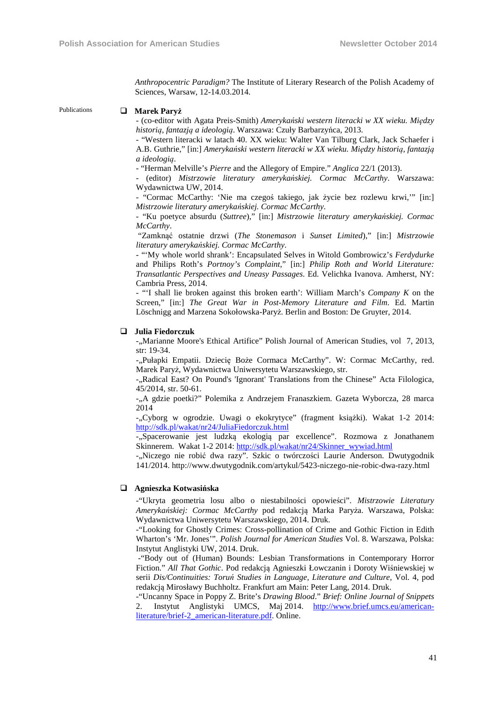*Anthropocentric Paradigm?* The Institute of Literary Research of the Polish Academy of Sciences, Warsaw, 12-14.03.2014.

#### Publications **Marek Paryż**

- (co-editor with Agata Preis-Smith) *Amerykański western literacki w XX wieku. Między historią, fantazją a ideologią*. Warszawa: Czuły Barbarzyńca, 2013.

- "Western literacki w latach 40. XX wieku: Walter Van Tilburg Clark, Jack Schaefer i A.B. Guthrie," [in:] *Amerykański western literacki w XX wieku. Między historią, fantazją a ideologią*.

- "Herman Melville's *Pierre* and the Allegory of Empire." *Anglica* 22/1 (2013).

- (editor) *Mistrzowie literatury amerykańskiej. Cormac McCarthy*. Warszawa: Wydawnictwa UW, 2014.

- "Cormac McCarthy: 'Nie ma czegoś takiego, jak życie bez rozlewu krwi,'" [in:] *Mistrzowie literatury amerykańskiej. Cormac McCarthy*.

- "Ku poetyce absurdu (*Suttree*)," [in:] *Mistrzowie literatury amerykańskiej. Cormac McCarthy*.

 "Zamknąć ostatnie drzwi (*The Stonemason* i *Sunset Limited*)," [in:] *Mistrzowie literatury amerykańskiej. Cormac McCarthy*.

- "'My whole world shrank': Encapsulated Selves in Witold Gombrowicz's *Ferdydurke* and Philips Roth's *Portnoy's Complaint*," [in:] *Philip Roth and World Literature: Transatlantic Perspectives and Uneasy Passages*. Ed. Velichka Ivanova. Amherst, NY: Cambria Press, 2014.

- "'I shall lie broken against this broken earth': William March's *Company K* on the Screen," [in:] *The Great War in Post-Memory Literature and Film*. Ed. Martin Löschnigg and Marzena Sokołowska-Paryż. Berlin and Boston: De Gruyter, 2014.

#### **Julia Fiedorczuk**

-,,Marianne Moore's Ethical Artifice" Polish Journal of American Studies, vol 7, 2013, str: 19-34.

-"Pułapki Empatii. Dziecię Boże Cormaca McCarthy". W: Cormac McCarthy, red. Marek Paryż, Wydawnictwa Uniwersytetu Warszawskiego, str.

-.,Radical East? On Pound's 'Ignorant' Translations from the Chinese" Acta Filologica, 45/2014, str. 50-61.

-"A gdzie poetki?" Polemika z Andrzejem Franaszkiem. Gazeta Wyborcza, 28 marca 2014

-"Cyborg w ogrodzie. Uwagi o ekokrytyce" (fragment książki). Wakat 1-2 2014: http://sdk.pl/wakat/nr24/JuliaFiedorczuk.html

-"Spacerowanie jest ludzką ekologią par excellence". Rozmowa z Jonathanem Skinnerem. Wakat 1-2 2014: http://sdk.pl/wakat/nr24/Skinner\_wywiad.html

-"Niczego nie robić dwa razy". Szkic o twórczości Laurie Anderson. Dwutygodnik 141/2014. http://www.dwutygodnik.com/artykul/5423-niczego-nie-robic-dwa-razy.html

#### **Agnieszka Kotwasińska**

-"Ukryta geometria losu albo o niestabilności opowieści". *Mistrzowie Literatury Amerykańskiej: Cormac McCarthy* pod redakcją Marka Paryża. Warszawa, Polska: Wydawnictwa Uniwersytetu Warszawskiego, 2014. Druk.

-"Looking for Ghostly Crimes: Cross-pollination of Crime and Gothic Fiction in Edith Wharton's 'Mr. Jones'". *Polish Journal for American Studies* Vol. 8. Warszawa, Polska: Instytut Anglistyki UW, 2014. Druk.

 -"Body out of (Human) Bounds: Lesbian Transformations in Contemporary Horror Fiction." *All That Gothic*. Pod redakcją Agnieszki Łowczanin i Doroty Wiśniewskiej w serii *Dis/Continuities: Toruń Studies in Language, Literature and Culture*, Vol. 4, pod redakcją Mirosławy Buchholtz. Frankfurt am Main: Peter Lang, 2014. Druk.

-"Uncanny Space in Poppy Z. Brite's *Drawing Blood*." *Brief: Online Journal of Snippets* 2. Instytut Anglistyki UMCS, Maj 2014. http://www.brief.umcs.eu/americanliterature/brief-2\_american-literature.pdf. Online.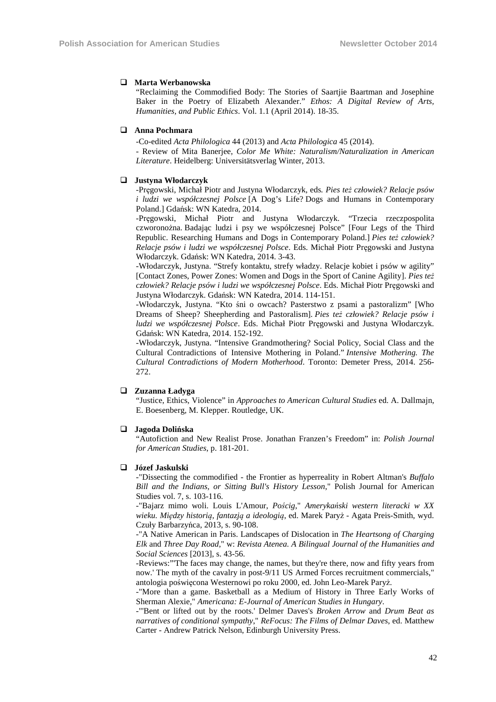#### **Marta Werbanowska**

"Reclaiming the Commodified Body: The Stories of Saartjie Baartman and Josephine Baker in the Poetry of Elizabeth Alexander." *Ethos: A Digital Review of Arts, Humanities, and Public Ethics*. Vol. 1.1 (April 2014). 18-35.

#### **Anna Pochmara**

-Co-edited *Acta Philologica* 44 (2013) and *Acta Philologica* 45 (2014).

- Review of Mita Banerjee, *Color Me White: Naturalism/Naturalization in American Literature*. Heidelberg: Universitätsverlag Winter, 2013.

#### **Justyna Włodarczyk**

-Pręgowski, Michał Piotr and Justyna Włodarczyk, eds*. Pies też człowiek? Relacje psów i ludzi we współczesnej Polsce* [A Dog's Life? Dogs and Humans in Contemporary Poland.] Gdańsk: WN Katedra, 2014.

-Pręgowski, Michał Piotr and Justyna Włodarczyk. "Trzecia rzeczpospolita czworonożna. Badając ludzi i psy we współczesnej Polsce" [Four Legs of the Third Republic. Researching Humans and Dogs in Contemporary Poland.] *Pies też człowiek? Relacje psów i ludzi we współczesnej Polsce*. Eds. Michał Piotr Pręgowski and Justyna Włodarczyk. Gdańsk: WN Katedra, 2014. 3-43.

-Włodarczyk, Justyna. "Strefy kontaktu, strefy władzy. Relacje kobiet i psów w agility" [Contact Zones, Power Zones: Women and Dogs in the Sport of Canine Agility]. *Pies też człowiek? Relacje psów i ludzi we współczesnej Polsce*. Eds. Michał Piotr Pręgowski and Justyna Włodarczyk. Gdańsk: WN Katedra, 2014. 114-151.

-Włodarczyk, Justyna. "Kto śni o owcach? Pasterstwo z psami a pastoralizm" [Who Dreams of Sheep? Sheepherding and Pastoralism]. *Pies też człowiek? Relacje psów i ludzi we współczesnej Polsce*. Eds. Michał Piotr Pręgowski and Justyna Włodarczyk. Gdańsk: WN Katedra, 2014. 152-192.

-Włodarczyk, Justyna. "Intensive Grandmothering? Social Policy, Social Class and the Cultural Contradictions of Intensive Mothering in Poland." *Intensive Mothering. The Cultural Contradictions of Modern Motherhood*. Toronto: Demeter Press, 2014. 256- 272.

#### **Zuzanna Ładyga**

"Justice, Ethics, Violence" in *Approaches to American Cultural Studies* ed. A. Dallmajn, E. Boesenberg, M. Klepper. Routledge, UK.

#### **Jagoda Dolińska**

"Autofiction and New Realist Prose. Jonathan Franzen's Freedom" in: *Polish Journal for American Studies*, p. 181-201.

#### **Józef Jaskulski**

-"Dissecting the commodified - the Frontier as hyperreality in Robert Altman's *Buffalo Bill and the Indians, or Sitting Bull's History Lesson*," Polish Journal for American Studies vol. 7, s. 103-116.

-"Bajarz mimo woli. Louis L'Amour, *Pościg*," *Amerykański western literacki w XX wieku. Między historią, fantazją a ideologią*, ed. Marek Paryż - Agata Preis-Smith, wyd. Czuły Barbarzyńca, 2013, s. 90-108.

-"A Native American in Paris. Landscapes of Dislocation in *The Heartsong of Charging Elk* and *Three Day Road,*" w: *Revista Atenea. A Bilingual Journal of the Humanities and Social Sciences* [2013], s. 43-56.

-Reviews:"'The faces may change, the names, but they're there, now and fifty years from now.' The myth of the cavalry in post-9/11 US Armed Forces recruitment commercials," antologia poświęcona Westernowi po roku 2000, ed. John Leo-Marek Paryż.

-"More than a game. Basketball as a Medium of History in Three Early Works of Sherman Alexie," *Americana: E-Journal of American Studies in Hungary*.

-"'Bent or lifted out by the roots.' Delmer Daves's *Broken Arrow* and *Drum Beat as narratives of conditional sympathy*," *ReFocus: The Films of Delmar Daves*, ed. Matthew Carter - Andrew Patrick Nelson, Edinburgh University Press.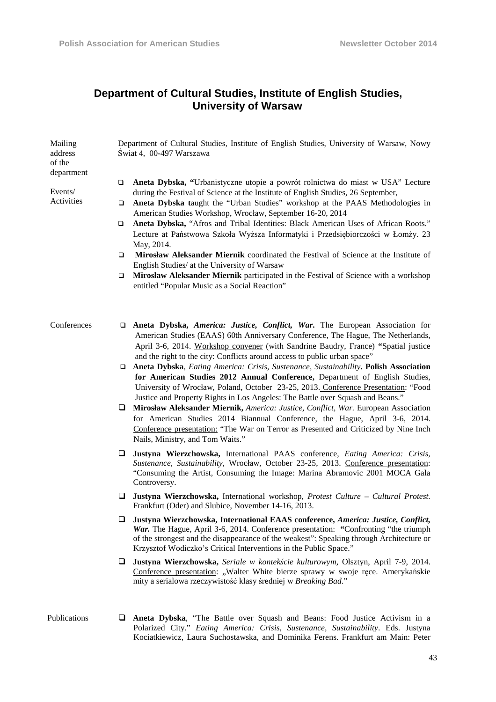# **Department of Cultural Studies, Institute of English Studies, University of Warsaw**

| Mailing<br>address<br>of the<br>department | Department of Cultural Studies, Institute of English Studies, University of Warsaw, Nowy<br>Świat 4, 00-497 Warszawa                                                                                                                                                                                                                                                                                                       |
|--------------------------------------------|----------------------------------------------------------------------------------------------------------------------------------------------------------------------------------------------------------------------------------------------------------------------------------------------------------------------------------------------------------------------------------------------------------------------------|
| Events/<br>Activities                      | Aneta Dybska, "Urbanistyczne utopie a powrót rolnictwa do miast w USA" Lecture<br>□<br>during the Festival of Science at the Institute of English Studies, 26 September,<br>Aneta Dybska taught the "Urban Studies" workshop at the PAAS Methodologies in<br>□<br>American Studies Workshop, Wrocław, September 16-20, 2014                                                                                                |
|                                            | Aneta Dybska, "Afros and Tribal Identities: Black American Uses of African Roots."<br>$\Box$<br>Lecture at Państwowa Szkoła Wyższa Informatyki i Przedsiębiorczości w Łomży. 23<br>May, 2014.                                                                                                                                                                                                                              |
|                                            | Mirosław Aleksander Miernik coordinated the Festival of Science at the Institute of<br>□<br>English Studies/ at the University of Warsaw                                                                                                                                                                                                                                                                                   |
|                                            | Mirosław Aleksander Miernik participated in the Festival of Science with a workshop<br>□<br>entitled "Popular Music as a Social Reaction"                                                                                                                                                                                                                                                                                  |
| Conferences                                | Aneta Dybska, America: Justice, Conflict, War. The European Association for<br>□<br>American Studies (EAAS) 60th Anniversary Conference, The Hague, The Netherlands,<br>April 3-6, 2014. Workshop convener (with Sandrine Baudry, France) "Spatial justice                                                                                                                                                                 |
|                                            | and the right to the city: Conflicts around access to public urban space"<br>□ Aneta Dybska, Eating America: Crisis, Sustenance, Sustainability. Polish Association<br>for American Studies 2012 Annual Conference, Department of English Studies,<br>University of Wrocław, Poland, October 23-25, 2013. Conference Presentation: "Food<br>Justice and Property Rights in Los Angeles: The Battle over Squash and Beans." |
|                                            | Mirosław Aleksander Miernik, America: Justice, Conflict, War. European Association<br>for American Studies 2014 Biannual Conference, the Hague, April 3-6, 2014.<br>Conference presentation: "The War on Terror as Presented and Criticized by Nine Inch<br>Nails, Ministry, and Tom Waits."                                                                                                                               |
|                                            | Justyna Wierzchowska, International PAAS conference, Eating America: Crisis,<br>⊔<br>Sustenance, Sustainability, Wrocław, October 23-25, 2013. Conference presentation:<br>"Consuming the Artist, Consuming the Image: Marina Abramovic 2001 MOCA Gala<br>Controversy.                                                                                                                                                     |
|                                            | Justyna Wierzchowska, International workshop, Protest Culture - Cultural Protest.<br>⊔<br>Frankfurt (Oder) and Slubice, November 14-16, 2013.                                                                                                                                                                                                                                                                              |
|                                            | Justyna Wierzchowska, International EAAS conference, America: Justice, Conflict,<br>⊔<br>War. The Hague, April 3-6, 2014. Conference presentation: "Confronting "the triumph<br>of the strongest and the disappearance of the weakest": Speaking through Architecture or<br>Krzysztof Wodiczko's Critical Interventions in the Public Space."                                                                              |
|                                            | Justyna Wierzchowska, Seriale w kontekście kulturowym, Olsztyn, April 7-9, 2014.<br>u<br>Conference presentation: "Walter White bierze sprawy w swoje ręce. Amerykańskie<br>mity a serialowa rzeczywistość klasy średniej w Breaking Bad."                                                                                                                                                                                 |

Publications **Aneta Dybska**, "The Battle over Squash and Beans: Food Justice Activism in a Polarized City." *Eating America: Crisis, Sustenance, Sustainability*. Eds. Justyna Kociatkiewicz, Laura Suchostawska, and Dominika Ferens. Frankfurt am Main: Peter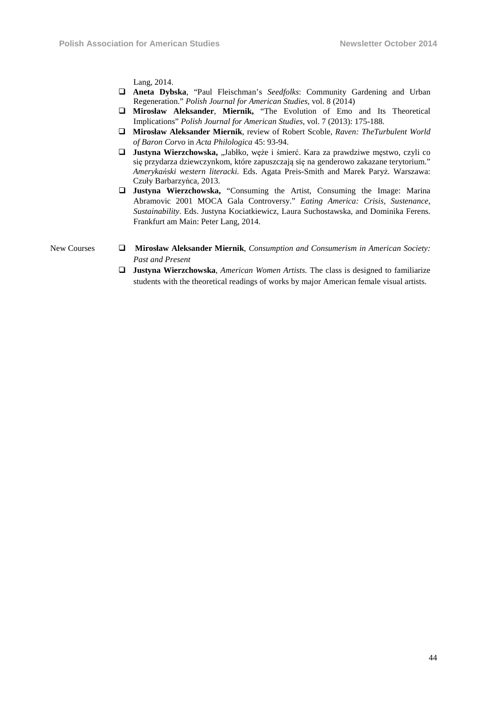Lang, 2014.

- **Aneta Dybska**, "Paul Fleischman's *Seedfolks*: Community Gardening and Urban Regeneration." *Polish Journal for American Studies*, vol. 8 (2014)
- **Mirosław Aleksander**, **Miernik,** "The Evolution of Emo and Its Theoretical Implications" *Polish Journal for American Studies*, vol. 7 (2013): 175-188.
- **Mirosław Aleksander Miernik**, review of Robert Scoble, *Raven: TheTurbulent World of Baron Corvo* in *Acta Philologica* 45: 93-94.
- **Justyna Wierzchowska,** "Jabłko, weże i śmierć. Kara za prawdziwe mestwo, czyli co się przydarza dziewczynkom, które zapuszczają się na genderowo zakazane terytorium." *Amerykański western literacki.* Eds. Agata Preis-Smith and Marek Paryż. Warszawa: Czuły Barbarzyńca, 2013.
- **Justyna Wierzchowska,** "Consuming the Artist, Consuming the Image: Marina Abramovic 2001 MOCA Gala Controversy." *Eating America: Crisis, Sustenance, Sustainability*. Eds. Justyna Kociatkiewicz, Laura Suchostawska, and Dominika Ferens. Frankfurt am Main: Peter Lang, 2014.

- New Courses **□ Mirosław Aleksander Miernik**, *Consumption and Consumerism in American Society: Past and Present* 
	- **Justyna Wierzchowska**, *American Women Artists.* The class is designed to familiarize students with the theoretical readings of works by major American female visual artists.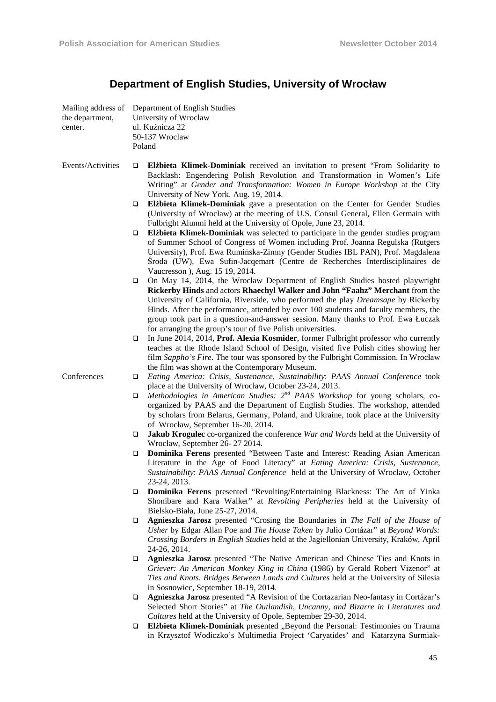| Mailing address of<br>the department,<br>center. | Department of English Studies<br>University of Wroclaw<br>ul. Kuźnicza 22<br>50-137 Wroclaw<br>Poland                                                                                                                                                                                                                                                                                                                                                                        |
|--------------------------------------------------|------------------------------------------------------------------------------------------------------------------------------------------------------------------------------------------------------------------------------------------------------------------------------------------------------------------------------------------------------------------------------------------------------------------------------------------------------------------------------|
| Events/Activities                                | <b>Elżbieta Klimek-Dominiak</b> received an invitation to present "From Solidarity to<br>$\Box$<br>Backlash: Engendering Polish Revolution and Transformation in Women's Life<br>Writing" at Gender and Transformation: Women in Europe Workshop at the City<br>University of New York. Aug. 19, 2014.                                                                                                                                                                       |
|                                                  | Elżbieta Klimek-Dominiak gave a presentation on the Center for Gender Studies<br>$\Box$<br>(University of Wrocław) at the meeting of U.S. Consul General, Ellen Germain with<br>Fulbright Alumni held at the University of Opole, June 23, 2014.                                                                                                                                                                                                                             |
|                                                  | Elżbieta Klimek-Dominiak was selected to participate in the gender studies program<br>□<br>of Summer School of Congress of Women including Prof. Joanna Regulska (Rutgers<br>University), Prof. Ewa Rumińska-Zimny (Gender Studies IBL PAN), Prof. Magdalena<br>Sroda (UW), Ewa Sufin-Jacqemart (Centre de Recherches Interdisciplinaires de                                                                                                                                 |
|                                                  | Vaucresson), Aug. 15 19, 2014.<br>On May 14, 2014, the Wrocław Department of English Studies hosted playwright<br>□<br>Rickerby Hinds and actors Rhaechyl Walker and John "Faahz" Merchant from the<br>University of California, Riverside, who performed the play <i>Dreamsape</i> by Rickerby<br>Hinds. After the performance, attended by over 100 students and faculty members, the<br>group took part in a question-and-answer session. Many thanks to Prof. Ewa Łuczak |
|                                                  | for arranging the group's tour of five Polish universities.<br>In June 2014, 2014, Prof. Alexia Kosmider, former Fulbright professor who currently<br>□<br>teaches at the Rhode Island School of Design, visited five Polish cities showing her<br>film Sappho's Fire. The tour was sponsored by the Fulbright Commission. In Wrocław<br>the film was shown at the Contemporary Museum.                                                                                      |
| Conferences                                      | Eating America: Crisis, Sustenance, Sustainability: PAAS Annual Conference took<br>□<br>place at the University of Wrocław, October 23-24, 2013.                                                                                                                                                                                                                                                                                                                             |
|                                                  | Methodologies in American Studies: $2^{nd}$ PAAS Workshop for young scholars, co-<br>□<br>organized by PAAS and the Department of English Studies. The workshop, attended<br>by scholars from Belarus, Germany, Poland, and Ukraine, took place at the University<br>of Wrocław, September 16-20, 2014.                                                                                                                                                                      |
|                                                  | Jakub Krogulec co-organized the conference War and Words held at the University of<br>□<br>Wrocław, September 26-27 2014.                                                                                                                                                                                                                                                                                                                                                    |
|                                                  | Dominika Ferens presented "Between Taste and Interest: Reading Asian American<br>□<br>Literature in the Age of Food Literacy" at Eating America: Crisis, Sustenance,<br>Sustainability: PAAS Annual Conference held at the University of Wrocław, October<br>23-24, 2013.                                                                                                                                                                                                    |
|                                                  | Dominika Ferens presented "Revolting/Entertaining Blackness: The Art of Yinka<br>❏<br>Shonibare and Kara Walker" at Revolting Peripheries held at the University of<br>Bielsko-Biała, June 25-27, 2014.                                                                                                                                                                                                                                                                      |
|                                                  | Agnieszka Jarosz presented "Crosing the Boundaries in The Fall of the House of<br>□<br>Usher by Edgar Allan Poe and The House Taken by Julio Cortázar" at Beyond Words:<br>Crossing Borders in English Studies held at the Jagiellonian University, Kraków, April<br>24-26, 2014.                                                                                                                                                                                            |
|                                                  | Agnieszka Jarosz presented "The Native American and Chinese Ties and Knots in<br>Q.<br>Griever: An American Monkey King in China (1986) by Gerald Robert Vizenor" at<br>Ties and Knots. Bridges Between Lands and Cultures held at the University of Silesia<br>in Sosnowiec, September 18-19, 2014.                                                                                                                                                                         |
|                                                  | Agnieszka Jarosz presented "A Revision of the Cortazarian Neo-fantasy in Cortázar's<br>□<br>Selected Short Stories" at The Outlandish, Uncanny, and Bizarre in Literatures and<br>Cultures held at the University of Opole, September 29-30, 2014.                                                                                                                                                                                                                           |
|                                                  | Elżbieta Klimek-Dominiak presented "Beyond the Personal: Testimonies on Trauma<br>□                                                                                                                                                                                                                                                                                                                                                                                          |

# **Department of English Studies, University of Wrocław**

 **Elżbieta Klimek-Dominiak** presented "Beyond the Personal: Testimonies on Trauma in Krzysztof Wodiczko's Multimedia Project 'Caryatides' and Katarzyna Surmiak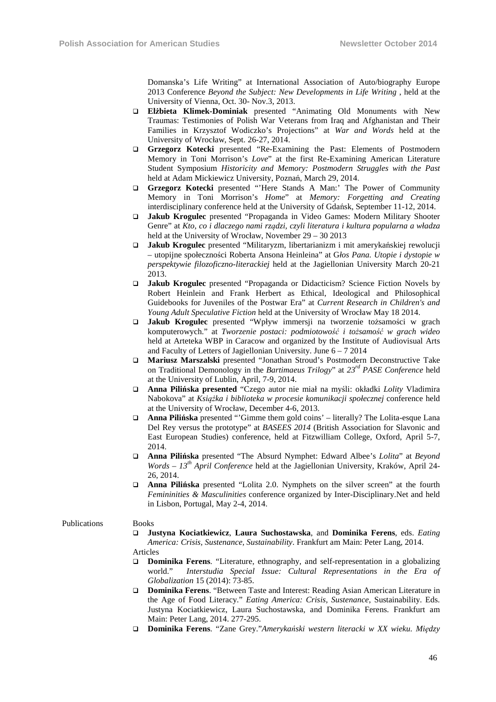Domanska's Life Writing" at International Association of Auto/biography Europe 2013 Conference *Beyond the Subject: New Developments in Life Writing* , held at the University of Vienna, Oct. 30- Nov.3, 2013.

- **Elżbieta Klimek-Dominiak** presented "Animating Old Monuments with New Traumas: Testimonies of Polish War Veterans from Iraq and Afghanistan and Their Families in Krzysztof Wodiczko's Projections" at *War and Words* held at the University of Wrocław, Sept. 26-27, 2014.
- **Grzegorz Kotecki** presented "Re-Examining the Past: Elements of Postmodern Memory in Toni Morrison's *Love*" at the first Re-Examining American Literature Student Symposium *Historicity and Memory: Postmodern Struggles with the Past*  held at Adam Mickiewicz University, Poznań, March 29, 2014.
- **Grzegorz Kotecki** presented "'Here Stands A Man:' The Power of Community Memory in Toni Morrison's *Home*" at *Memory: Forgetting and Creating*  interdisciplinary conference held at the University of Gdańsk, September 11-12, 2014.
- **Jakub Krogulec** presented "Propaganda in Video Games: Modern Military Shooter Genre" at *Kto, co i dlaczego nami rządzi, czyli literatura i kultura popularna a władza* held at the University of Wrocław, November 29 – 30 2013
- **Jakub Krogulec** presented "Militaryzm, libertarianizm i mit amerykańskiej rewolucji – utopijne społeczności Roberta Ansona Heinleina" at G*łos Pana. Utopie i dystopie w perspektywie filozoficzno-literackiej* held at the Jagiellonian University March 20-21 2013.
- **Jakub Krogulec** presented "Propaganda or Didacticism? Science Fiction Novels by Robert Heinlein and Frank Herbert as Ethical, Ideological and Philosophical Guidebooks for Juveniles of the Postwar Era" at *Current Research in Children's and Young Adult Speculative Fiction* held at the University of Wrocław May 18 2014.
- **Jakub Krogulec** presented "Wpływ immersji na tworzenie tożsamości w grach komputerowych." at *Tworzenie postaci: podmiotowość i tożsamość w grach wideo* held at Arteteka WBP in Caracow and organized by the Institute of Audiovisual Arts and Faculty of Letters of Jagiellonian University. June 6 – 7 2014
- **Mariusz Marszalski** presented "Jonathan Stroud's Postmodern Deconstructive Take on Traditional Demonology in the *Bartimaeus Trilogy*" at *23rd PASE Conference* held at the University of Lublin, April, 7-9, 2014.
- **Anna Pilińska presented** "Czego autor nie miał na myśli: okładki *Lolity* Vladimira Nabokova" at *Książka i biblioteka w procesie komunikacji społecznej* conference held at the University of Wrocław, December 4-6, 2013.
- **Anna Pilińska** presented "'Gimme them gold coins' literally? The Lolita-esque Lana Del Rey versus the prototype" at *BASEES 2014* (British Association for Slavonic and East European Studies) conference, held at Fitzwilliam College, Oxford, April 5-7, 2014.
- **Anna Pilińska** presented "The Absurd Nymphet: Edward Albee's *Lolita*" at *Beyond Words – 13th April Conference* held at the Jagiellonian University, Kraków, April 24- 26, 2014.
- **Anna Pilińska** presented "Lolita 2.0. Nymphets on the silver screen" at the fourth *Femininities & Masculinities* conference organized by Inter-Disciplinary.Net and held in Lisbon, Portugal, May 2-4, 2014.

#### Publications Books

 **Justyna Kociatkiewicz**, **Laura Suchostawska**, and **Dominika Ferens**, eds. *Eating America: Crisis, Sustenance, Sustainability*. Frankfurt am Main: Peter Lang, 2014.

Articles

- **Dominika Ferens**. "Literature, ethnography, and self-representation in a globalizing world." *Interstudia Special Issue: Cultural Representations in the Era of Globalization* 15 (2014): 73-85.
- **Dominika Ferens**. "Between Taste and Interest: Reading Asian American Literature in the Age of Food Literacy." *Eating America: Crisis, Sustenance*, Sustainability. Eds. Justyna Kociatkiewicz, Laura Suchostawska, and Dominika Ferens. Frankfurt am Main: Peter Lang, 2014. 277-295.
- **Dominika Ferens**. "Zane Grey."*Amerykański western literacki w XX wieku. Między*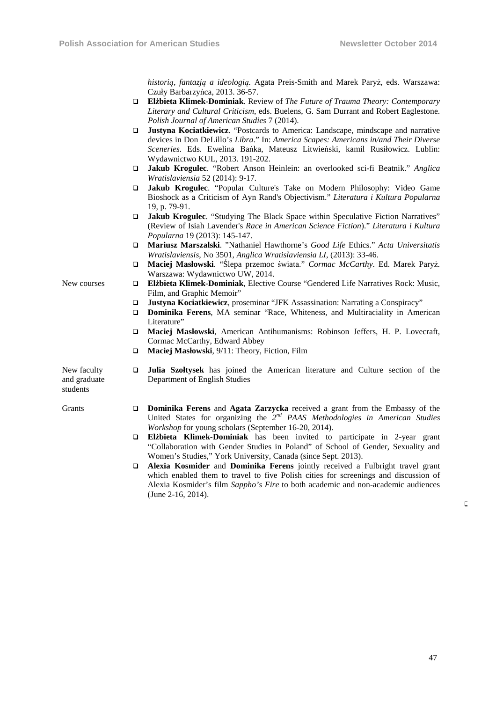*historią, fantazją a ideologią.* Agata Preis-Smith and Marek Paryż, eds. Warszawa: Czuły Barbarzyńca, 2013. 36-57.

- **Elżbieta Klimek-Dominiak**. Review of *The Future of Trauma Theory: Contemporary Literary and Cultural Criticism*, eds. Buelens, G. Sam Durrant and Robert Eaglestone. *Polish Journal of American Studies* 7 (2014).
- **Justyna Kociatkiewicz**. "Postcards to America: Landscape, mindscape and narrative devices in Don DeLillo's *Libra*." In: *America Scapes: Americans in/and Their Diverse Sceneries*. Eds. Ewelina Bańka, Mateusz Litwieński, kamil Rusiłowicz. Lublin: Wydawnictwo KUL, 2013. 191-202.
- **Jakub Krogulec**. "Robert Anson Heinlein: an overlooked sci-fi Beatnik." *Anglica Wratislaviensia* 52 (2014): 9-17*.*
- **Jakub Krogulec**. "Popular Culture's Take on Modern Philosophy: Video Game Bioshock as a Criticism of Ayn Rand's Objectivism." *Literatura i Kultura Popularna* 19, p. 79-91.
- **Jakub Krogulec**. "Studying The Black Space within Speculative Fiction Narratives" (Review of Isiah Lavender's *Race in American Science Fiction*)." *Literatura i Kultura Popularna* 19 (2013): 145-147.
- **Mariusz Marszalski**. "Nathaniel Hawthorne's *Good Life* Ethics." *Acta Universitatis Wratislaviensis*, No 3501, *Anglica Wratislaviensia LI*, (2013): 33-46.
- **Maciej Masłowski**. "Ślepa przemoc świata." *Cormac McCarthy*. Ed. Marek Paryż. Warszawa: Wydawnictwo UW, 2014.
- New courses **Elżbieta Klimek-Dominiak**, Elective Course "Gendered Life Narratives Rock: Music, Film, and Graphic Memoir"
	- **Justyna Kociatkiewicz**, proseminar "JFK Assassination: Narrating a Conspiracy"
	- **Dominika Ferens**, MA seminar "Race, Whiteness, and Multiraciality in American Literature"
	- **Maciej Masłowski**, American Antihumanisms: Robinson Jeffers, H. P. Lovecraft, Cormac McCarthy, Edward Abbey
	- **Maciej Masłowski**, 9/11: Theory, Fiction, Film

Department of English Studies

New faculty and graduate students

- 
- Grants **Dominika Ferens** and **Agata Zarzycka** received a grant from the Embassy of the

**Julia Szołtysek** has joined the American literature and Culture section of the

- United States for organizing the 2<sup>nd</sup> PAAS Methodologies in American Studies *Workshop* for young scholars (September 16-20, 2014).
- **Elżbieta Klimek-Dominiak** has been invited to participate in 2-year grant "Collaboration with Gender Studies in Poland" of School of Gender, Sexuality and Women's Studies," York University, Canada (since Sept. 2013).
- **Alexia Kosmider** and **Dominika Ferens** jointly received a Fulbright travel grant which enabled them to travel to five Polish cities for screenings and discussion of Alexia Kosmider's film *Sappho's Fire* to both academic and non-academic audiences (June 2-16, 2014).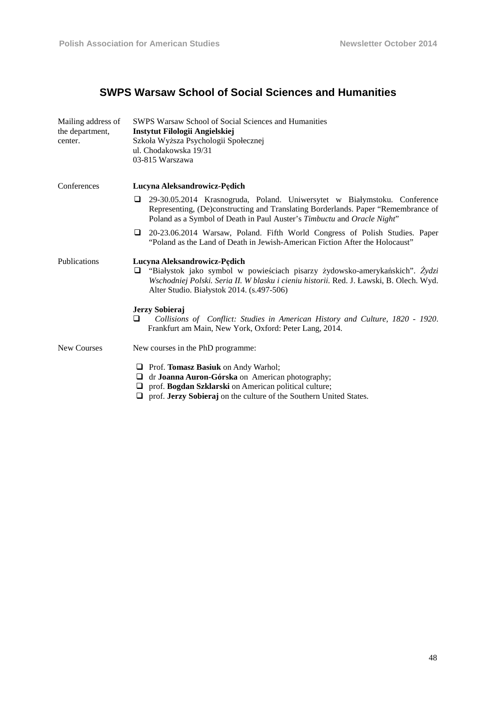# **SWPS Warsaw School of Social Sciences and Humanities**

| Mailing address of<br>the department,<br>center. | <b>SWPS Warsaw School of Social Sciences and Humanities</b><br>Instytut Filologii Angielskiej<br>Szkoła Wyższa Psychologii Społecznej<br>ul. Chodakowska 19/31<br>03-815 Warszawa                                                                        |
|--------------------------------------------------|----------------------------------------------------------------------------------------------------------------------------------------------------------------------------------------------------------------------------------------------------------|
| Conferences                                      | Lucyna Aleksandrowicz-Pędich                                                                                                                                                                                                                             |
|                                                  | 29-30.05.2014 Krasnogruda, Poland. Uniwersytet w Białymstoku. Conference<br>□<br>Representing, (De)constructing and Translating Borderlands. Paper "Remembrance of<br>Poland as a Symbol of Death in Paul Auster's Timbuctu and Oracle Night"            |
|                                                  | 20-23.06.2014 Warsaw, Poland. Fifth World Congress of Polish Studies. Paper<br>"Poland as the Land of Death in Jewish-American Fiction After the Holocaust"                                                                                              |
| Publications                                     | Lucyna Aleksandrowicz-Pędich<br>"Białystok jako symbol w powieściach pisarzy żydowsko-amerykańskich". Żydzi<br>□<br>Wschodniej Polski. Seria II. W blasku i cieniu historii. Red. J. Ławski, B. Olech. Wyd.<br>Alter Studio. Białystok 2014. (s.497-506) |
|                                                  | Jerzy Sobieraj<br>Collisions of Conflict: Studies in American History and Culture, 1820 - 1920.<br>ப<br>Frankfurt am Main, New York, Oxford: Peter Lang, 2014.                                                                                           |
| <b>New Courses</b>                               | New courses in the PhD programme:                                                                                                                                                                                                                        |
|                                                  | <b>T</b> Prof. <b>Tomasz Basiuk</b> on Andy Warhol;<br>dr Joanna Auron-Górska on American photography;<br>⊔<br>prof. Bogdan Szklarski on American political culture;<br>prof. Jerzy Sobieraj on the culture of the Southern United States.<br>⊔          |